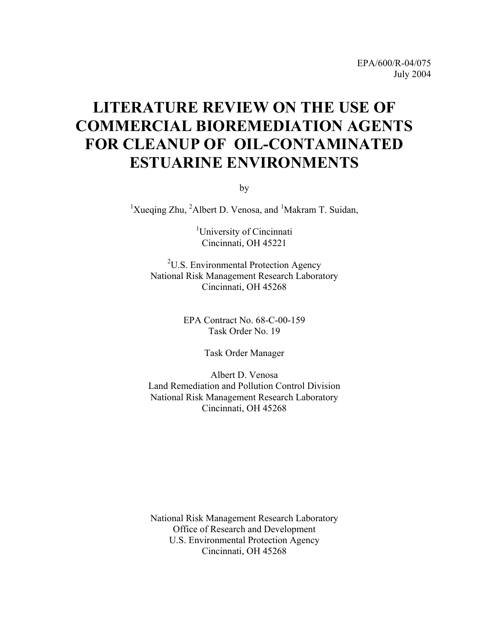# **LITERATURE REVIEW ON THE USE OF COMMERCIAL BIOREMEDIATION AGENTS FOR CLEANUP OF OIL-CONTAMINATED ESTUARINE ENVIRONMENTS**

by

<sup>1</sup>Xueqing Zhu, <sup>2</sup>Albert D. Venosa, and <sup>1</sup>Makram T. Suidan,

<sup>1</sup>University of Cincinnati Cincinnati, OH 45221

<sup>2</sup>U.S. Environmental Protection Agency National Risk Management Research Laboratory Cincinnati, OH 45268

> EPA Contract No. 68-C-00-159 Task Order No. 19

> > Task Order Manager

Albert D. Venosa Land Remediation and Pollution Control Division National Risk Management Research Laboratory Cincinnati, OH 45268

National Risk Management Research Laboratory Office of Research and Development U.S. Environmental Protection Agency Cincinnati, OH 45268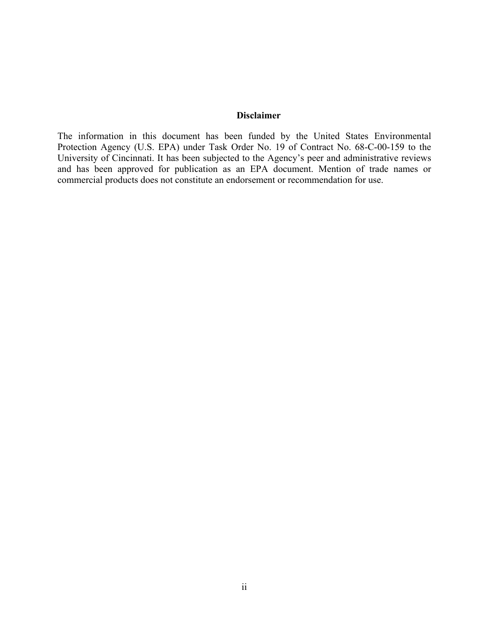# **Disclaimer**

The information in this document has been funded by the United States Environmental Protection Agency (U.S. EPA) under Task Order No. 19 of Contract No. 68-C-00-159 to the University of Cincinnati. It has been subjected to the Agency's peer and administrative reviews and has been approved for publication as an EPA document. Mention of trade names or commercial products does not constitute an endorsement or recommendation for use.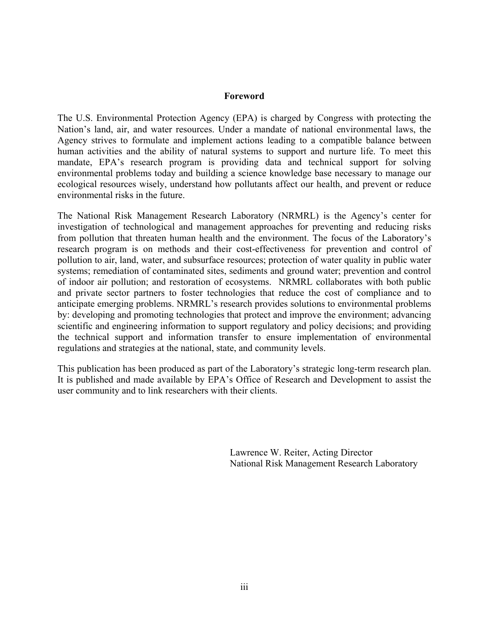## **Foreword**

The U.S. Environmental Protection Agency (EPA) is charged by Congress with protecting the Nation's land, air, and water resources. Under a mandate of national environmental laws, the Agency strives to formulate and implement actions leading to a compatible balance between human activities and the ability of natural systems to support and nurture life. To meet this mandate, EPA's research program is providing data and technical support for solving environmental problems today and building a science knowledge base necessary to manage our ecological resources wisely, understand how pollutants affect our health, and prevent or reduce environmental risks in the future.

The National Risk Management Research Laboratory (NRMRL) is the Agency's center for investigation of technological and management approaches for preventing and reducing risks from pollution that threaten human health and the environment. The focus of the Laboratory's research program is on methods and their cost-effectiveness for prevention and control of pollution to air, land, water, and subsurface resources; protection of water quality in public water systems; remediation of contaminated sites, sediments and ground water; prevention and control of indoor air pollution; and restoration of ecosystems. NRMRL collaborates with both public and private sector partners to foster technologies that reduce the cost of compliance and to anticipate emerging problems. NRMRL's research provides solutions to environmental problems by: developing and promoting technologies that protect and improve the environment; advancing scientific and engineering information to support regulatory and policy decisions; and providing the technical support and information transfer to ensure implementation of environmental regulations and strategies at the national, state, and community levels.

This publication has been produced as part of the Laboratory's strategic long-term research plan. It is published and made available by EPA's Office of Research and Development to assist the user community and to link researchers with their clients.

> Lawrence W. Reiter, Acting Director National Risk Management Research Laboratory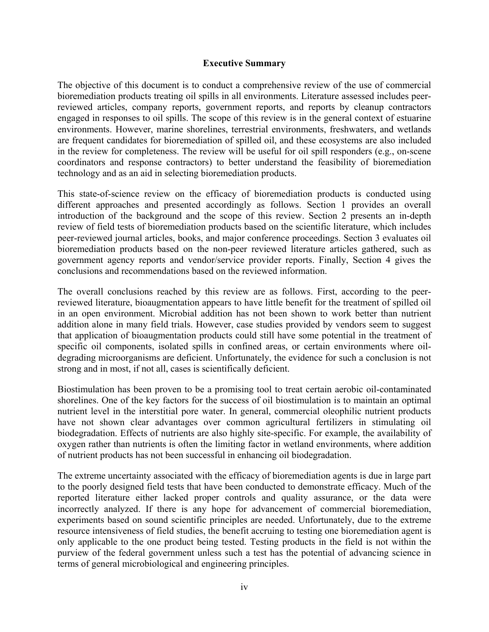# **Executive Summary**

The objective of this document is to conduct a comprehensive review of the use of commercial bioremediation products treating oil spills in all environments. Literature assessed includes peerreviewed articles, company reports, government reports, and reports by cleanup contractors engaged in responses to oil spills. The scope of this review is in the general context of estuarine environments. However, marine shorelines, terrestrial environments, freshwaters, and wetlands are frequent candidates for bioremediation of spilled oil, and these ecosystems are also included in the review for completeness. The review will be useful for oil spill responders (e.g., on-scene coordinators and response contractors) to better understand the feasibility of bioremediation technology and as an aid in selecting bioremediation products.

This state-of-science review on the efficacy of bioremediation products is conducted using different approaches and presented accordingly as follows. Section 1 provides an overall introduction of the background and the scope of this review. Section 2 presents an in-depth review of field tests of bioremediation products based on the scientific literature, which includes peer-reviewed journal articles, books, and major conference proceedings. Section 3 evaluates oil bioremediation products based on the non-peer reviewed literature articles gathered, such as government agency reports and vendor/service provider reports. Finally, Section 4 gives the conclusions and recommendations based on the reviewed information.

The overall conclusions reached by this review are as follows. First, according to the peerreviewed literature, bioaugmentation appears to have little benefit for the treatment of spilled oil in an open environment. Microbial addition has not been shown to work better than nutrient addition alone in many field trials. However, case studies provided by vendors seem to suggest that application of bioaugmentation products could still have some potential in the treatment of specific oil components, isolated spills in confined areas, or certain environments where oildegrading microorganisms are deficient. Unfortunately, the evidence for such a conclusion is not strong and in most, if not all, cases is scientifically deficient.

Biostimulation has been proven to be a promising tool to treat certain aerobic oil-contaminated shorelines. One of the key factors for the success of oil biostimulation is to maintain an optimal nutrient level in the interstitial pore water. In general, commercial oleophilic nutrient products have not shown clear advantages over common agricultural fertilizers in stimulating oil biodegradation. Effects of nutrients are also highly site-specific. For example, the availability of oxygen rather than nutrients is often the limiting factor in wetland environments, where addition of nutrient products has not been successful in enhancing oil biodegradation.

The extreme uncertainty associated with the efficacy of bioremediation agents is due in large part to the poorly designed field tests that have been conducted to demonstrate efficacy. Much of the reported literature either lacked proper controls and quality assurance, or the data were incorrectly analyzed. If there is any hope for advancement of commercial bioremediation, experiments based on sound scientific principles are needed. Unfortunately, due to the extreme resource intensiveness of field studies, the benefit accruing to testing one bioremediation agent is only applicable to the one product being tested. Testing products in the field is not within the purview of the federal government unless such a test has the potential of advancing science in terms of general microbiological and engineering principles.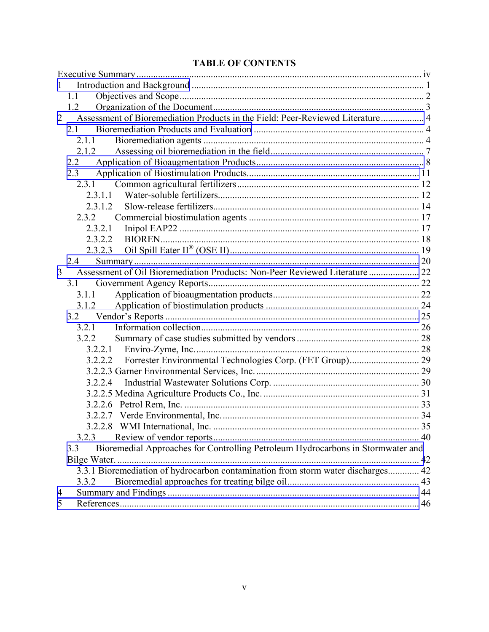# **TABLE OF CONTENTS**

| 1              |                                                                                        |  |
|----------------|----------------------------------------------------------------------------------------|--|
|                | 1.1                                                                                    |  |
|                | 1.2                                                                                    |  |
| $\overline{2}$ | Assessment of Bioremediation Products in the Field: Peer-Reviewed Literature 4         |  |
|                | 2.1                                                                                    |  |
|                | 2.1.1                                                                                  |  |
|                | 2.1.2                                                                                  |  |
|                | 2.2                                                                                    |  |
|                | 2.3                                                                                    |  |
|                | 2.3.1                                                                                  |  |
|                | 2.3.1.1                                                                                |  |
|                | 2.3.1.2                                                                                |  |
|                |                                                                                        |  |
|                | 2.3.2.1                                                                                |  |
|                | 2.3.2.2                                                                                |  |
|                | 2.3.2.3                                                                                |  |
|                | 2.4                                                                                    |  |
| $\overline{3}$ | Assessment of Oil Bioremediation Products: Non-Peer Reviewed Literature  22            |  |
|                | 3.1                                                                                    |  |
|                | 3.1.1                                                                                  |  |
|                | 3.1.2                                                                                  |  |
|                | 3.2                                                                                    |  |
|                | 3.2.1                                                                                  |  |
|                | 3.2.2                                                                                  |  |
|                |                                                                                        |  |
|                |                                                                                        |  |
|                |                                                                                        |  |
|                | 3.2.2.4                                                                                |  |
|                |                                                                                        |  |
|                |                                                                                        |  |
|                |                                                                                        |  |
|                |                                                                                        |  |
|                | 3.2.3                                                                                  |  |
|                | Bioremedial Approaches for Controlling Petroleum Hydrocarbons in Stormwater and<br>3.3 |  |
|                |                                                                                        |  |
|                | 3.3.1 Bioremediation of hydrocarbon contamination from storm water discharges 42       |  |
|                | 3.3.2                                                                                  |  |
| 4              |                                                                                        |  |
| 5              |                                                                                        |  |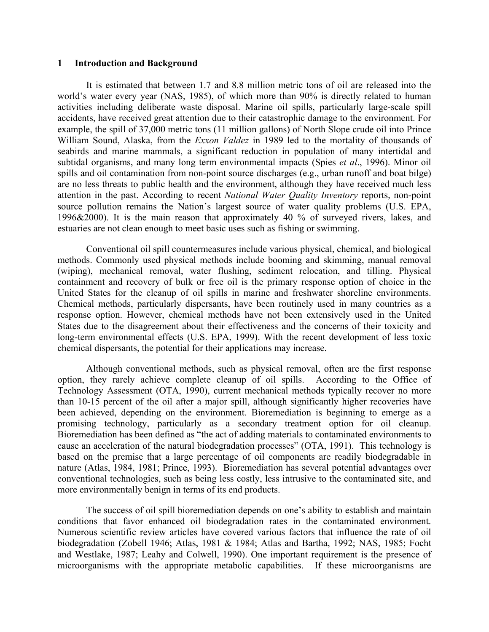#### <span id="page-5-0"></span>**1 Introduction and Background**

It is estimated that between 1.7 and 8.8 million metric tons of oil are released into the world's water every year (NAS, 1985), of which more than 90% is directly related to human activities including deliberate waste disposal. Marine oil spills, particularly large-scale spill accidents, have received great attention due to their catastrophic damage to the environment. For example, the spill of 37,000 metric tons (11 million gallons) of North Slope crude oil into Prince William Sound, Alaska, from the *Exxon Valdez* in 1989 led to the mortality of thousands of seabirds and marine mammals, a significant reduction in population of many intertidal and subtidal organisms, and many long term environmental impacts (Spies *et al*., 1996). Minor oil spills and oil contamination from non-point source discharges (e.g., urban runoff and boat bilge) are no less threats to public health and the environment, although they have received much less attention in the past. According to recent *National Water Quality Inventory* reports, non-point source pollution remains the Nation's largest source of water quality problems (U.S. EPA, 1996&2000). It is the main reason that approximately 40 % of surveyed rivers, lakes, and estuaries are not clean enough to meet basic uses such as fishing or swimming.

Conventional oil spill countermeasures include various physical, chemical, and biological methods. Commonly used physical methods include booming and skimming, manual removal (wiping), mechanical removal, water flushing, sediment relocation, and tilling. Physical containment and recovery of bulk or free oil is the primary response option of choice in the United States for the cleanup of oil spills in marine and freshwater shoreline environments. Chemical methods, particularly dispersants, have been routinely used in many countries as a response option. However, chemical methods have not been extensively used in the United States due to the disagreement about their effectiveness and the concerns of their toxicity and long-term environmental effects (U.S. EPA, 1999). With the recent development of less toxic chemical dispersants, the potential for their applications may increase.

Although conventional methods, such as physical removal, often are the first response option, they rarely achieve complete cleanup of oil spills. According to the Office of Technology Assessment (OTA, 1990), current mechanical methods typically recover no more than 10-15 percent of the oil after a major spill, although significantly higher recoveries have been achieved, depending on the environment. Bioremediation is beginning to emerge as a promising technology, particularly as a secondary treatment option for oil cleanup. Bioremediation has been defined as "the act of adding materials to contaminated environments to cause an acceleration of the natural biodegradation processes" (OTA, 1991). This technology is based on the premise that a large percentage of oil components are readily biodegradable in nature (Atlas, 1984, 1981; Prince, 1993). Bioremediation has several potential advantages over conventional technologies, such as being less costly, less intrusive to the contaminated site, and more environmentally benign in terms of its end products.

The success of oil spill bioremediation depends on one's ability to establish and maintain conditions that favor enhanced oil biodegradation rates in the contaminated environment. Numerous scientific review articles have covered various factors that influence the rate of oil biodegradation (Zobell 1946; Atlas, 1981 & 1984; Atlas and Bartha, 1992; NAS, 1985; Focht and Westlake, 1987; Leahy and Colwell, 1990). One important requirement is the presence of microorganisms with the appropriate metabolic capabilities. If these microorganisms are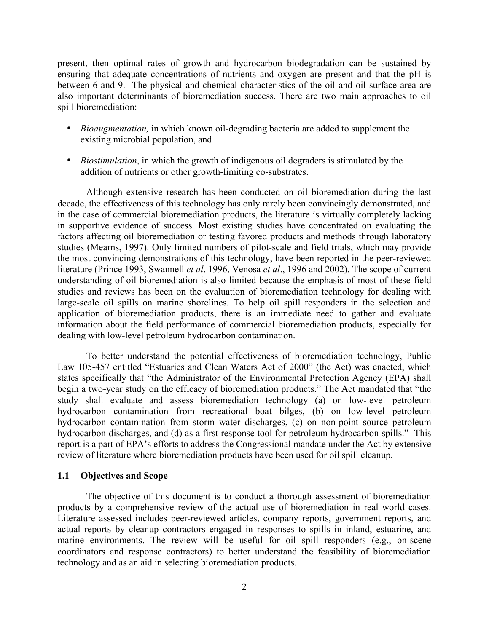present, then optimal rates of growth and hydrocarbon biodegradation can be sustained by ensuring that adequate concentrations of nutrients and oxygen are present and that the pH is between 6 and 9. The physical and chemical characteristics of the oil and oil surface area are also important determinants of bioremediation success. There are two main approaches to oil spill bioremediation:

- *Bioaugmentation,* in which known oil-degrading bacteria are added to supplement the existing microbial population, and
- *Biostimulation*, in which the growth of indigenous oil degraders is stimulated by the addition of nutrients or other growth-limiting co-substrates.

Although extensive research has been conducted on oil bioremediation during the last decade, the effectiveness of this technology has only rarely been convincingly demonstrated, and in the case of commercial bioremediation products, the literature is virtually completely lacking in supportive evidence of success. Most existing studies have concentrated on evaluating the factors affecting oil bioremediation or testing favored products and methods through laboratory studies (Mearns, 1997). Only limited numbers of pilot-scale and field trials, which may provide the most convincing demonstrations of this technology, have been reported in the peer-reviewed literature (Prince 1993, Swannell *et al*, 1996, Venosa *et al*., 1996 and 2002). The scope of current understanding of oil bioremediation is also limited because the emphasis of most of these field studies and reviews has been on the evaluation of bioremediation technology for dealing with large-scale oil spills on marine shorelines. To help oil spill responders in the selection and application of bioremediation products, there is an immediate need to gather and evaluate information about the field performance of commercial bioremediation products, especially for dealing with low-level petroleum hydrocarbon contamination.

To better understand the potential effectiveness of bioremediation technology, Public Law 105-457 entitled "Estuaries and Clean Waters Act of 2000" (the Act) was enacted, which states specifically that "the Administrator of the Environmental Protection Agency (EPA) shall begin a two-year study on the efficacy of bioremediation products." The Act mandated that "the study shall evaluate and assess bioremediation technology (a) on low-level petroleum hydrocarbon contamination from recreational boat bilges, (b) on low-level petroleum hydrocarbon contamination from storm water discharges, (c) on non-point source petroleum hydrocarbon discharges, and (d) as a first response tool for petroleum hydrocarbon spills." This report is a part of EPA's efforts to address the Congressional mandate under the Act by extensive review of literature where bioremediation products have been used for oil spill cleanup.

## **1.1 Objectives and Scope**

The objective of this document is to conduct a thorough assessment of bioremediation products by a comprehensive review of the actual use of bioremediation in real world cases. Literature assessed includes peer-reviewed articles, company reports, government reports, and actual reports by cleanup contractors engaged in responses to spills in inland, estuarine, and marine environments. The review will be useful for oil spill responders (e.g., on-scene coordinators and response contractors) to better understand the feasibility of bioremediation technology and as an aid in selecting bioremediation products.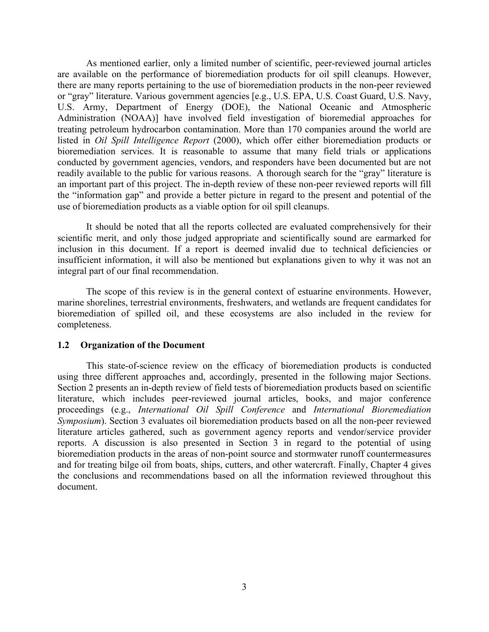As mentioned earlier, only a limited number of scientific, peer-reviewed journal articles are available on the performance of bioremediation products for oil spill cleanups. However, there are many reports pertaining to the use of bioremediation products in the non-peer reviewed or "gray" literature. Various government agencies [e.g., U.S. EPA, U.S. Coast Guard, U.S. Navy, U.S. Army, Department of Energy (DOE), the National Oceanic and Atmospheric Administration (NOAA)] have involved field investigation of bioremedial approaches for treating petroleum hydrocarbon contamination. More than 170 companies around the world are listed in *Oil Spill Intelligence Report* (2000), which offer either bioremediation products or bioremediation services. It is reasonable to assume that many field trials or applications conducted by government agencies, vendors, and responders have been documented but are not readily available to the public for various reasons. A thorough search for the "gray" literature is an important part of this project. The in-depth review of these non-peer reviewed reports will fill the "information gap" and provide a better picture in regard to the present and potential of the use of bioremediation products as a viable option for oil spill cleanups.

It should be noted that all the reports collected are evaluated comprehensively for their scientific merit, and only those judged appropriate and scientifically sound are earmarked for inclusion in this document. If a report is deemed invalid due to technical deficiencies or insufficient information, it will also be mentioned but explanations given to why it was not an integral part of our final recommendation.

The scope of this review is in the general context of estuarine environments. However, marine shorelines, terrestrial environments, freshwaters, and wetlands are frequent candidates for bioremediation of spilled oil, and these ecosystems are also included in the review for completeness.

## **1.2 Organization of the Document**

This state-of-science review on the efficacy of bioremediation products is conducted using three different approaches and, accordingly, presented in the following major Sections. Section 2 presents an in-depth review of field tests of bioremediation products based on scientific literature, which includes peer-reviewed journal articles, books, and major conference proceedings (e.g., *International Oil Spill Conference* and *International Bioremediation Symposium*). Section 3 evaluates oil bioremediation products based on all the non-peer reviewed literature articles gathered, such as government agency reports and vendor/service provider reports. A discussion is also presented in Section 3 in regard to the potential of using bioremediation products in the areas of non-point source and stormwater runoff countermeasures and for treating bilge oil from boats, ships, cutters, and other watercraft. Finally, Chapter 4 gives the conclusions and recommendations based on all the information reviewed throughout this document.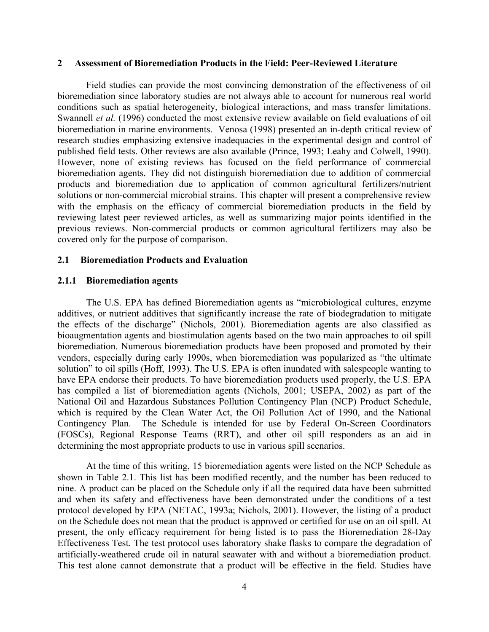## <span id="page-8-0"></span>**2 Assessment of Bioremediation Products in the Field: Peer-Reviewed Literature**

Field studies can provide the most convincing demonstration of the effectiveness of oil bioremediation since laboratory studies are not always able to account for numerous real world conditions such as spatial heterogeneity, biological interactions, and mass transfer limitations. Swannell *et al.* (1996) conducted the most extensive review available on field evaluations of oil bioremediation in marine environments. Venosa (1998) presented an in-depth critical review of research studies emphasizing extensive inadequacies in the experimental design and control of published field tests. Other reviews are also available (Prince, 1993; Leahy and Colwell, 1990). However, none of existing reviews has focused on the field performance of commercial bioremediation agents. They did not distinguish bioremediation due to addition of commercial products and bioremediation due to application of common agricultural fertilizers/nutrient solutions or non-commercial microbial strains. This chapter will present a comprehensive review with the emphasis on the efficacy of commercial bioremediation products in the field by reviewing latest peer reviewed articles, as well as summarizing major points identified in the previous reviews. Non-commercial products or common agricultural fertilizers may also be covered only for the purpose of comparison.

#### **2.1 Bioremediation Products and Evaluation**

## **2.1.1 Bioremediation agents**

The U.S. EPA has defined Bioremediation agents as "microbiological cultures, enzyme additives, or nutrient additives that significantly increase the rate of biodegradation to mitigate the effects of the discharge" (Nichols, 2001). Bioremediation agents are also classified as bioaugmentation agents and biostimulation agents based on the two main approaches to oil spill bioremediation. Numerous bioremediation products have been proposed and promoted by their vendors, especially during early 1990s, when bioremediation was popularized as "the ultimate solution" to oil spills (Hoff, 1993). The U.S. EPA is often inundated with salespeople wanting to have EPA endorse their products. To have bioremediation products used properly, the U.S. EPA has compiled a list of bioremediation agents (Nichols, 2001; USEPA, 2002) as part of the National Oil and Hazardous Substances Pollution Contingency Plan (NCP) Product Schedule, which is required by the Clean Water Act, the Oil Pollution Act of 1990, and the National Contingency Plan. The Schedule is intended for use by Federal On-Screen Coordinators (FOSCs), Regional Response Teams (RRT), and other oil spill responders as an aid in determining the most appropriate products to use in various spill scenarios.

At the time of this writing, 15 bioremediation agents were listed on the NCP Schedule as shown in Table 2.1. This list has been modified recently, and the number has been reduced to nine. A product can be placed on the Schedule only if all the required data have been submitted and when its safety and effectiveness have been demonstrated under the conditions of a test protocol developed by EPA (NETAC, 1993a; Nichols, 2001). However, the listing of a product on the Schedule does not mean that the product is approved or certified for use on an oil spill. At present, the only efficacy requirement for being listed is to pass the Bioremediation 28-Day Effectiveness Test. The test protocol uses laboratory shake flasks to compare the degradation of artificially-weathered crude oil in natural seawater with and without a bioremediation product. This test alone cannot demonstrate that a product will be effective in the field. Studies have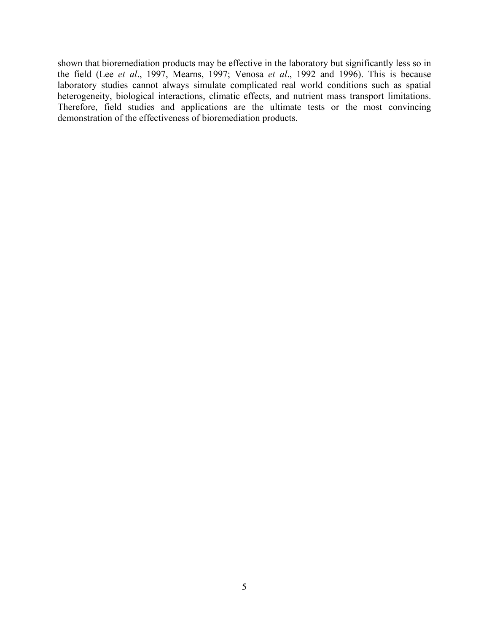shown that bioremediation products may be effective in the laboratory but significantly less so in the field (Lee *et al*., 1997, Mearns, 1997; Venosa *et al*., 1992 and 1996). This is because laboratory studies cannot always simulate complicated real world conditions such as spatial heterogeneity, biological interactions, climatic effects, and nutrient mass transport limitations. Therefore, field studies and applications are the ultimate tests or the most convincing demonstration of the effectiveness of bioremediation products.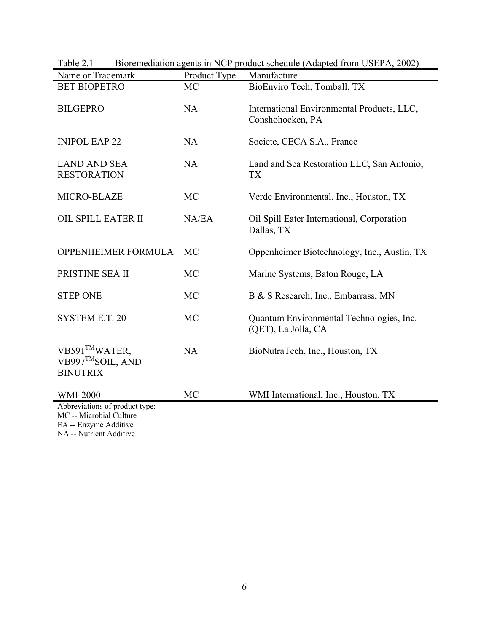| Name or Trademark                                                  | Product Type | Manufacture                                                     |
|--------------------------------------------------------------------|--------------|-----------------------------------------------------------------|
| <b>BET BIOPETRO</b>                                                | <b>MC</b>    | BioEnviro Tech, Tomball, TX                                     |
| <b>BILGEPRO</b>                                                    | NA           | International Environmental Products, LLC,<br>Conshohocken, PA  |
| <b>INIPOL EAP 22</b>                                               | <b>NA</b>    | Societe, CECA S.A., France                                      |
| <b>LAND AND SEA</b><br><b>RESTORATION</b>                          | <b>NA</b>    | Land and Sea Restoration LLC, San Antonio,<br><b>TX</b>         |
| MICRO-BLAZE                                                        | <b>MC</b>    | Verde Environmental, Inc., Houston, TX                          |
| <b>OIL SPILL EATER II</b>                                          | NA/EA        | Oil Spill Eater International, Corporation<br>Dallas, TX        |
| OPPENHEIMER FORMULA                                                | <b>MC</b>    | Oppenheimer Biotechnology, Inc., Austin, TX                     |
| PRISTINE SEA II                                                    | <b>MC</b>    | Marine Systems, Baton Rouge, LA                                 |
| <b>STEP ONE</b>                                                    | <b>MC</b>    | B & S Research, Inc., Embarrass, MN                             |
| <b>SYSTEM E.T. 20</b>                                              | <b>MC</b>    | Quantum Environmental Technologies, Inc.<br>(QET), La Jolla, CA |
| $VB591$ <sup>TM</sup> WATER,<br>VB997™SOIL, AND<br><b>BINUTRIX</b> | <b>NA</b>    | BioNutraTech, Inc., Houston, TX                                 |
| <b>WMI-2000</b>                                                    | <b>MC</b>    | WMI International, Inc., Houston, TX                            |

Table 2.1 Bioremediation agents in NCP product schedule (Adapted from USEPA, 2002)

Abbreviations of product type:

MC -- Microbial Culture

EA -- Enzyme Additive

NA -- Nutrient Additive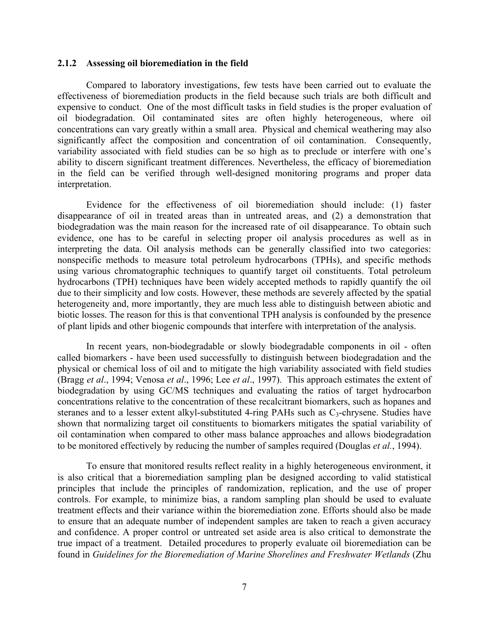#### **2.1.2 Assessing oil bioremediation in the field**

Compared to laboratory investigations, few tests have been carried out to evaluate the effectiveness of bioremediation products in the field because such trials are both difficult and expensive to conduct. One of the most difficult tasks in field studies is the proper evaluation of oil biodegradation. Oil contaminated sites are often highly heterogeneous, where oil concentrations can vary greatly within a small area. Physical and chemical weathering may also significantly affect the composition and concentration of oil contamination. Consequently, variability associated with field studies can be so high as to preclude or interfere with one's ability to discern significant treatment differences. Nevertheless, the efficacy of bioremediation in the field can be verified through well-designed monitoring programs and proper data interpretation.

Evidence for the effectiveness of oil bioremediation should include: (1) faster disappearance of oil in treated areas than in untreated areas, and (2) a demonstration that biodegradation was the main reason for the increased rate of oil disappearance. To obtain such evidence, one has to be careful in selecting proper oil analysis procedures as well as in interpreting the data. Oil analysis methods can be generally classified into two categories: nonspecific methods to measure total petroleum hydrocarbons (TPHs), and specific methods using various chromatographic techniques to quantify target oil constituents. Total petroleum hydrocarbons (TPH) techniques have been widely accepted methods to rapidly quantify the oil due to their simplicity and low costs. However, these methods are severely affected by the spatial heterogeneity and, more importantly, they are much less able to distinguish between abiotic and biotic losses. The reason for this is that conventional TPH analysis is confounded by the presence of plant lipids and other biogenic compounds that interfere with interpretation of the analysis.

In recent years, non-biodegradable or slowly biodegradable components in oil - often called biomarkers - have been used successfully to distinguish between biodegradation and the physical or chemical loss of oil and to mitigate the high variability associated with field studies (Bragg *et al*., 1994; Venosa *et al*., 1996; Lee *et al*., 1997). This approach estimates the extent of biodegradation by using GC/MS techniques and evaluating the ratios of target hydrocarbon concentrations relative to the concentration of these recalcitrant biomarkers, such as hopanes and steranes and to a lesser extent alkyl-substituted 4-ring PAHs such as  $C_3$ -chrysene. Studies have shown that normalizing target oil constituents to biomarkers mitigates the spatial variability of oil contamination when compared to other mass balance approaches and allows biodegradation to be monitored effectively by reducing the number of samples required (Douglas *et al.*, 1994).

To ensure that monitored results reflect reality in a highly heterogeneous environment, it is also critical that a bioremediation sampling plan be designed according to valid statistical principles that include the principles of randomization, replication, and the use of proper controls. For example, to minimize bias, a random sampling plan should be used to evaluate treatment effects and their variance within the bioremediation zone. Efforts should also be made to ensure that an adequate number of independent samples are taken to reach a given accuracy and confidence. A proper control or untreated set aside area is also critical to demonstrate the true impact of a treatment. Detailed procedures to properly evaluate oil bioremediation can be found in *Guidelines for the Bioremediation of Marine Shorelines and Freshwater Wetlands* (Zhu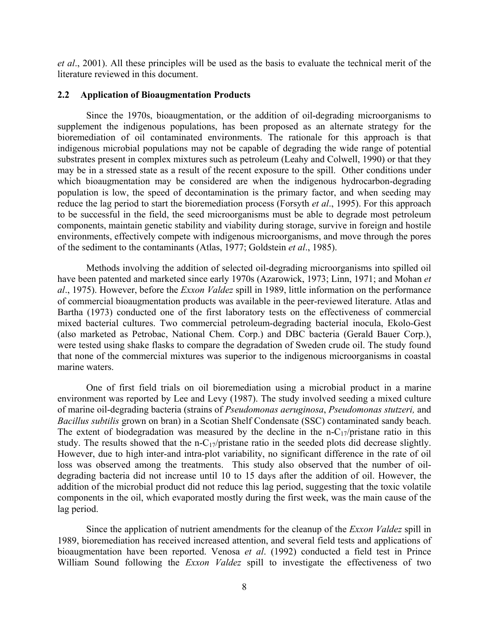<span id="page-12-0"></span>*et al*., 2001). All these principles will be used as the basis to evaluate the technical merit of the literature reviewed in this document.

#### **2.2 Application of Bioaugmentation Products**

Since the 1970s, bioaugmentation, or the addition of oil-degrading microorganisms to supplement the indigenous populations, has been proposed as an alternate strategy for the bioremediation of oil contaminated environments. The rationale for this approach is that indigenous microbial populations may not be capable of degrading the wide range of potential substrates present in complex mixtures such as petroleum (Leahy and Colwell, 1990) or that they may be in a stressed state as a result of the recent exposure to the spill. Other conditions under which bioaugmentation may be considered are when the indigenous hydrocarbon-degrading population is low, the speed of decontamination is the primary factor, and when seeding may reduce the lag period to start the bioremediation process (Forsyth *et al*., 1995). For this approach to be successful in the field, the seed microorganisms must be able to degrade most petroleum components, maintain genetic stability and viability during storage, survive in foreign and hostile environments, effectively compete with indigenous microorganisms, and move through the pores of the sediment to the contaminants (Atlas, 1977; Goldstein *et al*., 1985).

Methods involving the addition of selected oil-degrading microorganisms into spilled oil have been patented and marketed since early 1970s (Azarowick, 1973; Linn, 1971; and Mohan *et al*., 1975). However, before the *Exxon Valdez* spill in 1989, little information on the performance of commercial bioaugmentation products was available in the peer-reviewed literature. Atlas and Bartha (1973) conducted one of the first laboratory tests on the effectiveness of commercial mixed bacterial cultures. Two commercial petroleum-degrading bacterial inocula, Ekolo-Gest (also marketed as Petrobac, National Chem. Corp.) and DBC bacteria (Gerald Bauer Corp.), were tested using shake flasks to compare the degradation of Sweden crude oil. The study found that none of the commercial mixtures was superior to the indigenous microorganisms in coastal marine waters.

One of first field trials on oil bioremediation using a microbial product in a marine environment was reported by Lee and Levy (1987). The study involved seeding a mixed culture of marine oil-degrading bacteria (strains of *Pseudomonas aeruginosa*, *Pseudomonas stutzeri,* and *Bacillus subtilis* grown on bran) in a Scotian Shelf Condensate (SSC) contaminated sandy beach. The extent of biodegradation was measured by the decline in the n- $C_{17}/\text{pristance}$  ratio in this study. The results showed that the n- $C_{17}/$ pristane ratio in the seeded plots did decrease slightly. However, due to high inter-and intra-plot variability, no significant difference in the rate of oil loss was observed among the treatments. This study also observed that the number of oildegrading bacteria did not increase until 10 to 15 days after the addition of oil. However, the addition of the microbial product did not reduce this lag period, suggesting that the toxic volatile components in the oil, which evaporated mostly during the first week, was the main cause of the lag period.

Since the application of nutrient amendments for the cleanup of the *Exxon Valdez* spill in 1989, bioremediation has received increased attention, and several field tests and applications of bioaugmentation have been reported. Venosa *et al*. (1992) conducted a field test in Prince William Sound following the *Exxon Valdez* spill to investigate the effectiveness of two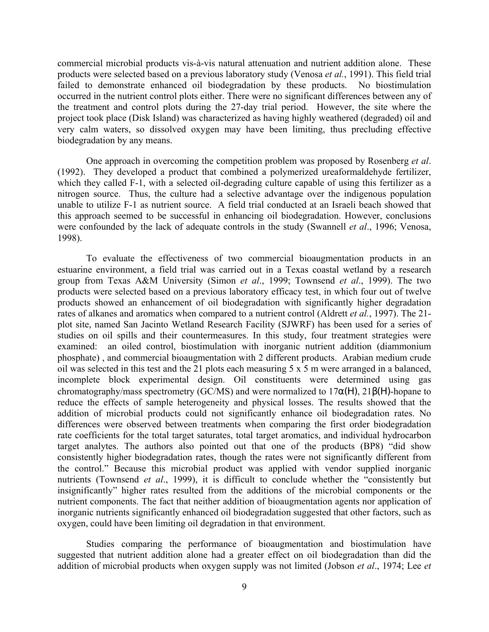commercial microbial products vis-à-vis natural attenuation and nutrient addition alone. These products were selected based on a previous laboratory study (Venosa *et al.*, 1991). This field trial failed to demonstrate enhanced oil biodegradation by these products. No biostimulation occurred in the nutrient control plots either. There were no significant differences between any of the treatment and control plots during the 27-day trial period. However, the site where the project took place (Disk Island) was characterized as having highly weathered (degraded) oil and very calm waters, so dissolved oxygen may have been limiting, thus precluding effective biodegradation by any means.

One approach in overcoming the competition problem was proposed by Rosenberg *et al*. (1992). They developed a product that combined a polymerized ureaformaldehyde fertilizer, which they called F-1, with a selected oil-degrading culture capable of using this fertilizer as a nitrogen source. Thus, the culture had a selective advantage over the indigenous population unable to utilize F-1 as nutrient source. A field trial conducted at an Israeli beach showed that this approach seemed to be successful in enhancing oil biodegradation. However, conclusions were confounded by the lack of adequate controls in the study (Swannell *et al*., 1996; Venosa, 1998).

To evaluate the effectiveness of two commercial bioaugmentation products in an estuarine environment, a field trial was carried out in a Texas coastal wetland by a research group from Texas A&M University (Simon *et al*., 1999; Townsend *et al*., 1999). The two products were selected based on a previous laboratory efficacy test, in which four out of twelve products showed an enhancement of oil biodegradation with significantly higher degradation rates of alkanes and aromatics when compared to a nutrient control (Aldrett *et al.*, 1997). The 21 plot site, named San Jacinto Wetland Research Facility (SJWRF) has been used for a series of studies on oil spills and their countermeasures. In this study, four treatment strategies were examined: an oiled control, biostimulation with inorganic nutrient addition (diammonium phosphate) , and commercial bioaugmentation with 2 different products. Arabian medium crude oil was selected in this test and the 21 plots each measuring 5 x 5 m were arranged in a balanced, incomplete block experimental design. Oil constituents were determined using gas chromatography/mass spectrometry (GC/MS) and were normalized to  $17\alpha(H)$ ,  $21\beta(H)$ -hopane to reduce the effects of sample heterogeneity and physical losses. The results showed that the addition of microbial products could not significantly enhance oil biodegradation rates. No differences were observed between treatments when comparing the first order biodegradation rate coefficients for the total target saturates, total target aromatics, and individual hydrocarbon target analytes. The authors also pointed out that one of the products (BP8) "did show consistently higher biodegradation rates, though the rates were not significantly different from the control." Because this microbial product was applied with vendor supplied inorganic nutrients (Townsend *et al*., 1999), it is difficult to conclude whether the "consistently but insignificantly" higher rates resulted from the additions of the microbial components or the nutrient components. The fact that neither addition of bioaugmentation agents nor application of inorganic nutrients significantly enhanced oil biodegradation suggested that other factors, such as oxygen, could have been limiting oil degradation in that environment.

Studies comparing the performance of bioaugmentation and biostimulation have suggested that nutrient addition alone had a greater effect on oil biodegradation than did the addition of microbial products when oxygen supply was not limited (Jobson *et al*., 1974; Lee *et*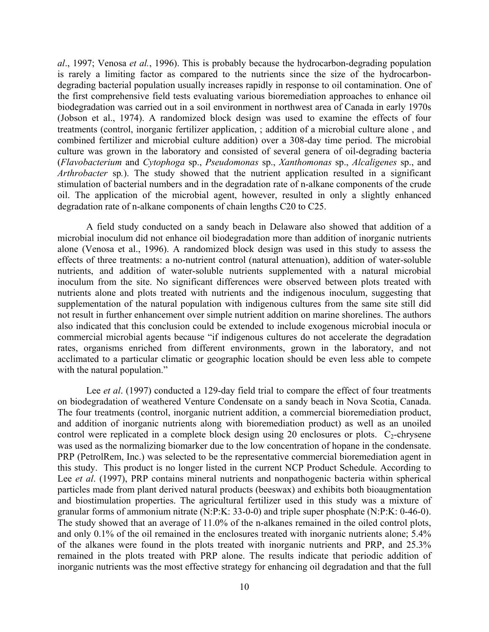*al*., 1997; Venosa *et al.*, 1996). This is probably because the hydrocarbon-degrading population is rarely a limiting factor as compared to the nutrients since the size of the hydrocarbondegrading bacterial population usually increases rapidly in response to oil contamination. One of the first comprehensive field tests evaluating various bioremediation approaches to enhance oil biodegradation was carried out in a soil environment in northwest area of Canada in early 1970s (Jobson et al., 1974). A randomized block design was used to examine the effects of four treatments (control, inorganic fertilizer application, ; addition of a microbial culture alone , and combined fertilizer and microbial culture addition) over a 308-day time period. The microbial culture was grown in the laboratory and consisted of several genera of oil-degrading bacteria (*Flavobacterium* and *Cytophoga* sp., *Pseudomonas* sp., *Xanthomonas* sp., *Alcaligenes* sp., and *Arthrobacter* sp*.*). The study showed that the nutrient application resulted in a significant stimulation of bacterial numbers and in the degradation rate of n-alkane components of the crude oil. The application of the microbial agent, however, resulted in only a slightly enhanced degradation rate of n-alkane components of chain lengths C20 to C25.

A field study conducted on a sandy beach in Delaware also showed that addition of a microbial inoculum did not enhance oil biodegradation more than addition of inorganic nutrients alone (Venosa et al., 1996). A randomized block design was used in this study to assess the effects of three treatments: a no-nutrient control (natural attenuation), addition of water-soluble nutrients, and addition of water-soluble nutrients supplemented with a natural microbial inoculum from the site. No significant differences were observed between plots treated with nutrients alone and plots treated with nutrients and the indigenous inoculum, suggesting that supplementation of the natural population with indigenous cultures from the same site still did not result in further enhancement over simple nutrient addition on marine shorelines. The authors also indicated that this conclusion could be extended to include exogenous microbial inocula or commercial microbial agents because "if indigenous cultures do not accelerate the degradation rates, organisms enriched from different environments, grown in the laboratory, and not acclimated to a particular climatic or geographic location should be even less able to compete with the natural population."

Lee *et al.* (1997) conducted a 129-day field trial to compare the effect of four treatments on biodegradation of weathered Venture Condensate on a sandy beach in Nova Scotia, Canada. The four treatments (control, inorganic nutrient addition, a commercial bioremediation product, and addition of inorganic nutrients along with bioremediation product) as well as an unoiled control were replicated in a complete block design using 20 enclosures or plots.  $C_2$ -chrysene was used as the normalizing biomarker due to the low concentration of hopane in the condensate. PRP (PetrolRem, Inc.) was selected to be the representative commercial bioremediation agent in this study. This product is no longer listed in the current NCP Product Schedule. According to Lee *et al*. (1997), PRP contains mineral nutrients and nonpathogenic bacteria within spherical particles made from plant derived natural products (beeswax) and exhibits both bioaugmentation and biostimulation properties. The agricultural fertilizer used in this study was a mixture of granular forms of ammonium nitrate (N:P:K: 33-0-0) and triple super phosphate (N:P:K: 0-46-0). The study showed that an average of 11.0% of the n-alkanes remained in the oiled control plots, and only 0.1% of the oil remained in the enclosures treated with inorganic nutrients alone; 5.4% of the alkanes were found in the plots treated with inorganic nutrients and PRP, and 25.3% remained in the plots treated with PRP alone. The results indicate that periodic addition of inorganic nutrients was the most effective strategy for enhancing oil degradation and that the full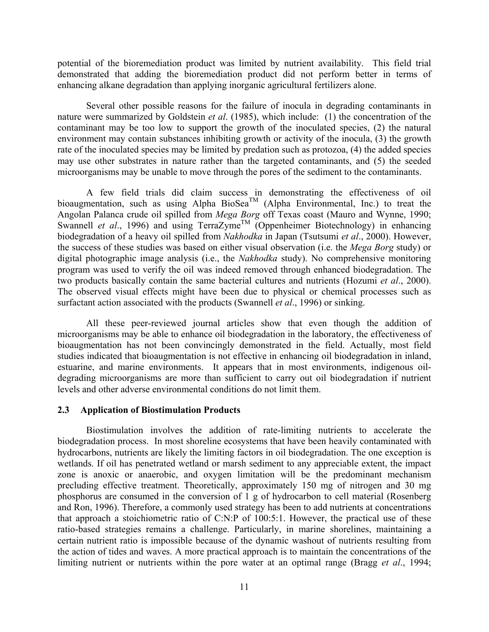<span id="page-15-0"></span>potential of the bioremediation product was limited by nutrient availability. This field trial demonstrated that adding the bioremediation product did not perform better in terms of enhancing alkane degradation than applying inorganic agricultural fertilizers alone.

Several other possible reasons for the failure of inocula in degrading contaminants in nature were summarized by Goldstein *et al*. (1985), which include: (1) the concentration of the contaminant may be too low to support the growth of the inoculated species, (2) the natural environment may contain substances inhibiting growth or activity of the inocula, (3) the growth rate of the inoculated species may be limited by predation such as protozoa, (4) the added species may use other substrates in nature rather than the targeted contaminants, and (5) the seeded microorganisms may be unable to move through the pores of the sediment to the contaminants.

A few field trials did claim success in demonstrating the effectiveness of oil bioaugmentation, such as using Alpha BioSea<sup>TM</sup> (Alpha Environmental, Inc.) to treat the Angolan Palanca crude oil spilled from *Mega Borg* off Texas coast (Mauro and Wynne, 1990; Swannell *et al.*, 1996) and using TerraZyme<sup>TM</sup> (Oppenheimer Biotechnology) in enhancing biodegradation of a heavy oil spilled from *Nakhodka* in Japan (Tsutsumi *et al*., 2000). However, the success of these studies was based on either visual observation (i.e. the *Mega Borg* study) or digital photographic image analysis (i.e., the *Nakhodka* study). No comprehensive monitoring program was used to verify the oil was indeed removed through enhanced biodegradation. The two products basically contain the same bacterial cultures and nutrients (Hozumi *et al*., 2000). The observed visual effects might have been due to physical or chemical processes such as surfactant action associated with the products (Swannell *et al*., 1996) or sinking.

All these peer-reviewed journal articles show that even though the addition of microorganisms may be able to enhance oil biodegradation in the laboratory, the effectiveness of bioaugmentation has not been convincingly demonstrated in the field. Actually, most field studies indicated that bioaugmentation is not effective in enhancing oil biodegradation in inland, estuarine, and marine environments. It appears that in most environments, indigenous oildegrading microorganisms are more than sufficient to carry out oil biodegradation if nutrient levels and other adverse environmental conditions do not limit them.

## **2.3 Application of Biostimulation Products**

Biostimulation involves the addition of rate-limiting nutrients to accelerate the biodegradation process. In most shoreline ecosystems that have been heavily contaminated with hydrocarbons, nutrients are likely the limiting factors in oil biodegradation. The one exception is wetlands. If oil has penetrated wetland or marsh sediment to any appreciable extent, the impact zone is anoxic or anaerobic, and oxygen limitation will be the predominant mechanism precluding effective treatment. Theoretically, approximately 150 mg of nitrogen and 30 mg phosphorus are consumed in the conversion of 1 g of hydrocarbon to cell material (Rosenberg and Ron, 1996). Therefore, a commonly used strategy has been to add nutrients at concentrations that approach a stoichiometric ratio of C:N:P of 100:5:1. However, the practical use of these ratio-based strategies remains a challenge. Particularly, in marine shorelines, maintaining a certain nutrient ratio is impossible because of the dynamic washout of nutrients resulting from the action of tides and waves. A more practical approach is to maintain the concentrations of the limiting nutrient or nutrients within the pore water at an optimal range (Bragg *et al*., 1994;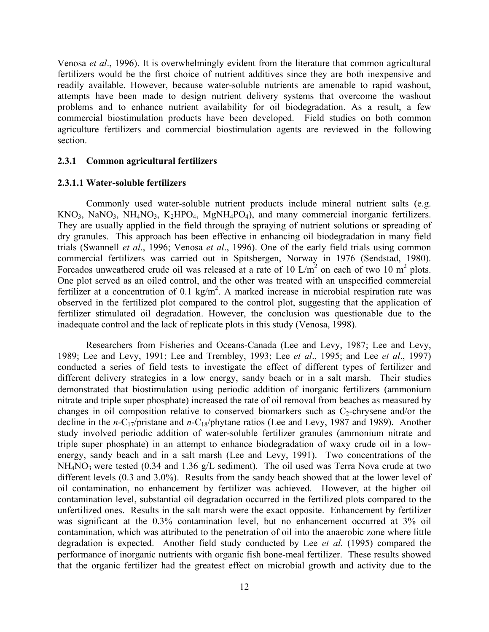Venosa *et al*., 1996). It is overwhelmingly evident from the literature that common agricultural fertilizers would be the first choice of nutrient additives since they are both inexpensive and readily available. However, because water-soluble nutrients are amenable to rapid washout, attempts have been made to design nutrient delivery systems that overcome the washout problems and to enhance nutrient availability for oil biodegradation. As a result, a few commercial biostimulation products have been developed. Field studies on both common agriculture fertilizers and commercial biostimulation agents are reviewed in the following section.

#### **2.3.1 Common agricultural fertilizers**

#### **2.3.1.1 Water-soluble fertilizers**

Commonly used water-soluble nutrient products include mineral nutrient salts (e.g.  $KNO<sub>3</sub>$ , NaNO<sub>3</sub>, NH<sub>4</sub>NO<sub>3</sub>, K<sub>2</sub>HPO<sub>4</sub>, MgNH<sub>4</sub>PO<sub>4</sub>), and many commercial inorganic fertilizers. They are usually applied in the field through the spraying of nutrient solutions or spreading of dry granules. This approach has been effective in enhancing oil biodegradation in many field trials (Swannell *et al*., 1996; Venosa *et al*., 1996). One of the early field trials using common commercial fertilizers was carried out in Spitsbergen, Norway in 1976 (Sendstad, 1980). Forcados unweathered crude oil was released at a rate of 10  $\text{L/m}^2$  on each of two 10 m<sup>2</sup> plots. One plot served as an oiled control, and the other was treated with an unspecified commercial fertilizer at a concentration of 0.1 kg/m<sup>2</sup>. A marked increase in microbial respiration rate was observed in the fertilized plot compared to the control plot, suggesting that the application of fertilizer stimulated oil degradation. However, the conclusion was questionable due to the inadequate control and the lack of replicate plots in this study (Venosa, 1998).

Researchers from Fisheries and Oceans-Canada (Lee and Levy, 1987; Lee and Levy, 1989; Lee and Levy, 1991; Lee and Trembley, 1993; Lee *et al*., 1995; and Lee *et al*., 1997) conducted a series of field tests to investigate the effect of different types of fertilizer and different delivery strategies in a low energy, sandy beach or in a salt marsh. Their studies demonstrated that biostimulation using periodic addition of inorganic fertilizers (ammonium nitrate and triple super phosphate) increased the rate of oil removal from beaches as measured by changes in oil composition relative to conserved biomarkers such as  $C_2$ -chrysene and/or the decline in the *n*-C17/pristane and *n*-C18/phytane ratios (Lee and Levy, 1987 and 1989). Another study involved periodic addition of water-soluble fertilizer granules (ammonium nitrate and triple super phosphate) in an attempt to enhance biodegradation of waxy crude oil in a lowenergy, sandy beach and in a salt marsh (Lee and Levy, 1991). Two concentrations of the  $NH<sub>4</sub>NO<sub>3</sub>$  were tested (0.34 and 1.36 g/L sediment). The oil used was Terra Nova crude at two different levels (0.3 and 3.0%). Results from the sandy beach showed that at the lower level of oil contamination, no enhancement by fertilizer was achieved. However, at the higher oil contamination level, substantial oil degradation occurred in the fertilized plots compared to the unfertilized ones. Results in the salt marsh were the exact opposite. Enhancement by fertilizer was significant at the 0.3% contamination level, but no enhancement occurred at 3% oil contamination, which was attributed to the penetration of oil into the anaerobic zone where little degradation is expected. Another field study conducted by Lee *et al.* (1995) compared the performance of inorganic nutrients with organic fish bone-meal fertilizer. These results showed that the organic fertilizer had the greatest effect on microbial growth and activity due to the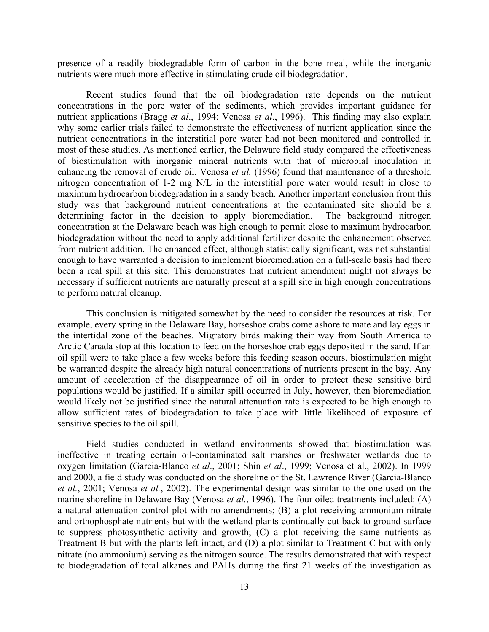presence of a readily biodegradable form of carbon in the bone meal, while the inorganic nutrients were much more effective in stimulating crude oil biodegradation.

Recent studies found that the oil biodegradation rate depends on the nutrient concentrations in the pore water of the sediments, which provides important guidance for nutrient applications (Bragg *et al*., 1994; Venosa *et al*., 1996). This finding may also explain why some earlier trials failed to demonstrate the effectiveness of nutrient application since the nutrient concentrations in the interstitial pore water had not been monitored and controlled in most of these studies. As mentioned earlier, the Delaware field study compared the effectiveness of biostimulation with inorganic mineral nutrients with that of microbial inoculation in enhancing the removal of crude oil. Venosa *et al.* (1996) found that maintenance of a threshold nitrogen concentration of 1-2 mg N/L in the interstitial pore water would result in close to maximum hydrocarbon biodegradation in a sandy beach. Another important conclusion from this study was that background nutrient concentrations at the contaminated site should be a determining factor in the decision to apply bioremediation. The background nitrogen concentration at the Delaware beach was high enough to permit close to maximum hydrocarbon biodegradation without the need to apply additional fertilizer despite the enhancement observed from nutrient addition. The enhanced effect, although statistically significant, was not substantial enough to have warranted a decision to implement bioremediation on a full-scale basis had there been a real spill at this site. This demonstrates that nutrient amendment might not always be necessary if sufficient nutrients are naturally present at a spill site in high enough concentrations to perform natural cleanup.

This conclusion is mitigated somewhat by the need to consider the resources at risk. For example, every spring in the Delaware Bay, horseshoe crabs come ashore to mate and lay eggs in the intertidal zone of the beaches. Migratory birds making their way from South America to Arctic Canada stop at this location to feed on the horseshoe crab eggs deposited in the sand. If an oil spill were to take place a few weeks before this feeding season occurs, biostimulation might be warranted despite the already high natural concentrations of nutrients present in the bay. Any amount of acceleration of the disappearance of oil in order to protect these sensitive bird populations would be justified. If a similar spill occurred in July, however, then bioremediation would likely not be justified since the natural attenuation rate is expected to be high enough to allow sufficient rates of biodegradation to take place with little likelihood of exposure of sensitive species to the oil spill.

Field studies conducted in wetland environments showed that biostimulation was ineffective in treating certain oil-contaminated salt marshes or freshwater wetlands due to oxygen limitation (Garcia-Blanco *et al*., 2001; Shin *et al*., 1999; Venosa et al., 2002). In 1999 and 2000, a field study was conducted on the shoreline of the St. Lawrence River (Garcia-Blanco *et al.*, 2001; Venosa *et al.*, 2002). The experimental design was similar to the one used on the marine shoreline in Delaware Bay (Venosa *et al.*, 1996). The four oiled treatments included: (A) a natural attenuation control plot with no amendments; (B) a plot receiving ammonium nitrate and orthophosphate nutrients but with the wetland plants continually cut back to ground surface to suppress photosynthetic activity and growth; (C) a plot receiving the same nutrients as Treatment B but with the plants left intact, and (D) a plot similar to Treatment C but with only nitrate (no ammonium) serving as the nitrogen source. The results demonstrated that with respect to biodegradation of total alkanes and PAHs during the first 21 weeks of the investigation as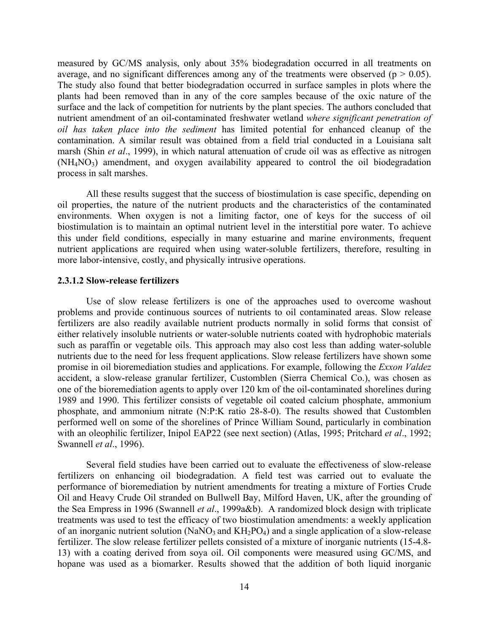measured by GC/MS analysis, only about 35% biodegradation occurred in all treatments on average, and no significant differences among any of the treatments were observed ( $p > 0.05$ ). The study also found that better biodegradation occurred in surface samples in plots where the plants had been removed than in any of the core samples because of the oxic nature of the surface and the lack of competition for nutrients by the plant species. The authors concluded that nutrient amendment of an oil-contaminated freshwater wetland *where significant penetration of oil has taken place into the sediment* has limited potential for enhanced cleanup of the contamination. A similar result was obtained from a field trial conducted in a Louisiana salt marsh (Shin *et al*., 1999), in which natural attenuation of crude oil was as effective as nitrogen  $(NH_4NO_3)$  amendment, and oxygen availability appeared to control the oil biodegradation process in salt marshes.

All these results suggest that the success of biostimulation is case specific, depending on oil properties, the nature of the nutrient products and the characteristics of the contaminated environments. When oxygen is not a limiting factor, one of keys for the success of oil biostimulation is to maintain an optimal nutrient level in the interstitial pore water. To achieve this under field conditions, especially in many estuarine and marine environments, frequent nutrient applications are required when using water-soluble fertilizers, therefore, resulting in more labor-intensive, costly, and physically intrusive operations.

#### **2.3.1.2 Slow-release fertilizers**

Use of slow release fertilizers is one of the approaches used to overcome washout problems and provide continuous sources of nutrients to oil contaminated areas. Slow release fertilizers are also readily available nutrient products normally in solid forms that consist of either relatively insoluble nutrients or water-soluble nutrients coated with hydrophobic materials such as paraffin or vegetable oils. This approach may also cost less than adding water-soluble nutrients due to the need for less frequent applications. Slow release fertilizers have shown some promise in oil bioremediation studies and applications. For example, following the *Exxon Valdez* accident, a slow-release granular fertilizer, Customblen (Sierra Chemical Co.), was chosen as one of the bioremediation agents to apply over 120 km of the oil-contaminated shorelines during 1989 and 1990. This fertilizer consists of vegetable oil coated calcium phosphate, ammonium phosphate, and ammonium nitrate (N:P:K ratio 28-8-0). The results showed that Customblen performed well on some of the shorelines of Prince William Sound, particularly in combination with an oleophilic fertilizer, Inipol EAP22 (see next section) (Atlas, 1995; Pritchard *et al*., 1992; Swannell *et al*., 1996).

Several field studies have been carried out to evaluate the effectiveness of slow-release fertilizers on enhancing oil biodegradation. A field test was carried out to evaluate the performance of bioremediation by nutrient amendments for treating a mixture of Forties Crude Oil and Heavy Crude Oil stranded on Bullwell Bay, Milford Haven, UK, after the grounding of the Sea Empress in 1996 (Swannell *et al*., 1999a&b). A randomized block design with triplicate treatments was used to test the efficacy of two biostimulation amendments: a weekly application of an inorganic nutrient solution (NaNO<sub>3</sub> and KH<sub>2</sub>PO<sub>4</sub>) and a single application of a slow-release fertilizer. The slow release fertilizer pellets consisted of a mixture of inorganic nutrients (15-4.8- 13) with a coating derived from soya oil. Oil components were measured using GC/MS, and hopane was used as a biomarker. Results showed that the addition of both liquid inorganic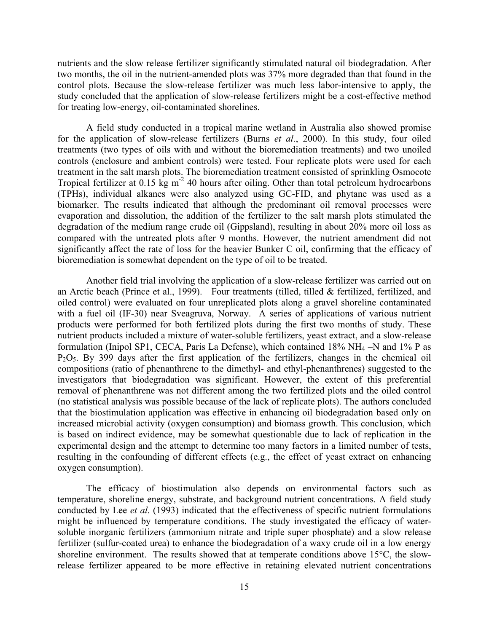nutrients and the slow release fertilizer significantly stimulated natural oil biodegradation. After two months, the oil in the nutrient-amended plots was 37% more degraded than that found in the control plots. Because the slow-release fertilizer was much less labor-intensive to apply, the study concluded that the application of slow-release fertilizers might be a cost-effective method for treating low-energy, oil-contaminated shorelines.

A field study conducted in a tropical marine wetland in Australia also showed promise for the application of slow-release fertilizers (Burns *et al*., 2000). In this study, four oiled treatments (two types of oils with and without the bioremediation treatments) and two unoiled controls (enclosure and ambient controls) were tested. Four replicate plots were used for each treatment in the salt marsh plots. The bioremediation treatment consisted of sprinkling Osmocote Tropical fertilizer at  $0.15 \text{ kg m}^2$  40 hours after oiling. Other than total petroleum hydrocarbons (TPHs), individual alkanes were also analyzed using GC-FID, and phytane was used as a biomarker. The results indicated that although the predominant oil removal processes were evaporation and dissolution, the addition of the fertilizer to the salt marsh plots stimulated the degradation of the medium range crude oil (Gippsland), resulting in about 20% more oil loss as compared with the untreated plots after 9 months. However, the nutrient amendment did not significantly affect the rate of loss for the heavier Bunker C oil, confirming that the efficacy of bioremediation is somewhat dependent on the type of oil to be treated.

Another field trial involving the application of a slow-release fertilizer was carried out on an Arctic beach (Prince et al., 1999). Four treatments (tilled, tilled & fertilized, fertilized, and oiled control) were evaluated on four unreplicated plots along a gravel shoreline contaminated with a fuel oil (IF-30) near Sveagruva, Norway. A series of applications of various nutrient products were performed for both fertilized plots during the first two months of study. These nutrient products included a mixture of water-soluble fertilizers, yeast extract, and a slow-release formulation (Inipol SP1, CECA, Paris La Defense), which contained  $18\%$  NH<sub>4</sub> –N and  $1\%$  P as  $P_2O_5$ . By 399 days after the first application of the fertilizers, changes in the chemical oil compositions (ratio of phenanthrene to the dimethyl- and ethyl-phenanthrenes) suggested to the investigators that biodegradation was significant. However, the extent of this preferential removal of phenanthrene was not different among the two fertilized plots and the oiled control (no statistical analysis was possible because of the lack of replicate plots). The authors concluded that the biostimulation application was effective in enhancing oil biodegradation based only on increased microbial activity (oxygen consumption) and biomass growth. This conclusion, which is based on indirect evidence, may be somewhat questionable due to lack of replication in the experimental design and the attempt to determine too many factors in a limited number of tests, resulting in the confounding of different effects (e.g., the effect of yeast extract on enhancing oxygen consumption).

The efficacy of biostimulation also depends on environmental factors such as temperature, shoreline energy, substrate, and background nutrient concentrations. A field study conducted by Lee *et al*. (1993) indicated that the effectiveness of specific nutrient formulations might be influenced by temperature conditions. The study investigated the efficacy of watersoluble inorganic fertilizers (ammonium nitrate and triple super phosphate) and a slow release fertilizer (sulfur-coated urea) to enhance the biodegradation of a waxy crude oil in a low energy shoreline environment. The results showed that at temperate conditions above 15°C, the slowrelease fertilizer appeared to be more effective in retaining elevated nutrient concentrations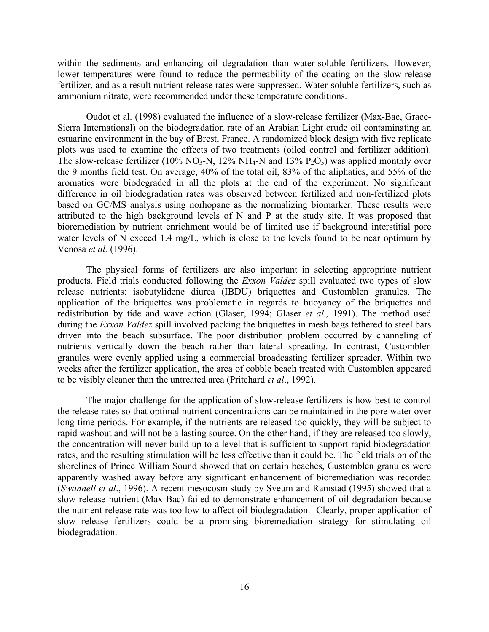within the sediments and enhancing oil degradation than water-soluble fertilizers. However, lower temperatures were found to reduce the permeability of the coating on the slow-release fertilizer, and as a result nutrient release rates were suppressed. Water-soluble fertilizers, such as ammonium nitrate, were recommended under these temperature conditions.

Oudot et al. (1998) evaluated the influence of a slow-release fertilizer (Max-Bac, Grace-Sierra International) on the biodegradation rate of an Arabian Light crude oil contaminating an estuarine environment in the bay of Brest, France. A randomized block design with five replicate plots was used to examine the effects of two treatments (oiled control and fertilizer addition). The slow-release fertilizer (10%  $NO<sub>3</sub>-N$ , 12%  $NH<sub>4</sub>-N$  and 13%  $P<sub>2</sub>O<sub>5</sub>$ ) was applied monthly over the 9 months field test. On average, 40% of the total oil, 83% of the aliphatics, and 55% of the aromatics were biodegraded in all the plots at the end of the experiment. No significant difference in oil biodegradation rates was observed between fertilized and non-fertilized plots based on GC/MS analysis using norhopane as the normalizing biomarker. These results were attributed to the high background levels of N and P at the study site. It was proposed that bioremediation by nutrient enrichment would be of limited use if background interstitial pore water levels of N exceed 1.4 mg/L, which is close to the levels found to be near optimum by Venosa *et al.* (1996).

The physical forms of fertilizers are also important in selecting appropriate nutrient products. Field trials conducted following the *Exxon Valdez* spill evaluated two types of slow release nutrients: isobutylidene diurea (IBDU) briquettes and Customblen granules. The application of the briquettes was problematic in regards to buoyancy of the briquettes and redistribution by tide and wave action (Glaser, 1994; Glaser *et al.,* 1991). The method used during the *Exxon Valdez* spill involved packing the briquettes in mesh bags tethered to steel bars driven into the beach subsurface. The poor distribution problem occurred by channeling of nutrients vertically down the beach rather than lateral spreading. In contrast, Customblen granules were evenly applied using a commercial broadcasting fertilizer spreader. Within two weeks after the fertilizer application, the area of cobble beach treated with Customblen appeared to be visibly cleaner than the untreated area (Pritchard *et al*., 1992).

The major challenge for the application of slow-release fertilizers is how best to control the release rates so that optimal nutrient concentrations can be maintained in the pore water over long time periods. For example, if the nutrients are released too quickly, they will be subject to rapid washout and will not be a lasting source. On the other hand, if they are released too slowly, the concentration will never build up to a level that is sufficient to support rapid biodegradation rates, and the resulting stimulation will be less effective than it could be. The field trials on of the shorelines of Prince William Sound showed that on certain beaches, Customblen granules were apparently washed away before any significant enhancement of bioremediation was recorded (*Swannell et al*., 1996). A recent mesocosm study by Sveum and Ramstad (1995) showed that a slow release nutrient (Max Bac) failed to demonstrate enhancement of oil degradation because the nutrient release rate was too low to affect oil biodegradation. Clearly, proper application of slow release fertilizers could be a promising bioremediation strategy for stimulating oil biodegradation.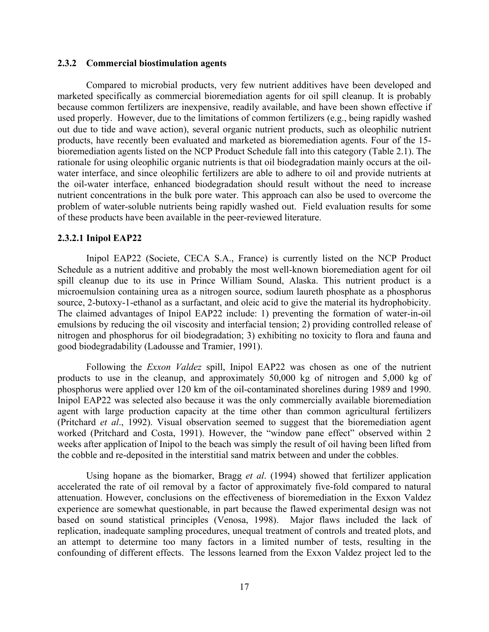#### **2.3.2 Commercial biostimulation agents**

Compared to microbial products, very few nutrient additives have been developed and marketed specifically as commercial bioremediation agents for oil spill cleanup. It is probably because common fertilizers are inexpensive, readily available, and have been shown effective if used properly. However, due to the limitations of common fertilizers (e.g., being rapidly washed out due to tide and wave action), several organic nutrient products, such as oleophilic nutrient products, have recently been evaluated and marketed as bioremediation agents. Four of the 15 bioremediation agents listed on the NCP Product Schedule fall into this category (Table 2.1). The rationale for using oleophilic organic nutrients is that oil biodegradation mainly occurs at the oilwater interface, and since oleophilic fertilizers are able to adhere to oil and provide nutrients at the oil-water interface, enhanced biodegradation should result without the need to increase nutrient concentrations in the bulk pore water. This approach can also be used to overcome the problem of water-soluble nutrients being rapidly washed out. Field evaluation results for some of these products have been available in the peer-reviewed literature.

## **2.3.2.1 Inipol EAP22**

Inipol EAP22 (Societe, CECA S.A., France) is currently listed on the NCP Product Schedule as a nutrient additive and probably the most well-known bioremediation agent for oil spill cleanup due to its use in Prince William Sound, Alaska. This nutrient product is a microemulsion containing urea as a nitrogen source, sodium laureth phosphate as a phosphorus source, 2-butoxy-1-ethanol as a surfactant, and oleic acid to give the material its hydrophobicity. The claimed advantages of Inipol EAP22 include: 1) preventing the formation of water-in-oil emulsions by reducing the oil viscosity and interfacial tension; 2) providing controlled release of nitrogen and phosphorus for oil biodegradation; 3) exhibiting no toxicity to flora and fauna and good biodegradability (Ladousse and Tramier, 1991).

Following the *Exxon Valdez* spill, Inipol EAP22 was chosen as one of the nutrient products to use in the cleanup, and approximately 50,000 kg of nitrogen and 5,000 kg of phosphorus were applied over 120 km of the oil-contaminated shorelines during 1989 and 1990. Inipol EAP22 was selected also because it was the only commercially available bioremediation agent with large production capacity at the time other than common agricultural fertilizers (Pritchard *et al*., 1992). Visual observation seemed to suggest that the bioremediation agent worked (Pritchard and Costa, 1991). However, the "window pane effect" observed within 2 weeks after application of Inipol to the beach was simply the result of oil having been lifted from the cobble and re-deposited in the interstitial sand matrix between and under the cobbles.

Using hopane as the biomarker, Bragg *et al*. (1994) showed that fertilizer application accelerated the rate of oil removal by a factor of approximately five-fold compared to natural attenuation. However, conclusions on the effectiveness of bioremediation in the Exxon Valdez experience are somewhat questionable, in part because the flawed experimental design was not based on sound statistical principles (Venosa, 1998). Major flaws included the lack of replication, inadequate sampling procedures, unequal treatment of controls and treated plots, and an attempt to determine too many factors in a limited number of tests, resulting in the confounding of different effects. The lessons learned from the Exxon Valdez project led to the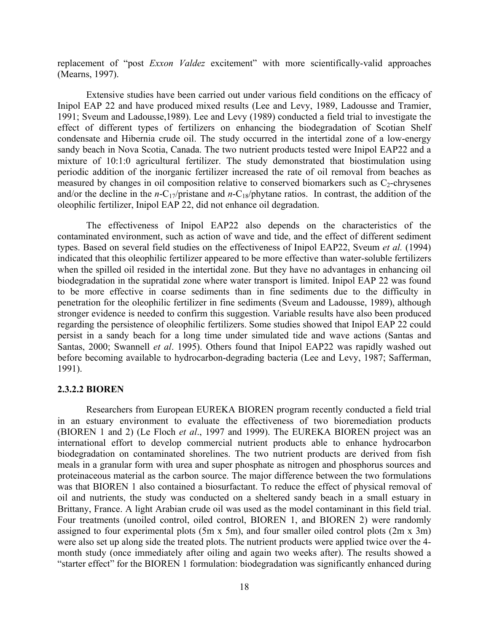replacement of "post *Exxon Valdez* excitement" with more scientifically-valid approaches (Mearns, 1997).

Extensive studies have been carried out under various field conditions on the efficacy of Inipol EAP 22 and have produced mixed results (Lee and Levy, 1989, Ladousse and Tramier, 1991; Sveum and Ladousse,1989). Lee and Levy (1989) conducted a field trial to investigate the effect of different types of fertilizers on enhancing the biodegradation of Scotian Shelf condensate and Hibernia crude oil. The study occurred in the intertidal zone of a low-energy sandy beach in Nova Scotia, Canada. The two nutrient products tested were Inipol EAP22 and a mixture of 10:1:0 agricultural fertilizer. The study demonstrated that biostimulation using periodic addition of the inorganic fertilizer increased the rate of oil removal from beaches as measured by changes in oil composition relative to conserved biomarkers such as  $C_2$ -chrysenes and/or the decline in the *n*-C<sub>17</sub>/pristane and *n*-C<sub>18</sub>/phytane ratios. In contrast, the addition of the oleophilic fertilizer, Inipol EAP 22, did not enhance oil degradation.

The effectiveness of Inipol EAP22 also depends on the characteristics of the contaminated environment, such as action of wave and tide, and the effect of different sediment types. Based on several field studies on the effectiveness of Inipol EAP22, Sveum *et al.* (1994) indicated that this oleophilic fertilizer appeared to be more effective than water-soluble fertilizers when the spilled oil resided in the intertidal zone. But they have no advantages in enhancing oil biodegradation in the supratidal zone where water transport is limited. Inipol EAP 22 was found to be more effective in coarse sediments than in fine sediments due to the difficulty in penetration for the oleophilic fertilizer in fine sediments (Sveum and Ladousse, 1989), although stronger evidence is needed to confirm this suggestion. Variable results have also been produced regarding the persistence of oleophilic fertilizers. Some studies showed that Inipol EAP 22 could persist in a sandy beach for a long time under simulated tide and wave actions (Santas and Santas, 2000; Swannell *et al*. 1995). Others found that Inipol EAP22 was rapidly washed out before becoming available to hydrocarbon-degrading bacteria (Lee and Levy, 1987; Safferman, 1991).

#### **2.3.2.2 BIOREN**

Researchers from European EUREKA BIOREN program recently conducted a field trial in an estuary environment to evaluate the effectiveness of two bioremediation products (BIOREN 1 and 2) (Le Floch *et al*., 1997 and 1999). The EUREKA BIOREN project was an international effort to develop commercial nutrient products able to enhance hydrocarbon biodegradation on contaminated shorelines. The two nutrient products are derived from fish meals in a granular form with urea and super phosphate as nitrogen and phosphorus sources and proteinaceous material as the carbon source. The major difference between the two formulations was that BIOREN 1 also contained a biosurfactant. To reduce the effect of physical removal of oil and nutrients, the study was conducted on a sheltered sandy beach in a small estuary in Brittany, France. A light Arabian crude oil was used as the model contaminant in this field trial. Four treatments (unoiled control, oiled control, BIOREN 1, and BIOREN 2) were randomly assigned to four experimental plots (5m x 5m), and four smaller oiled control plots (2m x 3m) were also set up along side the treated plots. The nutrient products were applied twice over the 4 month study (once immediately after oiling and again two weeks after). The results showed a "starter effect" for the BIOREN 1 formulation: biodegradation was significantly enhanced during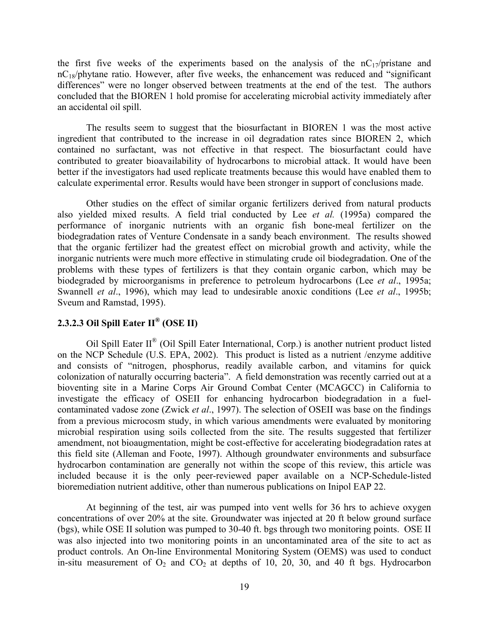the first five weeks of the experiments based on the analysis of the  $nC_{17}/pristance$  and nC18/phytane ratio. However, after five weeks, the enhancement was reduced and "significant differences" were no longer observed between treatments at the end of the test. The authors concluded that the BIOREN 1 hold promise for accelerating microbial activity immediately after an accidental oil spill.

The results seem to suggest that the biosurfactant in BIOREN 1 was the most active ingredient that contributed to the increase in oil degradation rates since BIOREN 2, which contained no surfactant, was not effective in that respect. The biosurfactant could have contributed to greater bioavailability of hydrocarbons to microbial attack. It would have been better if the investigators had used replicate treatments because this would have enabled them to calculate experimental error. Results would have been stronger in support of conclusions made.

Other studies on the effect of similar organic fertilizers derived from natural products also yielded mixed results. A field trial conducted by Lee *et al.* (1995a) compared the performance of inorganic nutrients with an organic fish bone-meal fertilizer on the biodegradation rates of Venture Condensate in a sandy beach environment. The results showed that the organic fertilizer had the greatest effect on microbial growth and activity, while the inorganic nutrients were much more effective in stimulating crude oil biodegradation. One of the problems with these types of fertilizers is that they contain organic carbon, which may be biodegraded by microorganisms in preference to petroleum hydrocarbons (Lee *et al*., 1995a; Swannell *et al*., 1996), which may lead to undesirable anoxic conditions (Lee *et al*., 1995b; Sveum and Ramstad, 1995).

# **2.3.2.3 Oil Spill Eater II® (OSE II)**

Oil Spill Eater II® (Oil Spill Eater International, Corp.) is another nutrient product listed on the NCP Schedule (U.S. EPA, 2002). This product is listed as a nutrient /enzyme additive and consists of "nitrogen, phosphorus, readily available carbon, and vitamins for quick colonization of naturally occurring bacteria". A field demonstration was recently carried out at a bioventing site in a Marine Corps Air Ground Combat Center (MCAGCC) in California to investigate the efficacy of OSEII for enhancing hydrocarbon biodegradation in a fuelcontaminated vadose zone (Zwick *et al*., 1997). The selection of OSEII was base on the findings from a previous microcosm study, in which various amendments were evaluated by monitoring microbial respiration using soils collected from the site. The results suggested that fertilizer amendment, not bioaugmentation, might be cost-effective for accelerating biodegradation rates at this field site (Alleman and Foote, 1997). Although groundwater environments and subsurface hydrocarbon contamination are generally not within the scope of this review, this article was included because it is the only peer-reviewed paper available on a NCP-Schedule-listed bioremediation nutrient additive, other than numerous publications on Inipol EAP 22.

At beginning of the test, air was pumped into vent wells for 36 hrs to achieve oxygen concentrations of over 20% at the site. Groundwater was injected at 20 ft below ground surface (bgs), while OSE II solution was pumped to 30-40 ft. bgs through two monitoring points. OSE II was also injected into two monitoring points in an uncontaminated area of the site to act as product controls. An On-line Environmental Monitoring System (OEMS) was used to conduct in-situ measurement of  $O_2$  and  $CO_2$  at depths of 10, 20, 30, and 40 ft bgs. Hydrocarbon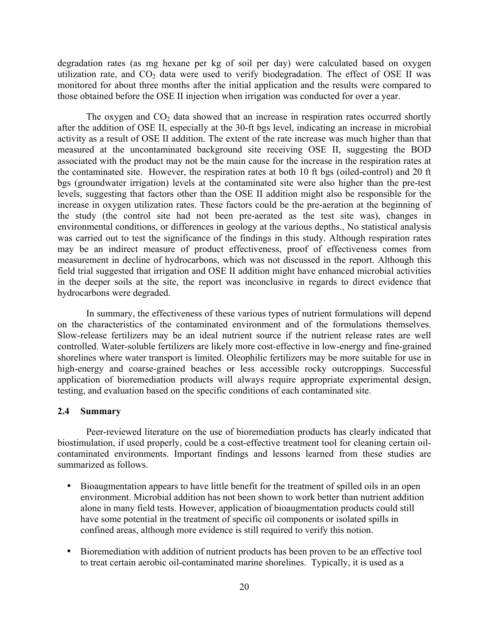<span id="page-24-0"></span>degradation rates (as mg hexane per kg of soil per day) were calculated based on oxygen utilization rate, and  $CO<sub>2</sub>$  data were used to verify biodegradation. The effect of OSE II was monitored for about three months after the initial application and the results were compared to those obtained before the OSE II injection when irrigation was conducted for over a year.

The oxygen and  $CO<sub>2</sub>$  data showed that an increase in respiration rates occurred shortly after the addition of OSE II, especially at the 30-ft bgs level, indicating an increase in microbial activity as a result of OSE II addition. The extent of the rate increase was much higher than that measured at the uncontaminated background site receiving OSE II, suggesting the BOD associated with the product may not be the main cause for the increase in the respiration rates at the contaminated site. However, the respiration rates at both 10 ft bgs (oiled-control) and 20 ft bgs (groundwater irrigation) levels at the contaminated site were also higher than the pre-test levels, suggesting that factors other than the OSE II addition might also be responsible for the increase in oxygen utilization rates. These factors could be the pre-aeration at the beginning of the study (the control site had not been pre-aerated as the test site was), changes in environmental conditions, or differences in geology at the various depths., No statistical analysis was carried out to test the significance of the findings in this study. Although respiration rates may be an indirect measure of product effectiveness, proof of effectiveness comes from measurement in decline of hydrocarbons, which was not discussed in the report. Although this field trial suggested that irrigation and OSE II addition might have enhanced microbial activities in the deeper soils at the site, the report was inconclusive in regards to direct evidence that hydrocarbons were degraded.

In summary, the effectiveness of these various types of nutrient formulations will depend on the characteristics of the contaminated environment and of the formulations themselves. Slow-release fertilizers may be an ideal nutrient source if the nutrient release rates are well controlled. Water-soluble fertilizers are likely more cost-effective in low-energy and fine-grained shorelines where water transport is limited. Oleophilic fertilizers may be more suitable for use in high-energy and coarse-grained beaches or less accessible rocky outcroppings. Successful application of bioremediation products will always require appropriate experimental design, testing, and evaluation based on the specific conditions of each contaminated site.

# **2.4 Summary**

Peer-reviewed literature on the use of bioremediation products has clearly indicated that biostimulation, if used properly, could be a cost-effective treatment tool for cleaning certain oilcontaminated environments. Important findings and lessons learned from these studies are summarized as follows.

- Bioaugmentation appears to have little benefit for the treatment of spilled oils in an open environment. Microbial addition has not been shown to work better than nutrient addition alone in many field tests. However, application of bioaugmentation products could still have some potential in the treatment of specific oil components or isolated spills in confined areas, although more evidence is still required to verify this notion.
- Bioremediation with addition of nutrient products has been proven to be an effective tool to treat certain aerobic oil-contaminated marine shorelines. Typically, it is used as a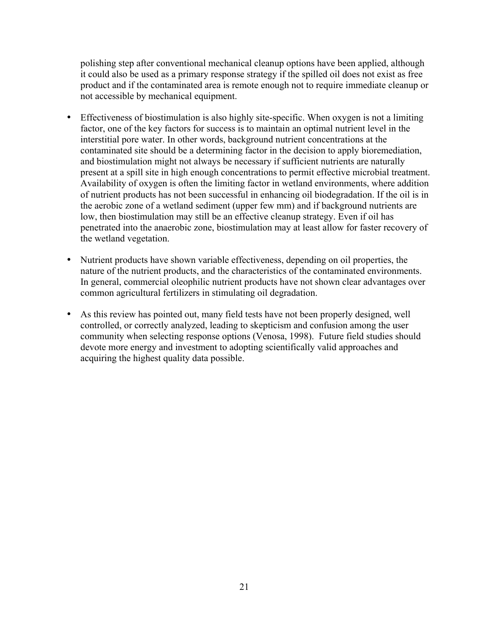polishing step after conventional mechanical cleanup options have been applied, although it could also be used as a primary response strategy if the spilled oil does not exist as free product and if the contaminated area is remote enough not to require immediate cleanup or not accessible by mechanical equipment.

- Effectiveness of biostimulation is also highly site-specific. When oxygen is not a limiting factor, one of the key factors for success is to maintain an optimal nutrient level in the interstitial pore water. In other words, background nutrient concentrations at the contaminated site should be a determining factor in the decision to apply bioremediation, and biostimulation might not always be necessary if sufficient nutrients are naturally present at a spill site in high enough concentrations to permit effective microbial treatment. Availability of oxygen is often the limiting factor in wetland environments, where addition of nutrient products has not been successful in enhancing oil biodegradation. If the oil is in the aerobic zone of a wetland sediment (upper few mm) and if background nutrients are low, then biostimulation may still be an effective cleanup strategy. Even if oil has penetrated into the anaerobic zone, biostimulation may at least allow for faster recovery of the wetland vegetation.
- Nutrient products have shown variable effectiveness, depending on oil properties, the nature of the nutrient products, and the characteristics of the contaminated environments. In general, commercial oleophilic nutrient products have not shown clear advantages over common agricultural fertilizers in stimulating oil degradation.
- As this review has pointed out, many field tests have not been properly designed, well controlled, or correctly analyzed, leading to skepticism and confusion among the user community when selecting response options (Venosa, 1998). Future field studies should devote more energy and investment to adopting scientifically valid approaches and acquiring the highest quality data possible.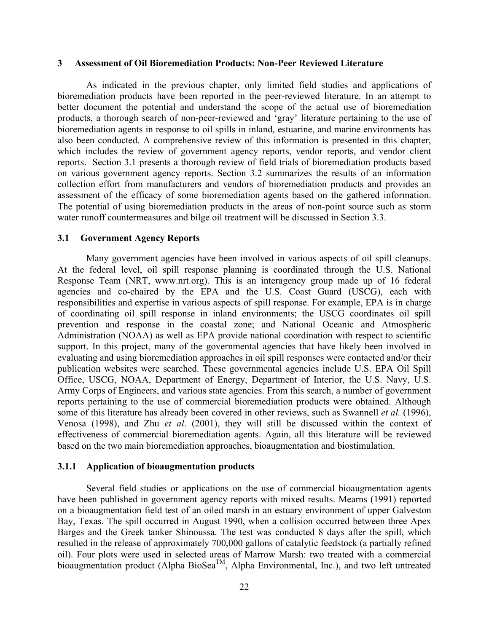## <span id="page-26-0"></span>**3 Assessment of Oil Bioremediation Products: Non-Peer Reviewed Literature**

As indicated in the previous chapter, only limited field studies and applications of bioremediation products have been reported in the peer-reviewed literature. In an attempt to better document the potential and understand the scope of the actual use of bioremediation products, a thorough search of non-peer-reviewed and 'gray' literature pertaining to the use of bioremediation agents in response to oil spills in inland, estuarine, and marine environments has also been conducted. A comprehensive review of this information is presented in this chapter, which includes the review of government agency reports, vendor reports, and vendor client reports. Section 3.1 presents a thorough review of field trials of bioremediation products based on various government agency reports. Section 3.2 summarizes the results of an information collection effort from manufacturers and vendors of bioremediation products and provides an assessment of the efficacy of some bioremediation agents based on the gathered information. The potential of using bioremediation products in the areas of non-point source such as storm water runoff countermeasures and bilge oil treatment will be discussed in Section 3.3.

#### **3.1 Government Agency Reports**

Many government agencies have been involved in various aspects of oil spill cleanups. At the federal level, oil spill response planning is coordinated through the U.S. National Response Team (NRT, www.nrt.org). This is an interagency group made up of 16 federal agencies and co-chaired by the EPA and the U.S. Coast Guard (USCG), each with responsibilities and expertise in various aspects of spill response. For example, EPA is in charge of coordinating oil spill response in inland environments; the USCG coordinates oil spill prevention and response in the coastal zone; and National Oceanic and Atmospheric Administration (NOAA) as well as EPA provide national coordination with respect to scientific support. In this project, many of the governmental agencies that have likely been involved in evaluating and using bioremediation approaches in oil spill responses were contacted and/or their publication websites were searched. These governmental agencies include U.S. EPA Oil Spill Office, USCG, NOAA, Department of Energy, Department of Interior, the U.S. Navy, U.S. Army Corps of Engineers, and various state agencies. From this search, a number of government reports pertaining to the use of commercial bioremediation products were obtained. Although some of this literature has already been covered in other reviews, such as Swannell *et al.* (1996), Venosa (1998), and Zhu *et al*. (2001), they will still be discussed within the context of effectiveness of commercial bioremediation agents. Again, all this literature will be reviewed based on the two main bioremediation approaches, bioaugmentation and biostimulation.

#### **3.1.1 Application of bioaugmentation products**

Several field studies or applications on the use of commercial bioaugmentation agents have been published in government agency reports with mixed results. Mearns (1991) reported on a bioaugmentation field test of an oiled marsh in an estuary environment of upper Galveston Bay, Texas. The spill occurred in August 1990, when a collision occurred between three Apex Barges and the Greek tanker Shinoussa. The test was conducted 8 days after the spill, which resulted in the release of approximately 700,000 gallons of catalytic feedstock (a partially refined oil). Four plots were used in selected areas of Marrow Marsh: two treated with a commercial bioaugmentation product (Alpha BioSea<sup>TM</sup>, Alpha Environmental, Inc.), and two left untreated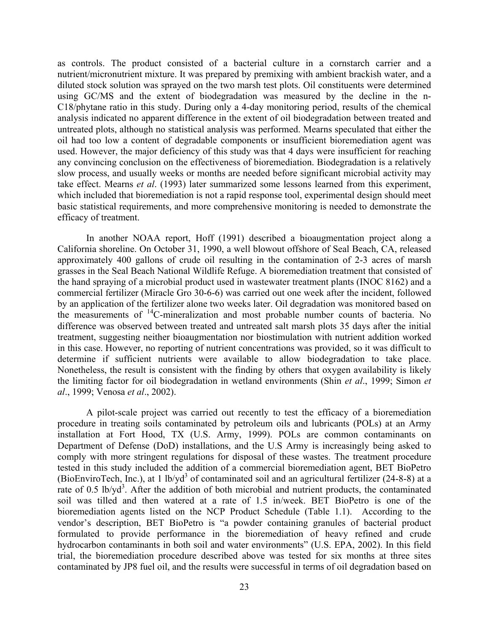as controls. The product consisted of a bacterial culture in a cornstarch carrier and a nutrient/micronutrient mixture. It was prepared by premixing with ambient brackish water, and a diluted stock solution was sprayed on the two marsh test plots. Oil constituents were determined using GC/MS and the extent of biodegradation was measured by the decline in the n-C18/phytane ratio in this study. During only a 4-day monitoring period, results of the chemical analysis indicated no apparent difference in the extent of oil biodegradation between treated and untreated plots, although no statistical analysis was performed. Mearns speculated that either the oil had too low a content of degradable components or insufficient bioremediation agent was used. However, the major deficiency of this study was that 4 days were insufficient for reaching any convincing conclusion on the effectiveness of bioremediation. Biodegradation is a relatively slow process, and usually weeks or months are needed before significant microbial activity may take effect. Mearns *et al*. (1993) later summarized some lessons learned from this experiment, which included that bioremediation is not a rapid response tool, experimental design should meet basic statistical requirements, and more comprehensive monitoring is needed to demonstrate the efficacy of treatment.

In another NOAA report, Hoff (1991) described a bioaugmentation project along a California shoreline. On October 31, 1990, a well blowout offshore of Seal Beach, CA, released approximately 400 gallons of crude oil resulting in the contamination of 2-3 acres of marsh grasses in the Seal Beach National Wildlife Refuge. A bioremediation treatment that consisted of the hand spraying of a microbial product used in wastewater treatment plants (INOC 8162) and a commercial fertilizer (Miracle Gro 30-6-6) was carried out one week after the incident, followed by an application of the fertilizer alone two weeks later. Oil degradation was monitored based on the measurements of 14C-mineralization and most probable number counts of bacteria. No difference was observed between treated and untreated salt marsh plots 35 days after the initial treatment, suggesting neither bioaugmentation nor biostimulation with nutrient addition worked in this case. However, no reporting of nutrient concentrations was provided, so it was difficult to determine if sufficient nutrients were available to allow biodegradation to take place. Nonetheless, the result is consistent with the finding by others that oxygen availability is likely the limiting factor for oil biodegradation in wetland environments (Shin *et al*., 1999; Simon *et al*., 1999; Venosa *et al*., 2002).

A pilot-scale project was carried out recently to test the efficacy of a bioremediation procedure in treating soils contaminated by petroleum oils and lubricants (POLs) at an Army installation at Fort Hood, TX (U.S. Army, 1999). POLs are common contaminants on Department of Defense (DoD) installations, and the U.S Army is increasingly being asked to comply with more stringent regulations for disposal of these wastes. The treatment procedure tested in this study included the addition of a commercial bioremediation agent, BET BioPetro (BioEnviroTech, Inc.), at 1 lb/yd<sup>3</sup> of contaminated soil and an agricultural fertilizer (24-8-8) at a rate of 0.5 lb/yd<sup>3</sup>. After the addition of both microbial and nutrient products, the contaminated soil was tilled and then watered at a rate of 1.5 in/week. BET BioPetro is one of the bioremediation agents listed on the NCP Product Schedule (Table 1.1). According to the vendor's description, BET BioPetro is "a powder containing granules of bacterial product formulated to provide performance in the bioremediation of heavy refined and crude hydrocarbon contaminants in both soil and water environments" (U.S. EPA, 2002). In this field trial, the bioremediation procedure described above was tested for six months at three sites contaminated by JP8 fuel oil, and the results were successful in terms of oil degradation based on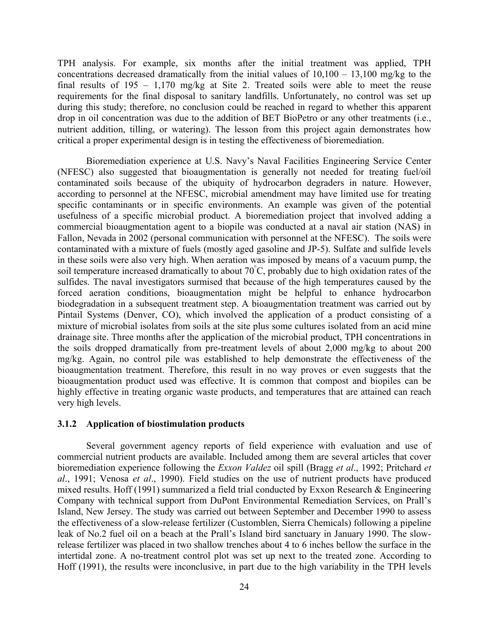TPH analysis. For example, six months after the initial treatment was applied, TPH concentrations decreased dramatically from the initial values of  $10,100 - 13,100$  mg/kg to the final results of  $195 - 1,170$  mg/kg at Site 2. Treated soils were able to meet the reuse requirements for the final disposal to sanitary landfills. Unfortunately, no control was set up during this study; therefore, no conclusion could be reached in regard to whether this apparent drop in oil concentration was due to the addition of BET BioPetro or any other treatments (i.e., nutrient addition, tilling, or watering). The lesson from this project again demonstrates how critical a proper experimental design is in testing the effectiveness of bioremediation.

Bioremediation experience at U.S. Navy's Naval Facilities Engineering Service Center (NFESC) also suggested that bioaugmentation is generally not needed for treating fuel/oil contaminated soils because of the ubiquity of hydrocarbon degraders in nature. However, according to personnel at the NFESC, microbial amendment may have limited use for treating specific contaminants or in specific environments. An example was given of the potential usefulness of a specific microbial product. A bioremediation project that involved adding a commercial bioaugmentation agent to a biopile was conducted at a naval air station (NAS) in Fallon, Nevada in 2002 (personal communication with personnel at the NFESC). The soils were contaminated with a mixture of fuels (mostly aged gasoline and JP-5). Sulfate and sulfide levels in these soils were also very high. When aeration was imposed by means of a vacuum pump, the soil temperature increased dramatically to about 70°C, probably due to high oxidation rates of the sulfides. The naval investigators surmised that because of the high temperatures caused by the forced aeration conditions, bioaugmentation might be helpful to enhance hydrocarbon biodegradation in a subsequent treatment step. A bioaugmentation treatment was carried out by Pintail Systems (Denver, CO), which involved the application of a product consisting of a mixture of microbial isolates from soils at the site plus some cultures isolated from an acid mine drainage site. Three months after the application of the microbial product, TPH concentrations in the soils dropped dramatically from pre-treatment levels of about 2,000 mg/kg to about 200 mg/kg. Again, no control pile was established to help demonstrate the effectiveness of the bioaugmentation treatment. Therefore, this result in no way proves or even suggests that the bioaugmentation product used was effective. It is common that compost and biopiles can be highly effective in treating organic waste products, and temperatures that are attained can reach very high levels.

## **3.1.2 Application of biostimulation products**

Several government agency reports of field experience with evaluation and use of commercial nutrient products are available. Included among them are several articles that cover bioremediation experience following the *Exxon Valdez* oil spill (Bragg *et al*., 1992; Pritchard *et al*., 1991; Venosa *et al*., 1990). Field studies on the use of nutrient products have produced mixed results. Hoff (1991) summarized a field trial conducted by Exxon Research & Engineering Company with technical support from DuPont Environmental Remediation Services, on Prall's Island, New Jersey. The study was carried out between September and December 1990 to assess the effectiveness of a slow-release fertilizer (Customblen, Sierra Chemicals) following a pipeline leak of No.2 fuel oil on a beach at the Prall's Island bird sanctuary in January 1990. The slowrelease fertilizer was placed in two shallow trenches about 4 to 6 inches bellow the surface in the intertidal zone. A no-treatment control plot was set up next to the treated zone. According to Hoff (1991), the results were inconclusive, in part due to the high variability in the TPH levels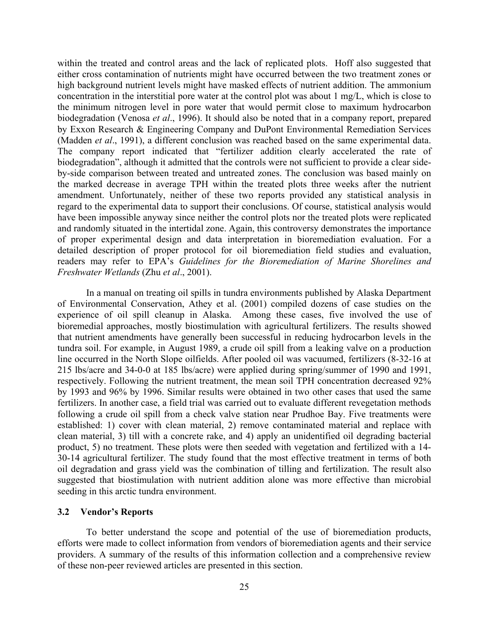<span id="page-29-0"></span>within the treated and control areas and the lack of replicated plots. Hoff also suggested that either cross contamination of nutrients might have occurred between the two treatment zones or high background nutrient levels might have masked effects of nutrient addition. The ammonium concentration in the interstitial pore water at the control plot was about 1 mg/L, which is close to the minimum nitrogen level in pore water that would permit close to maximum hydrocarbon biodegradation (Venosa *et al*., 1996). It should also be noted that in a company report, prepared by Exxon Research & Engineering Company and DuPont Environmental Remediation Services (Madden *et al*., 1991), a different conclusion was reached based on the same experimental data. The company report indicated that "fertilizer addition clearly accelerated the rate of biodegradation", although it admitted that the controls were not sufficient to provide a clear sideby-side comparison between treated and untreated zones. The conclusion was based mainly on the marked decrease in average TPH within the treated plots three weeks after the nutrient amendment. Unfortunately, neither of these two reports provided any statistical analysis in regard to the experimental data to support their conclusions. Of course, statistical analysis would have been impossible anyway since neither the control plots nor the treated plots were replicated and randomly situated in the intertidal zone. Again, this controversy demonstrates the importance of proper experimental design and data interpretation in bioremediation evaluation. For a detailed description of proper protocol for oil bioremediation field studies and evaluation, readers may refer to EPA's *Guidelines for the Bioremediation of Marine Shorelines and Freshwater Wetlands* (Zhu *et al*., 2001).

In a manual on treating oil spills in tundra environments published by Alaska Department of Environmental Conservation, Athey et al. (2001) compiled dozens of case studies on the experience of oil spill cleanup in Alaska. Among these cases, five involved the use of bioremedial approaches, mostly biostimulation with agricultural fertilizers. The results showed that nutrient amendments have generally been successful in reducing hydrocarbon levels in the tundra soil. For example, in August 1989, a crude oil spill from a leaking valve on a production line occurred in the North Slope oilfields. After pooled oil was vacuumed, fertilizers (8-32-16 at 215 lbs/acre and 34-0-0 at 185 lbs/acre) were applied during spring/summer of 1990 and 1991, respectively. Following the nutrient treatment, the mean soil TPH concentration decreased 92% by 1993 and 96% by 1996. Similar results were obtained in two other cases that used the same fertilizers. In another case, a field trial was carried out to evaluate different revegetation methods following a crude oil spill from a check valve station near Prudhoe Bay. Five treatments were established: 1) cover with clean material, 2) remove contaminated material and replace with clean material, 3) till with a concrete rake, and 4) apply an unidentified oil degrading bacterial product, 5) no treatment. These plots were then seeded with vegetation and fertilized with a 14- 30-14 agricultural fertilizer. The study found that the most effective treatment in terms of both oil degradation and grass yield was the combination of tilling and fertilization. The result also suggested that biostimulation with nutrient addition alone was more effective than microbial seeding in this arctic tundra environment.

## **3.2 Vendor's Reports**

To better understand the scope and potential of the use of bioremediation products, efforts were made to collect information from vendors of bioremediation agents and their service providers. A summary of the results of this information collection and a comprehensive review of these non-peer reviewed articles are presented in this section.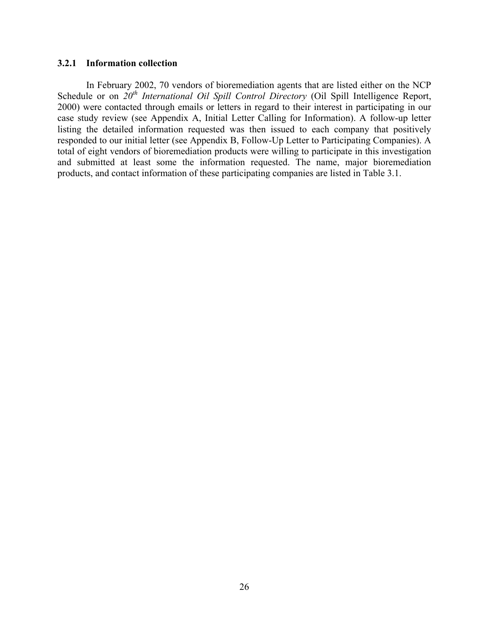## **3.2.1 Information collection**

In February 2002, 70 vendors of bioremediation agents that are listed either on the NCP Schedule or on 20<sup>th</sup> International Oil Spill Control Directory (Oil Spill Intelligence Report, 2000) were contacted through emails or letters in regard to their interest in participating in our case study review (see Appendix A, Initial Letter Calling for Information). A follow-up letter listing the detailed information requested was then issued to each company that positively responded to our initial letter (see Appendix B, Follow-Up Letter to Participating Companies). A total of eight vendors of bioremediation products were willing to participate in this investigation and submitted at least some the information requested. The name, major bioremediation products, and contact information of these participating companies are listed in Table 3.1.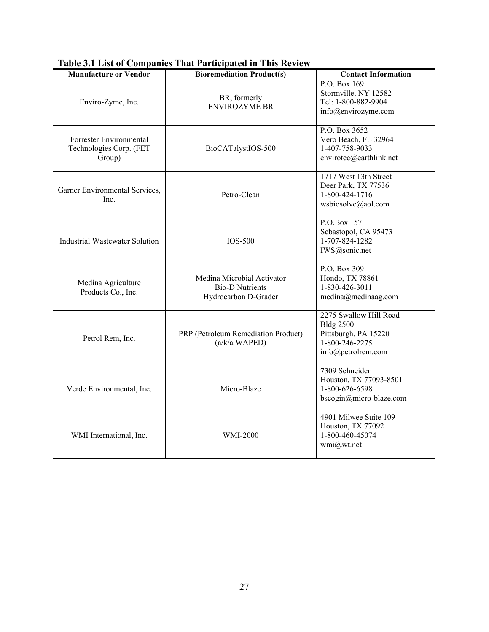| <b>Manufacture or Vendor</b>                                 | <b>Bioremediation Product(s)</b>                                             | <b>Contact Information</b>                                                                                 |
|--------------------------------------------------------------|------------------------------------------------------------------------------|------------------------------------------------------------------------------------------------------------|
| Enviro-Zyme, Inc.                                            | BR, formerly<br><b>ENVIROZYME BR</b>                                         | P.O. Box 169<br>Stormville, NY 12582<br>Tel: 1-800-882-9904<br>info@envirozyme.com                         |
| Forrester Environmental<br>Technologies Corp. (FET<br>Group) | BioCATalystIOS-500                                                           | P.O. Box 3652<br>Vero Beach, FL 32964<br>1-407-758-9033<br>envirotec@earthlink.net                         |
| Garner Environmental Services,<br>Inc.                       | Petro-Clean                                                                  | 1717 West 13th Street<br>Deer Park, TX 77536<br>1-800-424-1716<br>wsbiosolve@aol.com                       |
| <b>Industrial Wastewater Solution</b>                        | IOS-500                                                                      | P.O.Box 157<br>Sebastopol, CA 95473<br>1-707-824-1282<br>IWS@sonic.net                                     |
| Medina Agriculture<br>Products Co., Inc.                     | Medina Microbial Activator<br><b>Bio-D Nutrients</b><br>Hydrocarbon D-Grader | P.O. Box 309<br>Hondo, TX 78861<br>1-830-426-3011<br>medina@medinaag.com                                   |
| Petrol Rem, Inc.                                             | PRP (Petroleum Remediation Product)<br>$(a/k/a$ WAPED)                       | 2275 Swallow Hill Road<br><b>Bldg 2500</b><br>Pittsburgh, PA 15220<br>1-800-246-2275<br>info@petrolrem.com |
| Verde Environmental, Inc.                                    | Micro-Blaze                                                                  | 7309 Schneider<br>Houston, TX 77093-8501<br>1-800-626-6598<br>bscogin@micro-blaze.com                      |
| WMI International, Inc.                                      | <b>WMI-2000</b>                                                              | 4901 Milwee Suite 109<br>Houston, TX 77092<br>1-800-460-45074<br>wmi@wt.net                                |

| Table 3.1 List of Companies That Participated in This Review |  |  |  |  |
|--------------------------------------------------------------|--|--|--|--|
|--------------------------------------------------------------|--|--|--|--|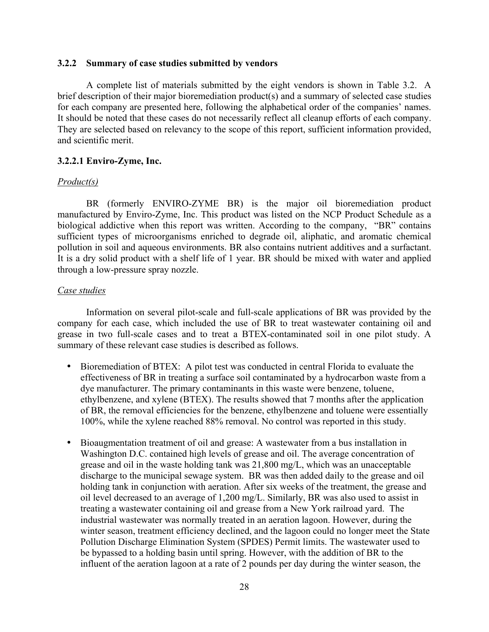## **3.2.2 Summary of case studies submitted by vendors**

A complete list of materials submitted by the eight vendors is shown in Table 3.2. A brief description of their major bioremediation product(s) and a summary of selected case studies for each company are presented here, following the alphabetical order of the companies' names. It should be noted that these cases do not necessarily reflect all cleanup efforts of each company. They are selected based on relevancy to the scope of this report, sufficient information provided, and scientific merit.

# **3.2.2.1 Enviro-Zyme, Inc.**

# *Product(s)*

BR (formerly ENVIRO-ZYME BR) is the major oil bioremediation product manufactured by Enviro-Zyme, Inc. This product was listed on the NCP Product Schedule as a biological addictive when this report was written. According to the company, "BR" contains sufficient types of microorganisms enriched to degrade oil, aliphatic, and aromatic chemical pollution in soil and aqueous environments. BR also contains nutrient additives and a surfactant. It is a dry solid product with a shelf life of 1 year. BR should be mixed with water and applied through a low-pressure spray nozzle.

# *Case studies*

Information on several pilot-scale and full-scale applications of BR was provided by the company for each case, which included the use of BR to treat wastewater containing oil and grease in two full-scale cases and to treat a BTEX-contaminated soil in one pilot study. A summary of these relevant case studies is described as follows.

- Bioremediation of BTEX: A pilot test was conducted in central Florida to evaluate the effectiveness of BR in treating a surface soil contaminated by a hydrocarbon waste from a dye manufacturer. The primary contaminants in this waste were benzene, toluene, ethylbenzene, and xylene (BTEX). The results showed that 7 months after the application of BR, the removal efficiencies for the benzene, ethylbenzene and toluene were essentially 100%, while the xylene reached 88% removal. No control was reported in this study.
- Bioaugmentation treatment of oil and grease: A wastewater from a bus installation in Washington D.C. contained high levels of grease and oil. The average concentration of grease and oil in the waste holding tank was 21,800 mg/L, which was an unacceptable discharge to the municipal sewage system. BR was then added daily to the grease and oil holding tank in conjunction with aeration. After six weeks of the treatment, the grease and oil level decreased to an average of 1,200 mg/L. Similarly, BR was also used to assist in treating a wastewater containing oil and grease from a New York railroad yard. The industrial wastewater was normally treated in an aeration lagoon. However, during the winter season, treatment efficiency declined, and the lagoon could no longer meet the State Pollution Discharge Elimination System (SPDES) Permit limits. The wastewater used to be bypassed to a holding basin until spring. However, with the addition of BR to the influent of the aeration lagoon at a rate of 2 pounds per day during the winter season, the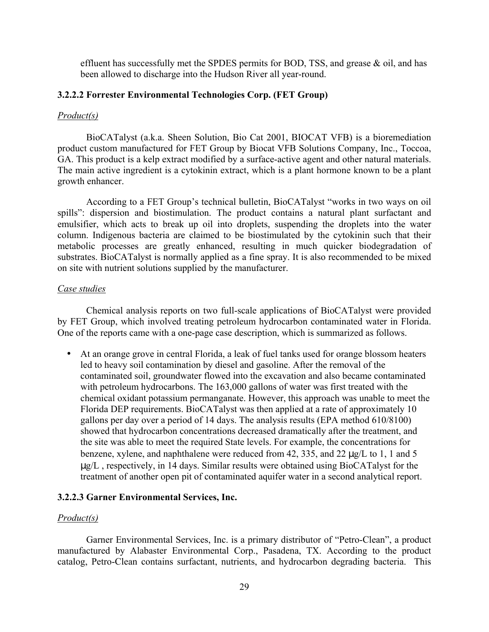effluent has successfully met the SPDES permits for BOD, TSS, and grease  $\&$  oil, and has been allowed to discharge into the Hudson River all year-round.

## **3.2.2.2 Forrester Environmental Technologies Corp. (FET Group)**

#### *Product(s)*

BioCATalyst (a.k.a. Sheen Solution, Bio Cat 2001, BIOCAT VFB) is a bioremediation product custom manufactured for FET Group by Biocat VFB Solutions Company, Inc., Toccoa, GA. This product is a kelp extract modified by a surface-active agent and other natural materials. The main active ingredient is a cytokinin extract, which is a plant hormone known to be a plant growth enhancer.

According to a FET Group's technical bulletin, BioCATalyst "works in two ways on oil spills": dispersion and biostimulation. The product contains a natural plant surfactant and emulsifier, which acts to break up oil into droplets, suspending the droplets into the water column. Indigenous bacteria are claimed to be biostimulated by the cytokinin such that their metabolic processes are greatly enhanced, resulting in much quicker biodegradation of substrates. BioCATalyst is normally applied as a fine spray. It is also recommended to be mixed on site with nutrient solutions supplied by the manufacturer.

#### *Case studies*

Chemical analysis reports on two full-scale applications of BioCATalyst were provided by FET Group, which involved treating petroleum hydrocarbon contaminated water in Florida. One of the reports came with a one-page case description, which is summarized as follows.

• At an orange grove in central Florida, a leak of fuel tanks used for orange blossom heaters led to heavy soil contamination by diesel and gasoline. After the removal of the contaminated soil, groundwater flowed into the excavation and also became contaminated with petroleum hydrocarbons. The 163,000 gallons of water was first treated with the chemical oxidant potassium permanganate. However, this approach was unable to meet the Florida DEP requirements. BioCATalyst was then applied at a rate of approximately 10 gallons per day over a period of 14 days. The analysis results (EPA method 610/8100) showed that hydrocarbon concentrations decreased dramatically after the treatment, and the site was able to meet the required State levels. For example, the concentrations for benzene, xylene, and naphthalene were reduced from 42, 335, and 22 µg/L to 1, 1 and 5 µg/L , respectively, in 14 days. Similar results were obtained using BioCATalyst for the treatment of another open pit of contaminated aquifer water in a second analytical report.

## **3.2.2.3 Garner Environmental Services, Inc.**

#### *Product(s)*

Garner Environmental Services, Inc. is a primary distributor of "Petro-Clean", a product manufactured by Alabaster Environmental Corp., Pasadena, TX. According to the product catalog, Petro-Clean contains surfactant, nutrients, and hydrocarbon degrading bacteria. This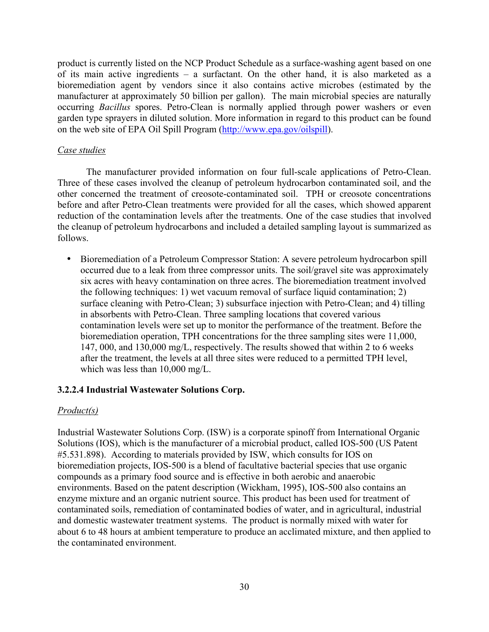product is currently listed on the NCP Product Schedule as a surface-washing agent based on one of its main active ingredients – a surfactant. On the other hand, it is also marketed as a bioremediation agent by vendors since it also contains active microbes (estimated by the manufacturer at approximately 50 billion per gallon). The main microbial species are naturally occurring *Bacillus* spores. Petro-Clean is normally applied through power washers or even garden type sprayers in diluted solution. More information in regard to this product can be found on the web site of EPA Oil Spill Program [\(http://www.epa.gov/oilspil](http://www.epa.gov/oilspill)l).

# *Case studies*

The manufacturer provided information on four full-scale applications of Petro-Clean. Three of these cases involved the cleanup of petroleum hydrocarbon contaminated soil, and the other concerned the treatment of creosote-contaminated soil. TPH or creosote concentrations before and after Petro-Clean treatments were provided for all the cases, which showed apparent reduction of the contamination levels after the treatments. One of the case studies that involved the cleanup of petroleum hydrocarbons and included a detailed sampling layout is summarized as follows.

• Bioremediation of a Petroleum Compressor Station: A severe petroleum hydrocarbon spill occurred due to a leak from three compressor units. The soil/gravel site was approximately six acres with heavy contamination on three acres. The bioremediation treatment involved the following techniques: 1) wet vacuum removal of surface liquid contamination; 2) surface cleaning with Petro-Clean; 3) subsurface injection with Petro-Clean; and 4) tilling in absorbents with Petro-Clean. Three sampling locations that covered various contamination levels were set up to monitor the performance of the treatment. Before the bioremediation operation, TPH concentrations for the three sampling sites were 11,000, 147, 000, and 130,000 mg/L, respectively. The results showed that within 2 to 6 weeks after the treatment, the levels at all three sites were reduced to a permitted TPH level, which was less than 10,000 mg/L.

# **3.2.2.4 Industrial Wastewater Solutions Corp.**

# *Product(s)*

Industrial Wastewater Solutions Corp. (ISW) is a corporate spinoff from International Organic Solutions (IOS), which is the manufacturer of a microbial product, called IOS-500 (US Patent #5.531.898). According to materials provided by ISW, which consults for IOS on bioremediation projects, IOS-500 is a blend of facultative bacterial species that use organic compounds as a primary food source and is effective in both aerobic and anaerobic environments. Based on the patent description (Wickham, 1995), IOS-500 also contains an enzyme mixture and an organic nutrient source. This product has been used for treatment of contaminated soils, remediation of contaminated bodies of water, and in agricultural, industrial and domestic wastewater treatment systems. The product is normally mixed with water for about 6 to 48 hours at ambient temperature to produce an acclimated mixture, and then applied to the contaminated environment.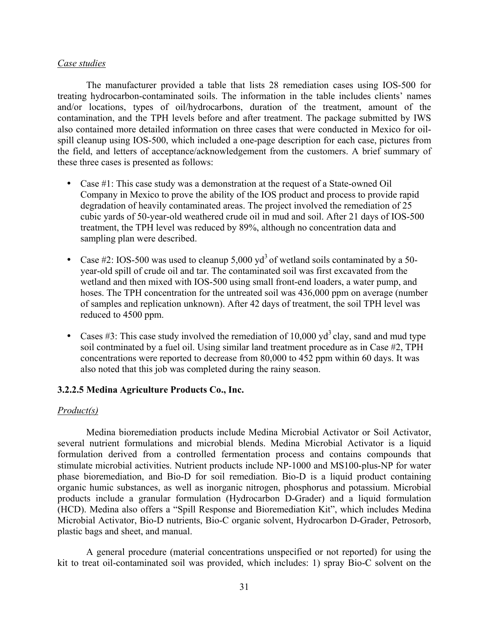## *Case studies*

The manufacturer provided a table that lists 28 remediation cases using IOS-500 for treating hydrocarbon-contaminated soils. The information in the table includes clients' names and/or locations, types of oil/hydrocarbons, duration of the treatment, amount of the contamination, and the TPH levels before and after treatment. The package submitted by IWS also contained more detailed information on three cases that were conducted in Mexico for oilspill cleanup using IOS-500, which included a one-page description for each case, pictures from the field, and letters of acceptance/acknowledgement from the customers. A brief summary of these three cases is presented as follows:

- Case #1: This case study was a demonstration at the request of a State-owned Oil Company in Mexico to prove the ability of the IOS product and process to provide rapid degradation of heavily contaminated areas. The project involved the remediation of 25 cubic yards of 50-year-old weathered crude oil in mud and soil. After 21 days of IOS-500 treatment, the TPH level was reduced by 89%, although no concentration data and sampling plan were described.
- Case #2: IOS-500 was used to cleanup  $5,000 \text{ vd}^3$  of wetland soils contaminated by a 50year-old spill of crude oil and tar. The contaminated soil was first excavated from the wetland and then mixed with IOS-500 using small front-end loaders, a water pump, and hoses. The TPH concentration for the untreated soil was 436,000 ppm on average (number of samples and replication unknown). After 42 days of treatment, the soil TPH level was reduced to 4500 ppm.
- Cases #3: This case study involved the remediation of 10,000  $\text{yd}^3$  clay, sand and mud type soil contminated by a fuel oil. Using similar land treatment procedure as in Case #2, TPH concentrations were reported to decrease from 80,000 to 452 ppm within 60 days. It was also noted that this job was completed during the rainy season.

# **3.2.2.5 Medina Agriculture Products Co., Inc.**

## *Product(s)*

Medina bioremediation products include Medina Microbial Activator or Soil Activator, several nutrient formulations and microbial blends. Medina Microbial Activator is a liquid formulation derived from a controlled fermentation process and contains compounds that stimulate microbial activities. Nutrient products include NP-1000 and MS100-plus-NP for water phase bioremediation, and Bio-D for soil remediation. Bio-D is a liquid product containing organic humic substances, as well as inorganic nitrogen, phosphorus and potassium. Microbial products include a granular formulation (Hydrocarbon D-Grader) and a liquid formulation (HCD). Medina also offers a "Spill Response and Bioremediation Kit", which includes Medina Microbial Activator, Bio-D nutrients, Bio-C organic solvent, Hydrocarbon D-Grader, Petrosorb, plastic bags and sheet, and manual.

A general procedure (material concentrations unspecified or not reported) for using the kit to treat oil-contaminated soil was provided, which includes: 1) spray Bio-C solvent on the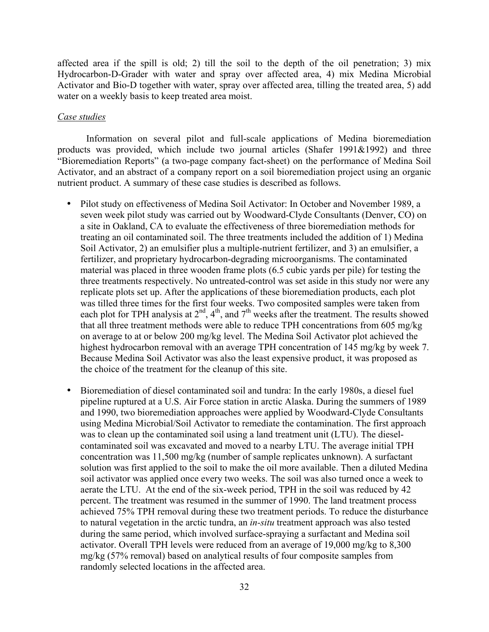affected area if the spill is old; 2) till the soil to the depth of the oil penetration; 3) mix Hydrocarbon-D-Grader with water and spray over affected area, 4) mix Medina Microbial Activator and Bio-D together with water, spray over affected area, tilling the treated area, 5) add water on a weekly basis to keep treated area moist.

## *Case studies*

Information on several pilot and full-scale applications of Medina bioremediation products was provided, which include two journal articles (Shafer 1991&1992) and three "Bioremediation Reports" (a two-page company fact-sheet) on the performance of Medina Soil Activator, and an abstract of a company report on a soil bioremediation project using an organic nutrient product. A summary of these case studies is described as follows.

- Pilot study on effectiveness of Medina Soil Activator: In October and November 1989, a seven week pilot study was carried out by Woodward-Clyde Consultants (Denver, CO) on a site in Oakland, CA to evaluate the effectiveness of three bioremediation methods for treating an oil contaminated soil. The three treatments included the addition of 1) Medina Soil Activator, 2) an emulsifier plus a multiple-nutrient fertilizer, and 3) an emulsifier, a fertilizer, and proprietary hydrocarbon-degrading microorganisms. The contaminated material was placed in three wooden frame plots (6.5 cubic yards per pile) for testing the three treatments respectively. No untreated-control was set aside in this study nor were any replicate plots set up. After the applications of these bioremediation products, each plot was tilled three times for the first four weeks. Two composited samples were taken from each plot for TPH analysis at  $2<sup>nd</sup>$ ,  $4<sup>th</sup>$ , and  $7<sup>th</sup>$  weeks after the treatment. The results showed that all three treatment methods were able to reduce TPH concentrations from 605 mg/kg on average to at or below 200 mg/kg level. The Medina Soil Activator plot achieved the highest hydrocarbon removal with an average TPH concentration of 145 mg/kg by week 7. Because Medina Soil Activator was also the least expensive product, it was proposed as the choice of the treatment for the cleanup of this site.
- Bioremediation of diesel contaminated soil and tundra: In the early 1980s, a diesel fuel pipeline ruptured at a U.S. Air Force station in arctic Alaska. During the summers of 1989 and 1990, two bioremediation approaches were applied by Woodward-Clyde Consultants using Medina Microbial/Soil Activator to remediate the contamination. The first approach was to clean up the contaminated soil using a land treatment unit (LTU). The dieselcontaminated soil was excavated and moved to a nearby LTU. The average initial TPH concentration was 11,500 mg/kg (number of sample replicates unknown). A surfactant solution was first applied to the soil to make the oil more available. Then a diluted Medina soil activator was applied once every two weeks. The soil was also turned once a week to aerate the LTU. At the end of the six-week period, TPH in the soil was reduced by 42 percent. The treatment was resumed in the summer of 1990. The land treatment process achieved 75% TPH removal during these two treatment periods. To reduce the disturbance to natural vegetation in the arctic tundra, an *in-situ* treatment approach was also tested during the same period, which involved surface-spraying a surfactant and Medina soil activator. Overall TPH levels were reduced from an average of 19,000 mg/kg to 8,300 mg/kg (57% removal) based on analytical results of four composite samples from randomly selected locations in the affected area.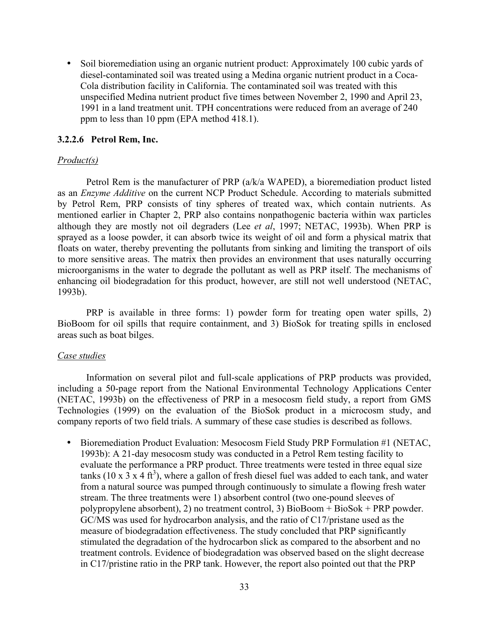• Soil bioremediation using an organic nutrient product: Approximately 100 cubic yards of diesel-contaminated soil was treated using a Medina organic nutrient product in a Coca-Cola distribution facility in California. The contaminated soil was treated with this unspecified Medina nutrient product five times between November 2, 1990 and April 23, 1991 in a land treatment unit. TPH concentrations were reduced from an average of 240 ppm to less than 10 ppm (EPA method 418.1).

## **3.2.2.6 Petrol Rem, Inc.**

## *Product(s)*

Petrol Rem is the manufacturer of PRP (a/k/a WAPED), a bioremediation product listed as an *Enzyme Additive* on the current NCP Product Schedule. According to materials submitted by Petrol Rem, PRP consists of tiny spheres of treated wax, which contain nutrients. As mentioned earlier in Chapter 2, PRP also contains nonpathogenic bacteria within wax particles although they are mostly not oil degraders (Lee *et al*, 1997; NETAC, 1993b). When PRP is sprayed as a loose powder, it can absorb twice its weight of oil and form a physical matrix that floats on water, thereby preventing the pollutants from sinking and limiting the transport of oils to more sensitive areas. The matrix then provides an environment that uses naturally occurring microorganisms in the water to degrade the pollutant as well as PRP itself. The mechanisms of enhancing oil biodegradation for this product, however, are still not well understood (NETAC, 1993b).

PRP is available in three forms: 1) powder form for treating open water spills, 2) BioBoom for oil spills that require containment, and 3) BioSok for treating spills in enclosed areas such as boat bilges.

## *Case studies*

Information on several pilot and full-scale applications of PRP products was provided, including a 50-page report from the National Environmental Technology Applications Center (NETAC, 1993b) on the effectiveness of PRP in a mesocosm field study, a report from GMS Technologies (1999) on the evaluation of the BioSok product in a microcosm study, and company reports of two field trials. A summary of these case studies is described as follows.

• Bioremediation Product Evaluation: Mesocosm Field Study PRP Formulation #1 (NETAC, 1993b): A 21-day mesocosm study was conducted in a Petrol Rem testing facility to evaluate the performance a PRP product. Three treatments were tested in three equal size tanks (10 x  $\overline{3}$  x 4 ft<sup>3</sup>), where a gallon of fresh diesel fuel was added to each tank, and water from a natural source was pumped through continuously to simulate a flowing fresh water stream. The three treatments were 1) absorbent control (two one-pound sleeves of polypropylene absorbent), 2) no treatment control, 3) BioBoom + BioSok + PRP powder. GC/MS was used for hydrocarbon analysis, and the ratio of C17/pristane used as the measure of biodegradation effectiveness. The study concluded that PRP significantly stimulated the degradation of the hydrocarbon slick as compared to the absorbent and no treatment controls. Evidence of biodegradation was observed based on the slight decrease in C17/pristine ratio in the PRP tank. However, the report also pointed out that the PRP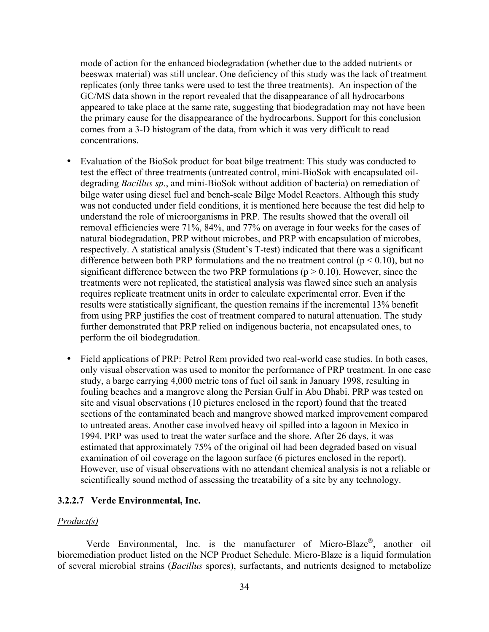mode of action for the enhanced biodegradation (whether due to the added nutrients or beeswax material) was still unclear. One deficiency of this study was the lack of treatment replicates (only three tanks were used to test the three treatments). An inspection of the GC/MS data shown in the report revealed that the disappearance of all hydrocarbons appeared to take place at the same rate, suggesting that biodegradation may not have been the primary cause for the disappearance of the hydrocarbons. Support for this conclusion comes from a 3-D histogram of the data, from which it was very difficult to read concentrations.

- Evaluation of the BioSok product for boat bilge treatment: This study was conducted to test the effect of three treatments (untreated control, mini-BioSok with encapsulated oildegrading *Bacillus sp*., and mini-BioSok without addition of bacteria) on remediation of bilge water using diesel fuel and bench-scale Bilge Model Reactors. Although this study was not conducted under field conditions, it is mentioned here because the test did help to understand the role of microorganisms in PRP. The results showed that the overall oil removal efficiencies were 71%, 84%, and 77% on average in four weeks for the cases of natural biodegradation, PRP without microbes, and PRP with encapsulation of microbes, respectively. A statistical analysis (Student's T-test) indicated that there was a significant difference between both PRP formulations and the no treatment control ( $p < 0.10$ ), but no significant difference between the two PRP formulations ( $p > 0.10$ ). However, since the treatments were not replicated, the statistical analysis was flawed since such an analysis requires replicate treatment units in order to calculate experimental error. Even if the results were statistically significant, the question remains if the incremental 13% benefit from using PRP justifies the cost of treatment compared to natural attenuation. The study further demonstrated that PRP relied on indigenous bacteria, not encapsulated ones, to perform the oil biodegradation.
- Field applications of PRP: Petrol Rem provided two real-world case studies. In both cases, only visual observation was used to monitor the performance of PRP treatment. In one case study, a barge carrying 4,000 metric tons of fuel oil sank in January 1998, resulting in fouling beaches and a mangrove along the Persian Gulf in Abu Dhabi. PRP was tested on site and visual observations (10 pictures enclosed in the report) found that the treated sections of the contaminated beach and mangrove showed marked improvement compared to untreated areas. Another case involved heavy oil spilled into a lagoon in Mexico in 1994. PRP was used to treat the water surface and the shore. After 26 days, it was estimated that approximately 75% of the original oil had been degraded based on visual examination of oil coverage on the lagoon surface (6 pictures enclosed in the report). However, use of visual observations with no attendant chemical analysis is not a reliable or scientifically sound method of assessing the treatability of a site by any technology.

# **3.2.2.7 Verde Environmental, Inc.**

#### *Product(s)*

Verde Environmental, Inc. is the manufacturer of Micro-Blaze®, another oil bioremediation product listed on the NCP Product Schedule. Micro-Blaze is a liquid formulation of several microbial strains (*Bacillus* spores), surfactants, and nutrients designed to metabolize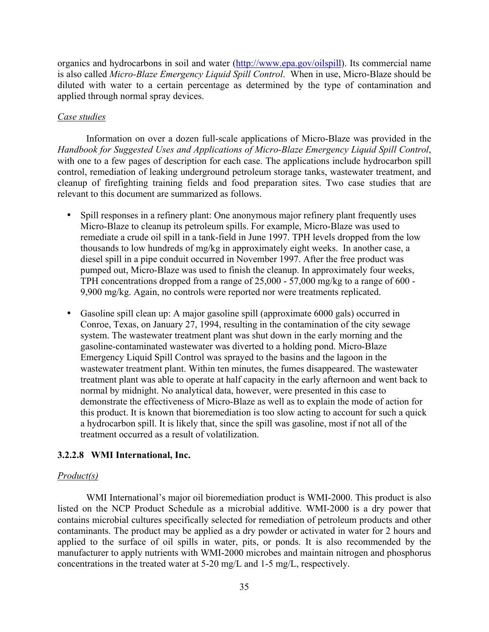organics and hydrocarbons in soil and water [\(http://www.epa.gov/oilspil](http://www.epa.gov/oilspill)l). Its commercial name is also called *Micro-Blaze Emergency Liquid Spill Control*. When in use, Micro-Blaze should be diluted with water to a certain percentage as determined by the type of contamination and applied through normal spray devices.

## *Case studies*

Information on over a dozen full-scale applications of Micro-Blaze was provided in the *Handbook for Suggested Uses and Applications of Micro-Blaze Emergency Liquid Spill Control*, with one to a few pages of description for each case. The applications include hydrocarbon spill control, remediation of leaking underground petroleum storage tanks, wastewater treatment, and cleanup of firefighting training fields and food preparation sites. Two case studies that are relevant to this document are summarized as follows.

- Spill responses in a refinery plant: One anonymous major refinery plant frequently uses Micro-Blaze to cleanup its petroleum spills. For example, Micro-Blaze was used to remediate a crude oil spill in a tank-field in June 1997. TPH levels dropped from the low thousands to low hundreds of mg/kg in approximately eight weeks. In another case, a diesel spill in a pipe conduit occurred in November 1997. After the free product was pumped out, Micro-Blaze was used to finish the cleanup. In approximately four weeks, TPH concentrations dropped from a range of 25,000 - 57,000 mg/kg to a range of 600 - 9,900 mg/kg. Again, no controls were reported nor were treatments replicated.
- Gasoline spill clean up: A major gasoline spill (approximate 6000 gals) occurred in Conroe, Texas, on January 27, 1994, resulting in the contamination of the city sewage system. The wastewater treatment plant was shut down in the early morning and the gasoline-contaminated wastewater was diverted to a holding pond. Micro-Blaze Emergency Liquid Spill Control was sprayed to the basins and the lagoon in the wastewater treatment plant. Within ten minutes, the fumes disappeared. The wastewater treatment plant was able to operate at half capacity in the early afternoon and went back to normal by midnight. No analytical data, however, were presented in this case to demonstrate the effectiveness of Micro-Blaze as well as to explain the mode of action for this product. It is known that bioremediation is too slow acting to account for such a quick a hydrocarbon spill. It is likely that, since the spill was gasoline, most if not all of the treatment occurred as a result of volatilization.

# **3.2.2.8 WMI International, Inc.**

## *Product(s)*

WMI International's major oil bioremediation product is WMI-2000. This product is also listed on the NCP Product Schedule as a microbial additive. WMI-2000 is a dry power that contains microbial cultures specifically selected for remediation of petroleum products and other contaminants. The product may be applied as a dry powder or activated in water for 2 hours and applied to the surface of oil spills in water, pits, or ponds. It is also recommended by the manufacturer to apply nutrients with WMI-2000 microbes and maintain nitrogen and phosphorus concentrations in the treated water at 5-20 mg/L and 1-5 mg/L, respectively.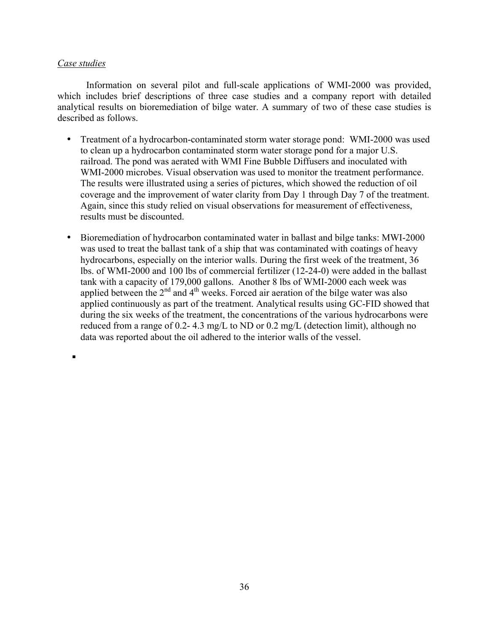# *Case studies*

.

Information on several pilot and full-scale applications of WMI-2000 was provided, which includes brief descriptions of three case studies and a company report with detailed analytical results on bioremediation of bilge water. A summary of two of these case studies is described as follows.

- Treatment of a hydrocarbon-contaminated storm water storage pond: WMI-2000 was used to clean up a hydrocarbon contaminated storm water storage pond for a major U.S. railroad. The pond was aerated with WMI Fine Bubble Diffusers and inoculated with WMI-2000 microbes. Visual observation was used to monitor the treatment performance. The results were illustrated using a series of pictures, which showed the reduction of oil coverage and the improvement of water clarity from Day 1 through Day 7 of the treatment. Again, since this study relied on visual observations for measurement of effectiveness, results must be discounted.
- Bioremediation of hydrocarbon contaminated water in ballast and bilge tanks: MWI-2000 was used to treat the ballast tank of a ship that was contaminated with coatings of heavy hydrocarbons, especially on the interior walls. During the first week of the treatment, 36 lbs. of WMI-2000 and 100 lbs of commercial fertilizer (12-24-0) were added in the ballast tank with a capacity of 179,000 gallons. Another 8 lbs of WMI-2000 each week was applied between the  $2<sup>nd</sup>$  and  $4<sup>th</sup>$  weeks. Forced air aeration of the bilge water was also applied continuously as part of the treatment. Analytical results using GC-FID showed that during the six weeks of the treatment, the concentrations of the various hydrocarbons were reduced from a range of 0.2- 4.3 mg/L to ND or 0.2 mg/L (detection limit), although no data was reported about the oil adhered to the interior walls of the vessel.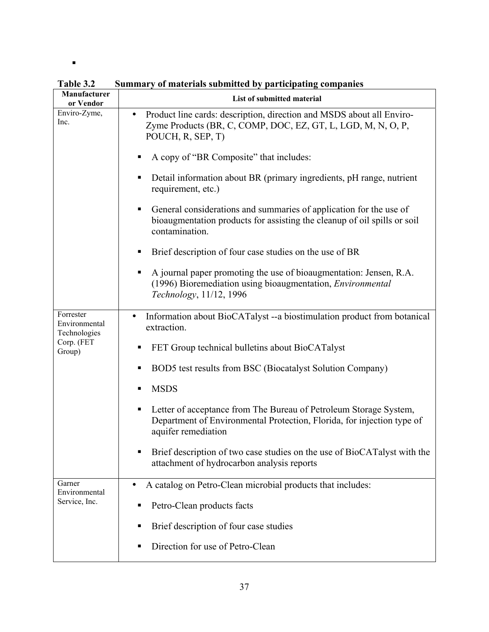$\blacksquare$ 

**Manufacturer or Vendor List of submitted material**  Enviro-Zyme, Enviro-Zyme,<br> **Enviro-Line.**<br> **Inc.**<br> **Inc.**<br> **Inc.**<br> **Inc.**<br> **Inc.**<br> **Inc.**<br> **Inc.**<br> **Inc.** Zyme Products (BR, C, COMP, DOC, EZ, GT, L, LGD, M, N, O, P, POUCH, R, SEP, T) A copy of "BR Composite" that includes: Detail information about BR (primary ingredients, pH range, nutrient requirement, etc.) General considerations and summaries of application for the use of bioaugmentation products for assisting the cleanup of oil spills or soil contamination. **Brief description of four case studies on the use of BR**  A journal paper promoting the use of bioaugmentation: Jensen, R.A. (1996) Bioremediation using bioaugmentation, *Environmental Technology*, 11/12, 1996 Forrester Environmental Technologies Corp. (FET Group) • Information about BioCATalyst --a biostimulation product from botanical extraction. ■ FET Group technical bulletins about BioCATalyst BOD5 test results from BSC (Biocatalyst Solution Company)

 $-MSDS$ 

**Table 3.2 Summary of materials submitted by participating companies** 

| Letter of acceptance from The Bureau of Petroleum Storage System,      |
|------------------------------------------------------------------------|
| Department of Environmental Protection, Florida, for injection type of |
| aquifer remediation                                                    |

|  | • Brief description of two case studies on the use of BioCAT alyst with the |
|--|-----------------------------------------------------------------------------|
|  | attachment of hydrocarbon analysis reports                                  |

| Garner<br>Environmental | • A catalog on Petro-Clean microbial products that includes: |
|-------------------------|--------------------------------------------------------------|
| Service, Inc.           | • Petro-Clean products facts                                 |
|                         | • Brief description of four case studies                     |
|                         | • Direction for use of Petro-Clean                           |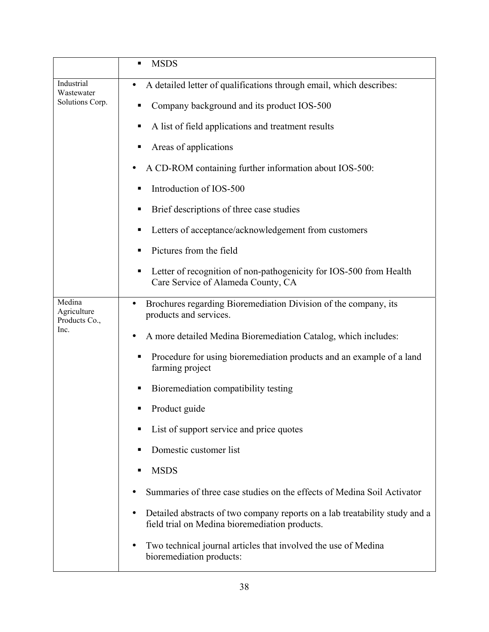|                                        | <b>MSDS</b><br>٠                                                                                                              |
|----------------------------------------|-------------------------------------------------------------------------------------------------------------------------------|
| Industrial<br>Wastewater               | A detailed letter of qualifications through email, which describes:                                                           |
| Solutions Corp.                        | Company background and its product IOS-500<br>٠                                                                               |
|                                        | A list of field applications and treatment results<br>п                                                                       |
|                                        | Areas of applications                                                                                                         |
|                                        | A CD-ROM containing further information about IOS-500:                                                                        |
|                                        | Introduction of IOS-500<br>ш                                                                                                  |
|                                        | Brief descriptions of three case studies                                                                                      |
|                                        | Letters of acceptance/acknowledgement from customers                                                                          |
|                                        | Pictures from the field<br>٠                                                                                                  |
|                                        | Letter of recognition of non-pathogenicity for IOS-500 from Health<br>п<br>Care Service of Alameda County, CA                 |
| Medina<br>Agriculture<br>Products Co., | Brochures regarding Bioremediation Division of the company, its<br>products and services.                                     |
| Inc.                                   | A more detailed Medina Bioremediation Catalog, which includes:                                                                |
|                                        | Procedure for using bioremediation products and an example of a land<br>п<br>farming project                                  |
|                                        | Bioremediation compatibility testing                                                                                          |
|                                        | Product guide<br>ш                                                                                                            |
|                                        | List of support service and price quotes                                                                                      |
|                                        | Domestic customer list                                                                                                        |
|                                        | <b>MSDS</b>                                                                                                                   |
|                                        | Summaries of three case studies on the effects of Medina Soil Activator                                                       |
|                                        | Detailed abstracts of two company reports on a lab treatability study and a<br>field trial on Medina bioremediation products. |
|                                        | Two technical journal articles that involved the use of Medina<br>bioremediation products:                                    |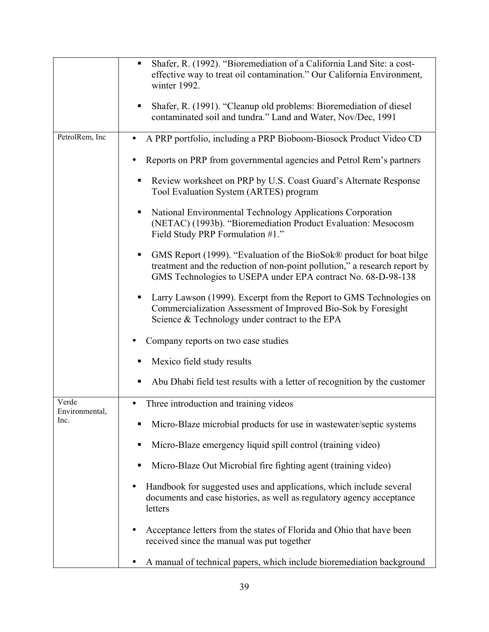|                         | Shafer, R. (1992). "Bioremediation of a California Land Site: a cost-<br>effective way to treat oil contamination." Our California Environment,<br>winter 1992.<br>Shafer, R. (1991). "Cleanup old problems: Bioremediation of diesel<br>contaminated soil and tundra." Land and Water, Nov/Dec, 1991 |
|-------------------------|-------------------------------------------------------------------------------------------------------------------------------------------------------------------------------------------------------------------------------------------------------------------------------------------------------|
| PetrolRem, Inc          | A PRP portfolio, including a PRP Bioboom-Biosock Product Video CD                                                                                                                                                                                                                                     |
|                         | Reports on PRP from governmental agencies and Petrol Rem's partners                                                                                                                                                                                                                                   |
|                         | Review worksheet on PRP by U.S. Coast Guard's Alternate Response<br>Tool Evaluation System (ARTES) program                                                                                                                                                                                            |
|                         | National Environmental Technology Applications Corporation<br>(NETAC) (1993b). "Bioremediation Product Evaluation: Mesocosm<br>Field Study PRP Formulation #1."                                                                                                                                       |
|                         | GMS Report (1999). "Evaluation of the BioSok® product for boat bilge<br>treatment and the reduction of non-point pollution," a research report by<br>GMS Technologies to USEPA under EPA contract No. 68-D-98-138                                                                                     |
|                         | Larry Lawson (1999). Excerpt from the Report to GMS Technologies on<br>Commercialization Assessment of Improved Bio-Sok by Foresight<br>Science & Technology under contract to the EPA                                                                                                                |
|                         | Company reports on two case studies                                                                                                                                                                                                                                                                   |
|                         | Mexico field study results                                                                                                                                                                                                                                                                            |
|                         | Abu Dhabi field test results with a letter of recognition by the customer                                                                                                                                                                                                                             |
| Verde<br>Environmental. | Three introduction and training videos                                                                                                                                                                                                                                                                |
| Inc.                    | Micro-Blaze microbial products for use in wastewater/septic systems<br>٠                                                                                                                                                                                                                              |
|                         | Micro-Blaze emergency liquid spill control (training video)                                                                                                                                                                                                                                           |
|                         | Micro-Blaze Out Microbial fire fighting agent (training video)                                                                                                                                                                                                                                        |
|                         | Handbook for suggested uses and applications, which include several<br>documents and case histories, as well as regulatory agency acceptance<br>letters                                                                                                                                               |
|                         | Acceptance letters from the states of Florida and Ohio that have been<br>received since the manual was put together                                                                                                                                                                                   |
|                         | A manual of technical papers, which include bioremediation background                                                                                                                                                                                                                                 |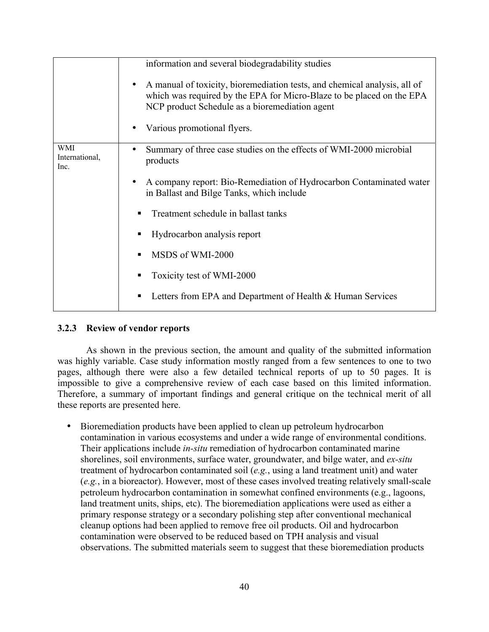|                | information and several biodegradability studies<br>A manual of toxicity, bioremediation tests, and chemical analysis, all of<br>which was required by the EPA for Micro-Blaze to be placed on the EPA<br>NCP product Schedule as a bioremediation agent<br>Various promotional flyers. |
|----------------|-----------------------------------------------------------------------------------------------------------------------------------------------------------------------------------------------------------------------------------------------------------------------------------------|
| <b>WMI</b>     | Summary of three case studies on the effects of WMI-2000 microbial                                                                                                                                                                                                                      |
| International, | products                                                                                                                                                                                                                                                                                |
| Inc.           |                                                                                                                                                                                                                                                                                         |
|                | A company report: Bio-Remediation of Hydrocarbon Contaminated water                                                                                                                                                                                                                     |
|                | in Ballast and Bilge Tanks, which include                                                                                                                                                                                                                                               |
|                |                                                                                                                                                                                                                                                                                         |
|                | Treatment schedule in ballast tanks                                                                                                                                                                                                                                                     |
|                | Hydrocarbon analysis report                                                                                                                                                                                                                                                             |
|                |                                                                                                                                                                                                                                                                                         |
|                | MSDS of WMI-2000                                                                                                                                                                                                                                                                        |
|                | Toxicity test of WMI-2000                                                                                                                                                                                                                                                               |
|                |                                                                                                                                                                                                                                                                                         |
|                | Letters from EPA and Department of Health & Human Services                                                                                                                                                                                                                              |
|                |                                                                                                                                                                                                                                                                                         |

# **3.2.3 Review of vendor reports**

As shown in the previous section, the amount and quality of the submitted information was highly variable. Case study information mostly ranged from a few sentences to one to two pages, although there were also a few detailed technical reports of up to 50 pages. It is impossible to give a comprehensive review of each case based on this limited information. Therefore, a summary of important findings and general critique on the technical merit of all these reports are presented here.

• Bioremediation products have been applied to clean up petroleum hydrocarbon contamination in various ecosystems and under a wide range of environmental conditions. Their applications include *in-situ* remediation of hydrocarbon contaminated marine shorelines, soil environments, surface water, groundwater, and bilge water, and *ex-situ* treatment of hydrocarbon contaminated soil (*e.g.*, using a land treatment unit) and water (*e.g.*, in a bioreactor). However, most of these cases involved treating relatively small-scale petroleum hydrocarbon contamination in somewhat confined environments (e.g., lagoons, land treatment units, ships, etc). The bioremediation applications were used as either a primary response strategy or a secondary polishing step after conventional mechanical cleanup options had been applied to remove free oil products. Oil and hydrocarbon contamination were observed to be reduced based on TPH analysis and visual observations. The submitted materials seem to suggest that these bioremediation products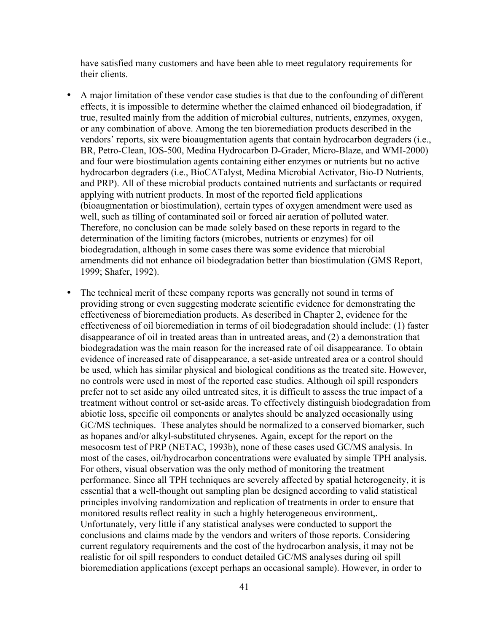have satisfied many customers and have been able to meet regulatory requirements for their clients.

- A major limitation of these vendor case studies is that due to the confounding of different effects, it is impossible to determine whether the claimed enhanced oil biodegradation, if true, resulted mainly from the addition of microbial cultures, nutrients, enzymes, oxygen, or any combination of above. Among the ten bioremediation products described in the vendors' reports, six were bioaugmentation agents that contain hydrocarbon degraders (i.e., BR, Petro-Clean, IOS-500, Medina Hydrocarbon D-Grader, Micro-Blaze, and WMI-2000) and four were biostimulation agents containing either enzymes or nutrients but no active hydrocarbon degraders (i.e., BioCATalyst, Medina Microbial Activator, Bio-D Nutrients, and PRP). All of these microbial products contained nutrients and surfactants or required applying with nutrient products. In most of the reported field applications (bioaugmentation or biostimulation), certain types of oxygen amendment were used as well, such as tilling of contaminated soil or forced air aeration of polluted water. Therefore, no conclusion can be made solely based on these reports in regard to the determination of the limiting factors (microbes, nutrients or enzymes) for oil biodegradation, although in some cases there was some evidence that microbial amendments did not enhance oil biodegradation better than biostimulation (GMS Report, 1999; Shafer, 1992).
- The technical merit of these company reports was generally not sound in terms of providing strong or even suggesting moderate scientific evidence for demonstrating the effectiveness of bioremediation products. As described in Chapter 2, evidence for the effectiveness of oil bioremediation in terms of oil biodegradation should include: (1) faster disappearance of oil in treated areas than in untreated areas, and (2) a demonstration that biodegradation was the main reason for the increased rate of oil disappearance. To obtain evidence of increased rate of disappearance, a set-aside untreated area or a control should be used, which has similar physical and biological conditions as the treated site. However, no controls were used in most of the reported case studies. Although oil spill responders prefer not to set aside any oiled untreated sites, it is difficult to assess the true impact of a treatment without control or set-aside areas. To effectively distinguish biodegradation from abiotic loss, specific oil components or analytes should be analyzed occasionally using GC/MS techniques. These analytes should be normalized to a conserved biomarker, such as hopanes and/or alkyl-substituted chrysenes. Again, except for the report on the mesocosm test of PRP (NETAC, 1993b), none of these cases used GC/MS analysis. In most of the cases, oil/hydrocarbon concentrations were evaluated by simple TPH analysis. For others, visual observation was the only method of monitoring the treatment performance. Since all TPH techniques are severely affected by spatial heterogeneity, it is essential that a well-thought out sampling plan be designed according to valid statistical principles involving randomization and replication of treatments in order to ensure that monitored results reflect reality in such a highly heterogeneous environment,. Unfortunately, very little if any statistical analyses were conducted to support the conclusions and claims made by the vendors and writers of those reports. Considering current regulatory requirements and the cost of the hydrocarbon analysis, it may not be realistic for oil spill responders to conduct detailed GC/MS analyses during oil spill bioremediation applications (except perhaps an occasional sample). However, in order to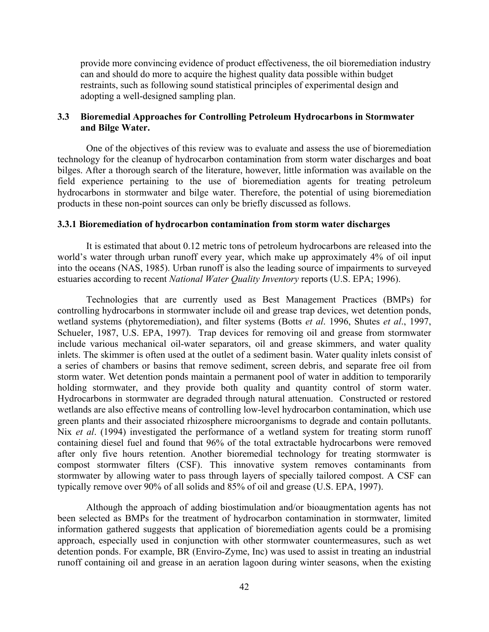<span id="page-46-0"></span>provide more convincing evidence of product effectiveness, the oil bioremediation industry can and should do more to acquire the highest quality data possible within budget restraints, such as following sound statistical principles of experimental design and adopting a well-designed sampling plan.

# **3.3 Bioremedial Approaches for Controlling Petroleum Hydrocarbons in Stormwater and Bilge Water.**

One of the objectives of this review was to evaluate and assess the use of bioremediation technology for the cleanup of hydrocarbon contamination from storm water discharges and boat bilges. After a thorough search of the literature, however, little information was available on the field experience pertaining to the use of bioremediation agents for treating petroleum hydrocarbons in stormwater and bilge water. Therefore, the potential of using bioremediation products in these non-point sources can only be briefly discussed as follows.

## **3.3.1 Bioremediation of hydrocarbon contamination from storm water discharges**

It is estimated that about 0.12 metric tons of petroleum hydrocarbons are released into the world's water through urban runoff every year, which make up approximately 4% of oil input into the oceans (NAS, 1985). Urban runoff is also the leading source of impairments to surveyed estuaries according to recent *National Water Quality Inventory* reports (U.S. EPA; 1996).

Technologies that are currently used as Best Management Practices (BMPs) for controlling hydrocarbons in stormwater include oil and grease trap devices, wet detention ponds, wetland systems (phytoremediation), and filter systems (Botts *et al*. 1996, Shutes *et al*., 1997, Schueler, 1987, U.S. EPA, 1997). Trap devices for removing oil and grease from stormwater include various mechanical oil-water separators, oil and grease skimmers, and water quality inlets. The skimmer is often used at the outlet of a sediment basin. Water quality inlets consist of a series of chambers or basins that remove sediment, screen debris, and separate free oil from storm water. Wet detention ponds maintain a permanent pool of water in addition to temporarily holding stormwater, and they provide both quality and quantity control of storm water. Hydrocarbons in stormwater are degraded through natural attenuation. Constructed or restored wetlands are also effective means of controlling low-level hydrocarbon contamination, which use green plants and their associated rhizosphere microorganisms to degrade and contain pollutants. Nix *et al*. (1994) investigated the performance of a wetland system for treating storm runoff containing diesel fuel and found that 96% of the total extractable hydrocarbons were removed after only five hours retention. Another bioremedial technology for treating stormwater is compost stormwater filters (CSF). This innovative system removes contaminants from stormwater by allowing water to pass through layers of specially tailored compost. A CSF can typically remove over 90% of all solids and 85% of oil and grease (U.S. EPA, 1997).

Although the approach of adding biostimulation and/or bioaugmentation agents has not been selected as BMPs for the treatment of hydrocarbon contamination in stormwater, limited information gathered suggests that application of bioremediation agents could be a promising approach, especially used in conjunction with other stormwater countermeasures, such as wet detention ponds. For example, BR (Enviro-Zyme, Inc) was used to assist in treating an industrial runoff containing oil and grease in an aeration lagoon during winter seasons, when the existing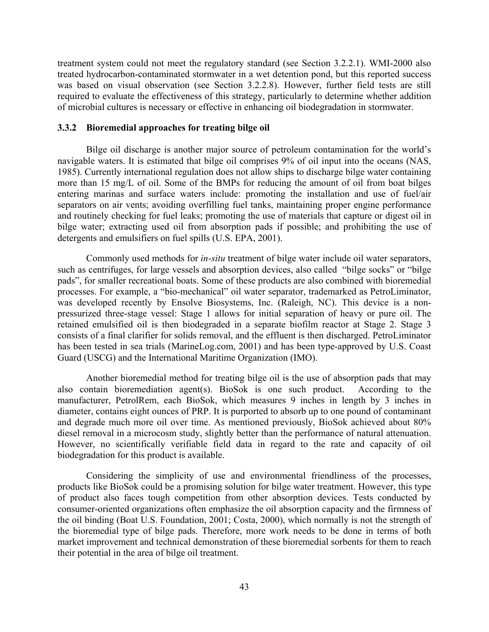treatment system could not meet the regulatory standard (see Section 3.2.2.1). WMI-2000 also treated hydrocarbon-contaminated stormwater in a wet detention pond, but this reported success was based on visual observation (see Section 3.2.2.8). However, further field tests are still required to evaluate the effectiveness of this strategy, particularly to determine whether addition of microbial cultures is necessary or effective in enhancing oil biodegradation in stormwater.

## **3.3.2 Bioremedial approaches for treating bilge oil**

Bilge oil discharge is another major source of petroleum contamination for the world's navigable waters. It is estimated that bilge oil comprises 9% of oil input into the oceans (NAS, 1985). Currently international regulation does not allow ships to discharge bilge water containing more than 15 mg/L of oil. Some of the BMPs for reducing the amount of oil from boat bilges entering marinas and surface waters include: promoting the installation and use of fuel/air separators on air vents; avoiding overfilling fuel tanks, maintaining proper engine performance and routinely checking for fuel leaks; promoting the use of materials that capture or digest oil in bilge water; extracting used oil from absorption pads if possible; and prohibiting the use of detergents and emulsifiers on fuel spills (U.S. EPA, 2001).

Commonly used methods for *in-situ* treatment of bilge water include oil water separators, such as centrifuges, for large vessels and absorption devices, also called "bilge socks" or "bilge pads", for smaller recreational boats. Some of these products are also combined with bioremedial processes. For example, a "bio-mechanical" oil water separator, trademarked as PetroLiminator, was developed recently by Ensolve Biosystems, Inc. (Raleigh, NC). This device is a nonpressurized three-stage vessel: Stage 1 allows for initial separation of heavy or pure oil. The retained emulsified oil is then biodegraded in a separate biofilm reactor at Stage 2. Stage 3 consists of a final clarifier for solids removal, and the effluent is then discharged. PetroLiminator has been tested in sea trials (MarineLog.com, 2001) and has been type-approved by U.S. Coast Guard (USCG) and the International Maritime Organization (IMO).

Another bioremedial method for treating bilge oil is the use of absorption pads that may also contain bioremediation agent(s). BioSok is one such product. According to the manufacturer, PetrolRem, each BioSok, which measures 9 inches in length by 3 inches in diameter, contains eight ounces of PRP. It is purported to absorb up to one pound of contaminant and degrade much more oil over time. As mentioned previously, BioSok achieved about 80% diesel removal in a microcosm study, slightly better than the performance of natural attenuation. However, no scientifically verifiable field data in regard to the rate and capacity of oil biodegradation for this product is available.

Considering the simplicity of use and environmental friendliness of the processes, products like BioSok could be a promising solution for bilge water treatment. However, this type of product also faces tough competition from other absorption devices. Tests conducted by consumer-oriented organizations often emphasize the oil absorption capacity and the firmness of the oil binding (Boat U.S. Foundation, 2001; Costa, 2000), which normally is not the strength of the bioremedial type of bilge pads. Therefore, more work needs to be done in terms of both market improvement and technical demonstration of these bioremedial sorbents for them to reach their potential in the area of bilge oil treatment.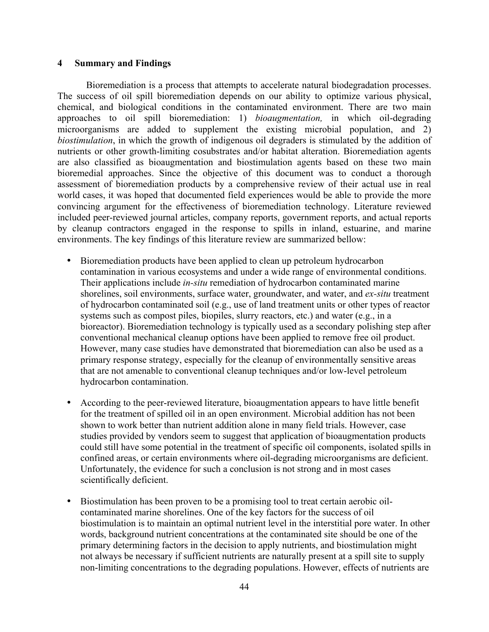## <span id="page-48-0"></span>**4 Summary and Findings**

Bioremediation is a process that attempts to accelerate natural biodegradation processes. The success of oil spill bioremediation depends on our ability to optimize various physical, chemical, and biological conditions in the contaminated environment. There are two main approaches to oil spill bioremediation: 1) *bioaugmentation,* in which oil-degrading microorganisms are added to supplement the existing microbial population, and 2) *biostimulation*, in which the growth of indigenous oil degraders is stimulated by the addition of nutrients or other growth-limiting cosubstrates and/or habitat alteration. Bioremediation agents are also classified as bioaugmentation and biostimulation agents based on these two main bioremedial approaches. Since the objective of this document was to conduct a thorough assessment of bioremediation products by a comprehensive review of their actual use in real world cases, it was hoped that documented field experiences would be able to provide the more convincing argument for the effectiveness of bioremediation technology. Literature reviewed included peer-reviewed journal articles, company reports, government reports, and actual reports by cleanup contractors engaged in the response to spills in inland, estuarine, and marine environments. The key findings of this literature review are summarized bellow:

- Bioremediation products have been applied to clean up petroleum hydrocarbon contamination in various ecosystems and under a wide range of environmental conditions. Their applications include *in-situ* remediation of hydrocarbon contaminated marine shorelines, soil environments, surface water, groundwater, and water, and *ex-situ* treatment of hydrocarbon contaminated soil (e.g., use of land treatment units or other types of reactor systems such as compost piles, biopiles, slurry reactors, etc.) and water (e.g., in a bioreactor). Bioremediation technology is typically used as a secondary polishing step after conventional mechanical cleanup options have been applied to remove free oil product. However, many case studies have demonstrated that bioremediation can also be used as a primary response strategy, especially for the cleanup of environmentally sensitive areas that are not amenable to conventional cleanup techniques and/or low-level petroleum hydrocarbon contamination.
- According to the peer-reviewed literature, bioaugmentation appears to have little benefit for the treatment of spilled oil in an open environment. Microbial addition has not been shown to work better than nutrient addition alone in many field trials. However, case studies provided by vendors seem to suggest that application of bioaugmentation products could still have some potential in the treatment of specific oil components, isolated spills in confined areas, or certain environments where oil-degrading microorganisms are deficient. Unfortunately, the evidence for such a conclusion is not strong and in most cases scientifically deficient.
- Biostimulation has been proven to be a promising tool to treat certain aerobic oilcontaminated marine shorelines. One of the key factors for the success of oil biostimulation is to maintain an optimal nutrient level in the interstitial pore water. In other words, background nutrient concentrations at the contaminated site should be one of the primary determining factors in the decision to apply nutrients, and biostimulation might not always be necessary if sufficient nutrients are naturally present at a spill site to supply non-limiting concentrations to the degrading populations. However, effects of nutrients are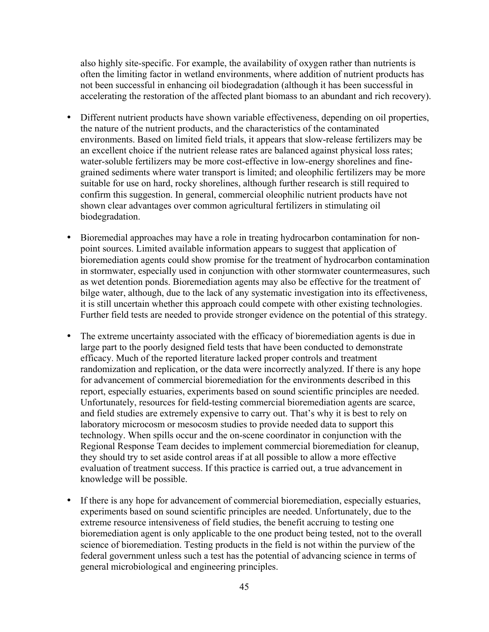also highly site-specific. For example, the availability of oxygen rather than nutrients is often the limiting factor in wetland environments, where addition of nutrient products has not been successful in enhancing oil biodegradation (although it has been successful in accelerating the restoration of the affected plant biomass to an abundant and rich recovery).

- Different nutrient products have shown variable effectiveness, depending on oil properties, the nature of the nutrient products, and the characteristics of the contaminated environments. Based on limited field trials, it appears that slow-release fertilizers may be an excellent choice if the nutrient release rates are balanced against physical loss rates; water-soluble fertilizers may be more cost-effective in low-energy shorelines and finegrained sediments where water transport is limited; and oleophilic fertilizers may be more suitable for use on hard, rocky shorelines, although further research is still required to confirm this suggestion. In general, commercial oleophilic nutrient products have not shown clear advantages over common agricultural fertilizers in stimulating oil biodegradation.
- Bioremedial approaches may have a role in treating hydrocarbon contamination for nonpoint sources. Limited available information appears to suggest that application of bioremediation agents could show promise for the treatment of hydrocarbon contamination in stormwater, especially used in conjunction with other stormwater countermeasures, such as wet detention ponds. Bioremediation agents may also be effective for the treatment of bilge water, although, due to the lack of any systematic investigation into its effectiveness, it is still uncertain whether this approach could compete with other existing technologies. Further field tests are needed to provide stronger evidence on the potential of this strategy.
- The extreme uncertainty associated with the efficacy of bioremediation agents is due in large part to the poorly designed field tests that have been conducted to demonstrate efficacy. Much of the reported literature lacked proper controls and treatment randomization and replication, or the data were incorrectly analyzed. If there is any hope for advancement of commercial bioremediation for the environments described in this report, especially estuaries, experiments based on sound scientific principles are needed. Unfortunately, resources for field-testing commercial bioremediation agents are scarce, and field studies are extremely expensive to carry out. That's why it is best to rely on laboratory microcosm or mesocosm studies to provide needed data to support this technology. When spills occur and the on-scene coordinator in conjunction with the Regional Response Team decides to implement commercial bioremediation for cleanup, they should try to set aside control areas if at all possible to allow a more effective evaluation of treatment success. If this practice is carried out, a true advancement in knowledge will be possible.
- If there is any hope for advancement of commercial bioremediation, especially estuaries, experiments based on sound scientific principles are needed. Unfortunately, due to the extreme resource intensiveness of field studies, the benefit accruing to testing one bioremediation agent is only applicable to the one product being tested, not to the overall science of bioremediation. Testing products in the field is not within the purview of the federal government unless such a test has the potential of advancing science in terms of general microbiological and engineering principles.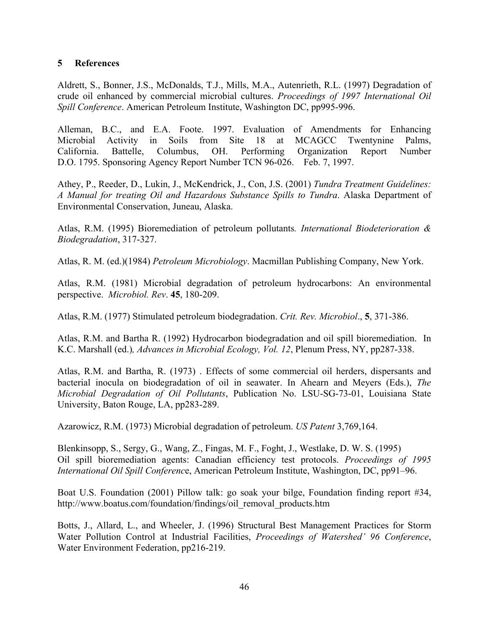# <span id="page-50-0"></span>**5 References**

Aldrett, S., Bonner, J.S., McDonalds, T.J., Mills, M.A., Autenrieth, R.L. (1997) Degradation of crude oil enhanced by commercial microbial cultures. *Proceedings of 1997 International Oil Spill Conference*. American Petroleum Institute, Washington DC, pp995-996.

Alleman, B.C., and E.A. Foote. 1997. Evaluation of Amendments for Enhancing Microbial Activity in Soils from Site 18 at MCAGCC Twentynine Palms, California. Battelle, Columbus, OH. Performing Organization Report Number D.O. 1795. Sponsoring Agency Report Number TCN 96-026. Feb. 7, 1997.

Athey, P., Reeder, D., Lukin, J., McKendrick, J., Con, J.S. (2001) *Tundra Treatment Guidelines: A Manual for treating Oil and Hazardous Substance Spills to Tundra*. Alaska Department of Environmental Conservation, Juneau, Alaska.

Atlas, R.M. (1995) Bioremediation of petroleum pollutants*. International Biodeterioration & Biodegradation*, 317-327.

Atlas, R. M. (ed.)(1984) *Petroleum Microbiology*. Macmillan Publishing Company, New York.

Atlas, R.M. (1981) Microbial degradation of petroleum hydrocarbons: An environmental perspective. *Microbiol. Rev*. **45**, 180-209.

Atlas, R.M. (1977) Stimulated petroleum biodegradation. *Crit. Rev. Microbiol*., **5**, 371-386.

Atlas, R.M. and Bartha R. (1992) Hydrocarbon biodegradation and oil spill bioremediation. In K.C. Marshall (ed.)*, Advances in Microbial Ecology, Vol. 12*, Plenum Press, NY, pp287-338.

Atlas, R.M. and Bartha, R. (1973) . Effects of some commercial oil herders, dispersants and bacterial inocula on biodegradation of oil in seawater. In Ahearn and Meyers (Eds.), *The Microbial Degradation of Oil Pollutants*, Publication No. LSU-SG-73-01, Louisiana State University, Baton Rouge, LA, pp283-289.

Azarowicz, R.M. (1973) Microbial degradation of petroleum. *US Patent* 3,769,164.

Blenkinsopp, S., Sergy, G., Wang, Z., Fingas, M. F., Foght, J., Westlake, D. W. S. (1995) Oil spill bioremediation agents: Canadian efficiency test protocols. *Proceedings of 1995 International Oil Spill Conferenc*e, American Petroleum Institute, Washington, DC, pp91–96.

Boat U.S. Foundation (2001) Pillow talk: go soak your bilge, Foundation finding report #34, [http://www.boatus.com/foundation/findings/oil\\_removal\\_products.htm](http://www.boatus.com/foundation/findings/oil_removal_products.htm) 

Botts, J., Allard, L., and Wheeler, J. (1996) Structural Best Management Practices for Storm Water Pollution Control at Industrial Facilities, *Proceedings of Watershed' 96 Conference*, Water Environment Federation, pp216-219.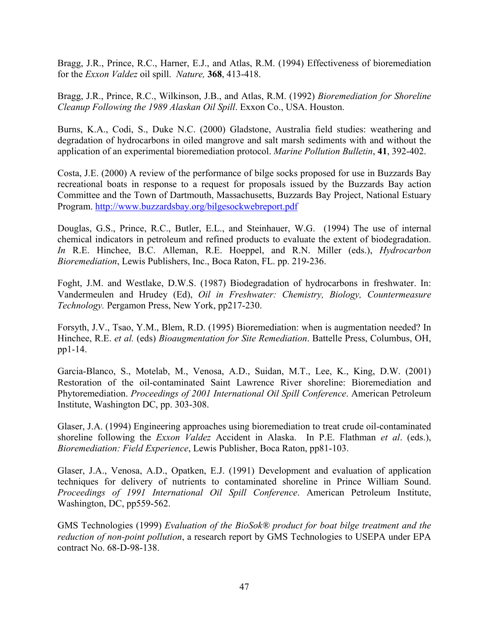Bragg, J.R., Prince, R.C., Harner, E.J., and Atlas, R.M. (1994) Effectiveness of bioremediation for the *Exxon Valdez* oil spill. *Nature,* **368**, 413-418.

Bragg, J.R., Prince, R.C., Wilkinson, J.B., and Atlas, R.M. (1992) *Bioremediation for Shoreline Cleanup Following the 1989 Alaskan Oil Spill*. Exxon Co., USA. Houston.

Burns, K.A., Codi, S., Duke N.C. (2000) Gladstone, Australia field studies: weathering and degradation of hydrocarbons in oiled mangrove and salt marsh sediments with and without the application of an experimental bioremediation protocol. *Marine Pollution Bulletin*, **41**, 392-402.

Costa, J.E. (2000) A review of the performance of bilge socks proposed for use in Buzzards Bay recreational boats in response to a request for proposals issued by the Buzzards Bay action Committee and the Town of Dartmouth, Massachusetts, Buzzards Bay Project, National Estuary Program.<http://www.buzzardsbay.org/bilgesockwebreport.pdf>

Douglas, G.S., Prince, R.C., Butler, E.L., and Steinhauer, W.G. (1994) The use of internal chemical indicators in petroleum and refined products to evaluate the extent of biodegradation. *In* R.E. Hinchee, B.C. Alleman, R.E. Hoeppel, and R.N. Miller (eds.), *Hydrocarbon Bioremediation*, Lewis Publishers, Inc., Boca Raton, FL. pp. 219-236.

Foght, J.M. and Westlake, D.W.S. (1987) Biodegradation of hydrocarbons in freshwater. In: Vandermeulen and Hrudey (Ed), *Oil in Freshwater: Chemistry, Biology, Countermeasure Technology.* Pergamon Press, New York, pp217-230.

Forsyth, J.V., Tsao, Y.M., Blem, R.D. (1995) Bioremediation: when is augmentation needed? In Hinchee, R.E. *et al.* (eds) *Bioaugmentation for Site Remediation*. Battelle Press, Columbus, OH, pp1-14.

Garcia-Blanco, S., Motelab, M., Venosa, A.D., Suidan, M.T., Lee, K., King, D.W. (2001) Restoration of the oil-contaminated Saint Lawrence River shoreline: Bioremediation and Phytoremediation. *Proceedings of 2001 International Oil Spill Conference*. American Petroleum Institute, Washington DC, pp. 303-308.

Glaser, J.A. (1994) Engineering approaches using bioremediation to treat crude oil-contaminated shoreline following the *Exxon Valdez* Accident in Alaska. In P.E. Flathman *et al*. (eds.), *Bioremediation: Field Experience*, Lewis Publisher, Boca Raton, pp81-103.

Glaser, J.A., Venosa, A.D., Opatken, E.J. (1991) Development and evaluation of application techniques for delivery of nutrients to contaminated shoreline in Prince William Sound. *Proceedings of 1991 International Oil Spill Conference*. American Petroleum Institute, Washington, DC, pp559-562.

GMS Technologies (1999) *Evaluation of the BioSok® product for boat bilge treatment and the reduction of non-point pollution*, a research report by GMS Technologies to USEPA under EPA contract No. 68-D-98-138.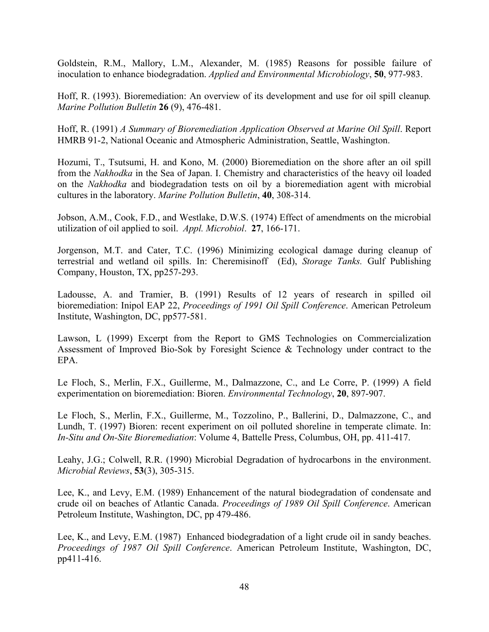Goldstein, R.M., Mallory, L.M., Alexander, M. (1985) Reasons for possible failure of inoculation to enhance biodegradation. *Applied and Environmental Microbiology*, **50**, 977-983.

Hoff, R. (1993). Bioremediation: An overview of its development and use for oil spill cleanup*. Marine Pollution Bulletin* **26** (9), 476-481.

Hoff, R. (1991) *A Summary of Bioremediation Application Observed at Marine Oil Spill*. Report HMRB 91-2, National Oceanic and Atmospheric Administration, Seattle, Washington.

Hozumi, T., Tsutsumi, H. and Kono, M. (2000) Bioremediation on the shore after an oil spill from the *Nakhodka* in the Sea of Japan. I. Chemistry and characteristics of the heavy oil loaded on the *Nakhodka* and biodegradation tests on oil by a bioremediation agent with microbial cultures in the laboratory. *Marine Pollution Bulletin*, **40**, 308-314.

Jobson, A.M., Cook, F.D., and Westlake, D.W.S. (1974) Effect of amendments on the microbial utilization of oil applied to soil. *Appl. Microbiol*. **27**, 166-171.

Jorgenson, M.T. and Cater, T.C. (1996) Minimizing ecological damage during cleanup of terrestrial and wetland oil spills. In: Cheremisinoff (Ed), *Storage Tanks.* Gulf Publishing Company, Houston, TX, pp257-293.

Ladousse, A. and Tramier, B. (1991) Results of 12 years of research in spilled oil bioremediation: Inipol EAP 22, *Proceedings of 1991 Oil Spill Conference*. American Petroleum Institute, Washington, DC, pp577-581.

Lawson, L (1999) Excerpt from the Report to GMS Technologies on Commercialization Assessment of Improved Bio-Sok by Foresight Science & Technology under contract to the EPA.

Le Floch, S., Merlin, F.X., Guillerme, M., Dalmazzone, C., and Le Corre, P. (1999) A field experimentation on bioremediation: Bioren. *Environmental Technology*, **20**, 897-907.

Le Floch, S., Merlin, F.X., Guillerme, M., Tozzolino, P., Ballerini, D., Dalmazzone, C., and Lundh, T. (1997) Bioren: recent experiment on oil polluted shoreline in temperate climate. In: *In-Situ and On-Site Bioremediation*: Volume 4, Battelle Press, Columbus, OH, pp. 411-417.

Leahy, J.G.; Colwell, R.R. (1990) Microbial Degradation of hydrocarbons in the environment. *Microbial Reviews*, **53**(3), 305-315.

Lee, K., and Levy, E.M. (1989) Enhancement of the natural biodegradation of condensate and crude oil on beaches of Atlantic Canada. *Proceedings of 1989 Oil Spill Conference*. American Petroleum Institute, Washington, DC, pp 479-486.

Lee, K., and Levy, E.M. (1987) Enhanced biodegradation of a light crude oil in sandy beaches. *Proceedings of 1987 Oil Spill Conference*. American Petroleum Institute, Washington, DC, pp411-416.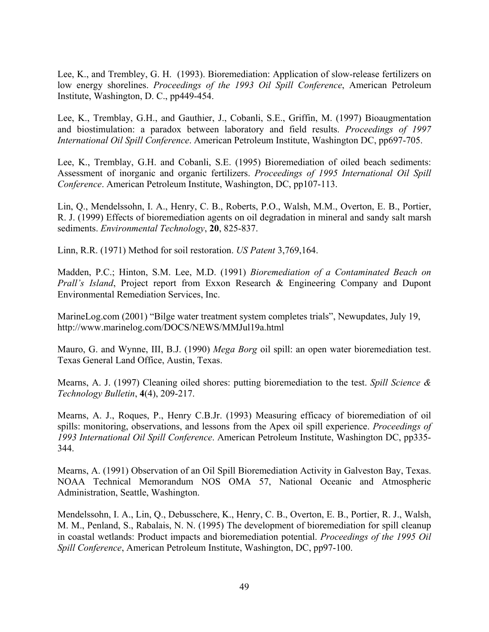Lee, K., and Trembley, G. H. (1993). Bioremediation: Application of slow-release fertilizers on low energy shorelines. *Proceedings of the 1993 Oil Spill Conference*, American Petroleum Institute, Washington, D. C., pp449-454.

Lee, K., Tremblay, G.H., and Gauthier, J., Cobanli, S.E., Griffin, M. (1997) Bioaugmentation and biostimulation: a paradox between laboratory and field results. *Proceedings of 1997 International Oil Spill Conference*. American Petroleum Institute, Washington DC, pp697-705.

Lee, K., Tremblay, G.H. and Cobanli, S.E. (1995) Bioremediation of oiled beach sediments: Assessment of inorganic and organic fertilizers. *Proceedings of 1995 International Oil Spill Conference*. American Petroleum Institute, Washington, DC, pp107-113.

Lin, Q., Mendelssohn, I. A., Henry, C. B., Roberts, P.O., Walsh, M.M., Overton, E. B., Portier, R. J. (1999) Effects of bioremediation agents on oil degradation in mineral and sandy salt marsh sediments. *Environmental Technology*, **20**, 825-837.

Linn, R.R. (1971) Method for soil restoration. *US Patent* 3,769,164.

Madden, P.C.; Hinton, S.M. Lee, M.D. (1991) *Bioremediation of a Contaminated Beach on Prall's Island*, Project report from Exxon Research & Engineering Company and Dupont Environmental Remediation Services, Inc.

MarineLog.com (2001) "Bilge water treatment system completes trials", Newupdates, July 19, <http://www.marinelog.com/DOCS/NEWS/MMJul19a.html>

Mauro, G. and Wynne, III, B.J. (1990) *Mega Borg* oil spill: an open water bioremediation test. Texas General Land Office, Austin, Texas.

Mearns, A. J. (1997) Cleaning oiled shores: putting bioremediation to the test. *Spill Science & Technology Bulletin*, **4**(4), 209-217.

Mearns, A. J., Roques, P., Henry C.B.Jr. (1993) Measuring efficacy of bioremediation of oil spills: monitoring, observations, and lessons from the Apex oil spill experience. *Proceedings of 1993 International Oil Spill Conference*. American Petroleum Institute, Washington DC, pp335- 344.

Mearns, A. (1991) Observation of an Oil Spill Bioremediation Activity in Galveston Bay, Texas. NOAA Technical Memorandum NOS OMA 57, National Oceanic and Atmospheric Administration, Seattle, Washington.

Mendelssohn, I. A., Lin, Q., Debusschere, K., Henry, C. B., Overton, E. B., Portier, R. J., Walsh, M. M., Penland, S., Rabalais, N. N. (1995) The development of bioremediation for spill cleanup in coastal wetlands: Product impacts and bioremediation potential. *Proceedings of the 1995 Oil Spill Conference*, American Petroleum Institute, Washington, DC, pp97-100.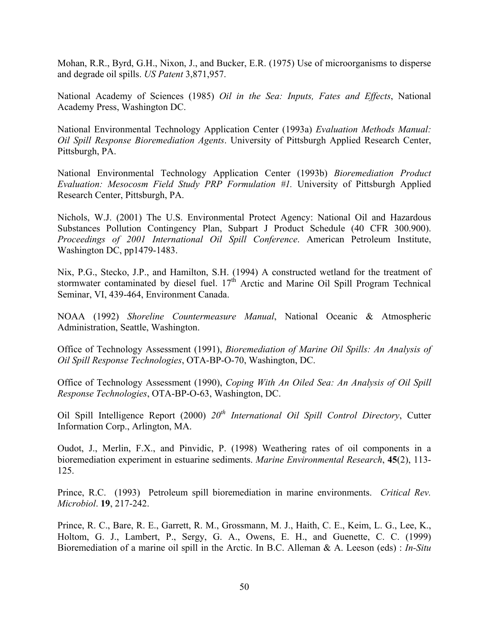Mohan, R.R., Byrd, G.H., Nixon, J., and Bucker, E.R. (1975) Use of microorganisms to disperse and degrade oil spills. *US Patent* 3,871,957.

National Academy of Sciences (1985) *Oil in the Sea: Inputs, Fates and Effects*, National Academy Press, Washington DC.

National Environmental Technology Application Center (1993a) *Evaluation Methods Manual: Oil Spill Response Bioremediation Agents*. University of Pittsburgh Applied Research Center, Pittsburgh, PA.

National Environmental Technology Application Center (1993b) *Bioremediation Product Evaluation: Mesocosm Field Study PRP Formulation #1.* University of Pittsburgh Applied Research Center, Pittsburgh, PA.

Nichols, W.J. (2001) The U.S. Environmental Protect Agency: National Oil and Hazardous Substances Pollution Contingency Plan, Subpart J Product Schedule (40 CFR 300.900). *Proceedings of 2001 International Oil Spill Conference*. American Petroleum Institute, Washington DC, pp1479-1483.

Nix, P.G., Stecko, J.P., and Hamilton, S.H. (1994) A constructed wetland for the treatment of stormwater contaminated by diesel fuel.  $17<sup>th</sup>$  Arctic and Marine Oil Spill Program Technical Seminar, VI, 439-464, Environment Canada.

NOAA (1992) *Shoreline Countermeasure Manual*, National Oceanic & Atmospheric Administration, Seattle, Washington.

Office of Technology Assessment (1991), *Bioremediation of Marine Oil Spills: An Analysis of Oil Spill Response Technologies*, OTA-BP-O-70, Washington, DC.

Office of Technology Assessment (1990), *Coping With An Oiled Sea: An Analysis of Oil Spill Response Technologies*, OTA-BP-O-63, Washington, DC.

Oil Spill Intelligence Report (2000)  $20^{th}$  International Oil Spill Control Directory, Cutter Information Corp., Arlington, MA.

Oudot, J., Merlin, F.X., and Pinvidic, P. (1998) Weathering rates of oil components in a bioremediation experiment in estuarine sediments. *Marine Environmental Research*, **45**(2), 113- 125.

Prince, R.C. (1993) Petroleum spill bioremediation in marine environments. *Critical Rev. Microbiol*. **19**, 217-242.

Prince, R. C., Bare, R. E., Garrett, R. M., Grossmann, M. J., Haith, C. E., Keim, L. G., Lee, K., Holtom, G. J., Lambert, P., Sergy, G. A., Owens, E. H., and Guenette, C. C. (1999) Bioremediation of a marine oil spill in the Arctic. In B.C. Alleman & A. Leeson (eds) : *In-Situ*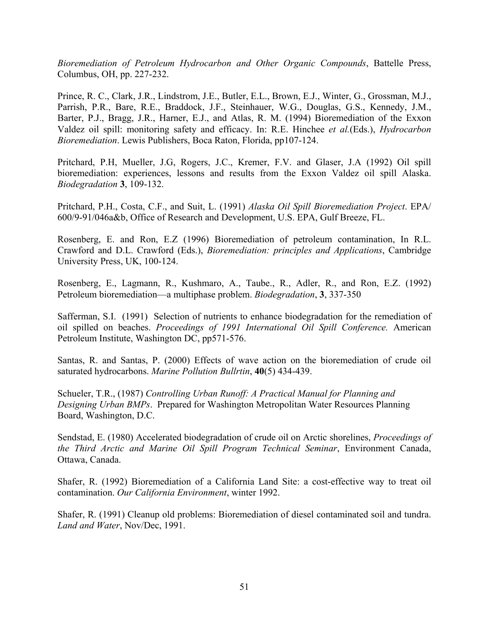*Bioremediation of Petroleum Hydrocarbon and Other Organic Compounds*, Battelle Press, Columbus, OH, pp. 227-232.

Prince, R. C., Clark, J.R., Lindstrom, J.E., Butler, E.L., Brown, E.J., Winter, G., Grossman, M.J., Parrish, P.R., Bare, R.E., Braddock, J.F., Steinhauer, W.G., Douglas, G.S., Kennedy, J.M., Barter, P.J., Bragg, J.R., Harner, E.J., and Atlas, R. M. (1994) Bioremediation of the Exxon Valdez oil spill: monitoring safety and efficacy. In: R.E. Hinchee *et al.*(Eds.), *Hydrocarbon Bioremediation*. Lewis Publishers, Boca Raton, Florida, pp107-124.

Pritchard, P.H, Mueller, J.G, Rogers, J.C., Kremer, F.V. and Glaser, J.A (1992) Oil spill bioremediation: experiences, lessons and results from the Exxon Valdez oil spill Alaska. *Biodegradation* **3**, 109-132.

Pritchard, P.H., Costa, C.F., and Suit, L. (1991) *Alaska Oil Spill Bioremediation Project*. EPA/ 600/9-91/046a&b, Office of Research and Development, U.S. EPA, Gulf Breeze, FL.

Rosenberg, E. and Ron, E.Z (1996) Bioremediation of petroleum contamination, In R.L. Crawford and D.L. Crawford (Eds.), *Bioremediation: principles and Applications*, Cambridge University Press, UK, 100-124.

Rosenberg, E., Lagmann, R., Kushmaro, A., Taube., R., Adler, R., and Ron, E.Z. (1992) Petroleum bioremediation—a multiphase problem. *Biodegradation*, **3**, 337-350

Safferman, S.I. (1991) Selection of nutrients to enhance biodegradation for the remediation of oil spilled on beaches. *Proceedings of 1991 International Oil Spill Conference.* American Petroleum Institute, Washington DC, pp571-576.

Santas, R. and Santas, P. (2000) Effects of wave action on the bioremediation of crude oil saturated hydrocarbons. *Marine Pollution Bullrtin*, **40**(5) 434-439.

Schueler, T.R., (1987) *Controlling Urban Runoff: A Practical Manual for Planning and Designing Urban BMPs*. Prepared for Washington Metropolitan Water Resources Planning Board, Washington, D.C.

Sendstad, E. (1980) Accelerated biodegradation of crude oil on Arctic shorelines, *Proceedings of the Third Arctic and Marine Oil Spill Program Technical Seminar*, Environment Canada, Ottawa, Canada.

Shafer, R. (1992) Bioremediation of a California Land Site: a cost-effective way to treat oil contamination. *Our California Environment*, winter 1992.

Shafer, R. (1991) Cleanup old problems: Bioremediation of diesel contaminated soil and tundra. *Land and Water*, Nov/Dec, 1991.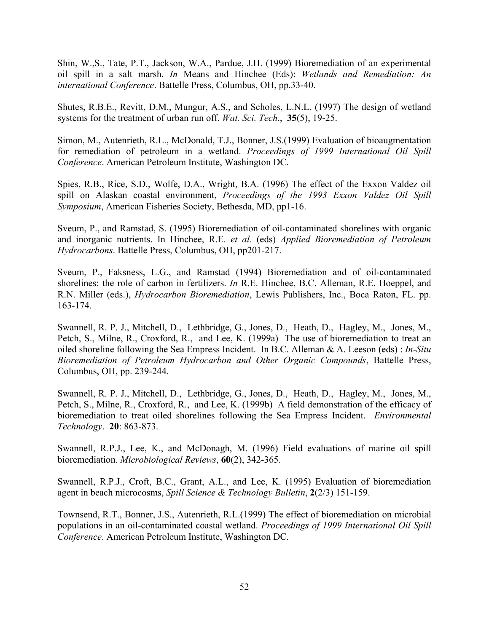Shin, W.,S., Tate, P.T., Jackson, W.A., Pardue, J.H. (1999) Bioremediation of an experimental oil spill in a salt marsh. *In* Means and Hinchee (Eds): *Wetlands and Remediation: An international Conference*. Battelle Press, Columbus, OH, pp.33-40.

Shutes, R.B.E., Revitt, D.M., Mungur, A.S., and Scholes, L.N.L. (1997) The design of wetland systems for the treatment of urban run off. *Wat. Sci. Tech*., **35**(5), 19-25.

Simon, M., Autenrieth, R.L., McDonald, T.J., Bonner, J.S.(1999) Evaluation of bioaugmentation for remediation of petroleum in a wetland. *Proceedings of 1999 International Oil Spill Conference*. American Petroleum Institute, Washington DC.

Spies, R.B., Rice, S.D., Wolfe, D.A., Wright, B.A. (1996) The effect of the Exxon Valdez oil spill on Alaskan coastal environment, *Proceedings of the 1993 Exxon Valdez Oil Spill Symposium*, American Fisheries Society, Bethesda, MD, pp1-16.

Sveum, P., and Ramstad, S. (1995) Bioremediation of oil-contaminated shorelines with organic and inorganic nutrients. In Hinchee, R.E. *et al.* (eds) *Applied Bioremediation of Petroleum Hydrocarbons*. Battelle Press, Columbus, OH, pp201-217.

Sveum, P., Faksness, L.G., and Ramstad (1994) Bioremediation and of oil-contaminated shorelines: the role of carbon in fertilizers. *In* R.E. Hinchee, B.C. Alleman, R.E. Hoeppel, and R.N. Miller (eds.), *Hydrocarbon Bioremediation*, Lewis Publishers, Inc., Boca Raton, FL. pp. 163-174.

Swannell, R. P. J., Mitchell, D., Lethbridge, G., Jones, D., Heath, D., Hagley, M., Jones, M., Petch, S., Milne, R., Croxford, R., and Lee, K. (1999a) The use of bioremediation to treat an oiled shoreline following the Sea Empress Incident. In B.C. Alleman & A. Leeson (eds) : *In-Situ Bioremediation of Petroleum Hydrocarbon and Other Organic Compounds*, Battelle Press, Columbus, OH, pp. 239-244.

Swannell, R. P. J., Mitchell, D., Lethbridge, G., Jones, D., Heath, D., Hagley, M., Jones, M., Petch, S., Milne, R., Croxford, R., and Lee, K. (1999b) A field demonstration of the efficacy of bioremediation to treat oiled shorelines following the Sea Empress Incident. *Environmental Technology*. **20**: 863-873.

Swannell, R.P.J., Lee, K., and McDonagh, M. (1996) Field evaluations of marine oil spill bioremediation. *Microbiological Reviews*, **60**(2), 342-365.

Swannell, R.P.J., Croft, B.C., Grant, A.L., and Lee, K. (1995) Evaluation of bioremediation agent in beach microcosms, *Spill Science & Technology Bulletin*, **2**(2/3) 151-159.

Townsend, R.T., Bonner, J.S., Autenrieth, R.L.(1999) The effect of bioremediation on microbial populations in an oil-contaminated coastal wetland. *Proceedings of 1999 International Oil Spill Conference*. American Petroleum Institute, Washington DC.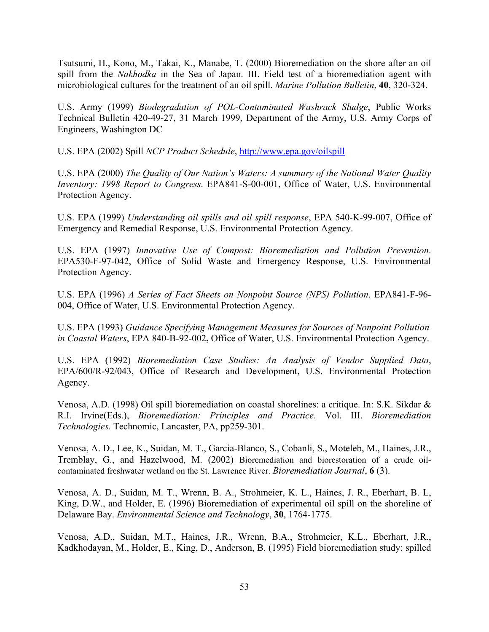Tsutsumi, H., Kono, M., Takai, K., Manabe, T. (2000) Bioremediation on the shore after an oil spill from the *Nakhodka* in the Sea of Japan. III. Field test of a bioremediation agent with microbiological cultures for the treatment of an oil spill. *Marine Pollution Bulletin*, **40**, 320-324.

U.S. Army (1999) *Biodegradation of POL-Contaminated Washrack Sludge*, Public Works Technical Bulletin 420-49-27, 31 March 1999, Department of the Army, U.S. Army Corps of Engineers, Washington DC

U.S. EPA (2002) Spill *NCP Product Schedule*,<http://www.epa.gov/oilspill>

U.S. EPA (2000) *The Quality of Our Nation's Waters: A summary of the National Water Quality Inventory: 1998 Report to Congress*. EPA841-S-00-001, Office of Water, U.S. Environmental Protection Agency.

U.S. EPA (1999) *Understanding oil spills and oil spill response*, EPA 540-K-99-007, Office of Emergency and Remedial Response, U.S. Environmental Protection Agency.

U.S. EPA (1997) *Innovative Use of Compost: Bioremediation and Pollution Prevention*. EPA530-F-97-042, Office of Solid Waste and Emergency Response, U.S. Environmental Protection Agency.

U.S. EPA (1996) *A Series of Fact Sheets on Nonpoint Source (NPS) Pollution*. EPA841-F-96- 004, Office of Water, U.S. Environmental Protection Agency.

U.S. EPA (1993) *Guidance Specifying Management Measures for Sources of Nonpoint Pollution in Coastal Waters*, EPA 840-B-92-002**,** Office of Water, U.S. Environmental Protection Agency.

U.S. EPA (1992) *Bioremediation Case Studies: An Analysis of Vendor Supplied Data*, EPA/600/R-92/043, Office of Research and Development, U.S. Environmental Protection Agency.

Venosa, A.D. (1998) Oil spill bioremediation on coastal shorelines: a critique. In: S.K. Sikdar & R.I. Irvine(Eds.), *Bioremediation: Principles and Practice*. Vol. III. *Bioremediation Technologies.* Technomic, Lancaster, PA, pp259-301.

Venosa, A. D., Lee, K., Suidan, M. T., Garcia-Blanco, S., Cobanli, S., Moteleb, M., Haines, J.R., Tremblay, G., and Hazelwood, M. (2002) Bioremediation and biorestoration of a crude oilcontaminated freshwater wetland on the St. Lawrence River. *Bioremediation Journal*, **6** (3).

Venosa, A. D., Suidan, M. T., Wrenn, B. A., Strohmeier, K. L., Haines, J. R., Eberhart, B. L, King, D.W., and Holder, E. (1996) Bioremediation of experimental oil spill on the shoreline of Delaware Bay. *Environmental Science and Technology*, **30**, 1764-1775.

Venosa, A.D., Suidan, M.T., Haines, J.R., Wrenn, B.A., Strohmeier, K.L., Eberhart, J.R., Kadkhodayan, M., Holder, E., King, D., Anderson, B. (1995) Field bioremediation study: spilled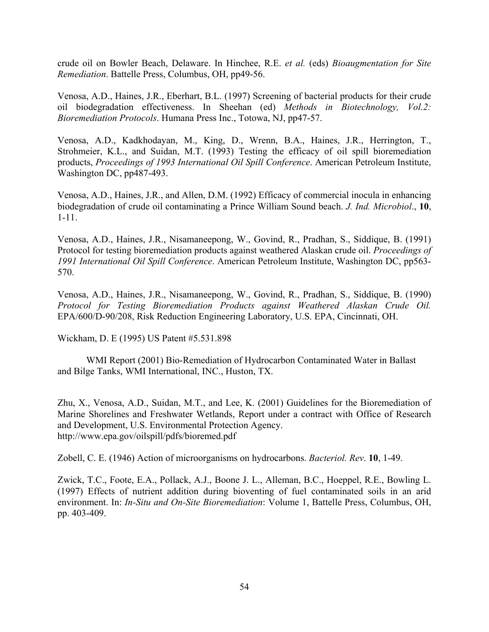crude oil on Bowler Beach, Delaware. In Hinchee, R.E. *et al.* (eds) *Bioaugmentation for Site Remediation*. Battelle Press, Columbus, OH, pp49-56.

Venosa, A.D., Haines, J.R., Eberhart, B.L. (1997) Screening of bacterial products for their crude oil biodegradation effectiveness. In Sheehan (ed) *Methods in Biotechnology, Vol.2: Bioremediation Protocols*. Humana Press Inc., Totowa, NJ, pp47-57.

Venosa, A.D., Kadkhodayan, M., King, D., Wrenn, B.A., Haines, J.R., Herrington, T., Strohmeier, K.L., and Suidan, M.T. (1993) Testing the efficacy of oil spill bioremediation products, *Proceedings of 1993 International Oil Spill Conference*. American Petroleum Institute, Washington DC, pp487-493.

Venosa, A.D., Haines, J.R., and Allen, D.M. (1992) Efficacy of commercial inocula in enhancing biodegradation of crude oil contaminating a Prince William Sound beach. *J. Ind. Microbiol*., **10**, 1-11.

Venosa, A.D., Haines, J.R., Nisamaneepong, W., Govind, R., Pradhan, S., Siddique, B. (1991) Protocol for testing bioremediation products against weathered Alaskan crude oil. *Proceedings of 1991 International Oil Spill Conference*. American Petroleum Institute, Washington DC, pp563- 570.

Venosa, A.D., Haines, J.R., Nisamaneepong, W., Govind, R., Pradhan, S., Siddique, B. (1990) *Protocol for Testing Bioremediation Products against Weathered Alaskan Crude Oil.* EPA/600/D-90/208, Risk Reduction Engineering Laboratory, U.S. EPA, Cincinnati, OH.

Wickham, D. E (1995) US Patent #5.531.898

WMI Report (2001) Bio-Remediation of Hydrocarbon Contaminated Water in Ballast and Bilge Tanks, WMI International, INC., Huston, TX.

Zhu, X., Venosa, A.D., Suidan, M.T., and Lee, K. (2001) Guidelines for the Bioremediation of Marine Shorelines and Freshwater Wetlands, Report under a contract with Office of Research and Development, U.S. Environmental Protection Agency. <http://www.epa.gov/oilspill/pdfs/bioremed.pdf>

Zobell, C. E. (1946) Action of microorganisms on hydrocarbons. *Bacteriol. Rev*. **10**, 1-49.

Zwick, T.C., Foote, E.A., Pollack, A.J., Boone J. L., Alleman, B.C., Hoeppel, R.E., Bowling L. (1997) Effects of nutrient addition during bioventing of fuel contaminated soils in an arid environment. In: *In-Situ and On-Site Bioremediation*: Volume 1, Battelle Press, Columbus, OH, pp. 403-409.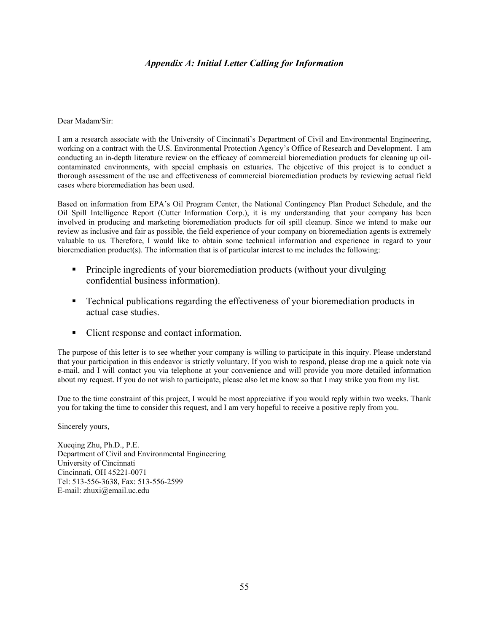# *Appendix A: Initial Letter Calling for Information*

Dear Madam/Sir:

I am a research associate with the University of Cincinnati's Department of Civil and Environmental Engineering, working on a contract with the U.S. Environmental Protection Agency's Office of Research and Development. I am conducting an in-depth literature review on the efficacy of commercial bioremediation products for cleaning up oilcontaminated environments, with special emphasis on estuaries. The objective of this project is to conduct a thorough assessment of the use and effectiveness of commercial bioremediation products by reviewing actual field cases where bioremediation has been used.

Based on information from EPA's Oil Program Center, the National Contingency Plan Product Schedule, and the Oil Spill Intelligence Report (Cutter Information Corp.), it is my understanding that your company has been involved in producing and marketing bioremediation products for oil spill cleanup. Since we intend to make our review as inclusive and fair as possible, the field experience of your company on bioremediation agents is extremely valuable to us. Therefore, I would like to obtain some technical information and experience in regard to your bioremediation product(s). The information that is of particular interest to me includes the following:

- Principle ingredients of your bioremediation products (without your divulging confidential business information).
- Technical publications regarding the effectiveness of your bioremediation products in actual case studies.
- Client response and contact information.

The purpose of this letter is to see whether your company is willing to participate in this inquiry. Please understand that your participation in this endeavor is strictly voluntary. If you wish to respond, please drop me a quick note via e-mail, and I will contact you via telephone at your convenience and will provide you more detailed information about my request. If you do not wish to participate, please also let me know so that I may strike you from my list.

Due to the time constraint of this project, I would be most appreciative if you would reply within two weeks. Thank you for taking the time to consider this request, and I am very hopeful to receive a positive reply from you.

Sincerely yours,

Xueqing Zhu, Ph.D., P.E. Department of Civil and Environmental Engineering University of Cincinnati Cincinnati, OH 45221-0071 Tel: 513-556-3638, Fax: 513-556-2599 E-mail: zhuxi@email.uc.edu